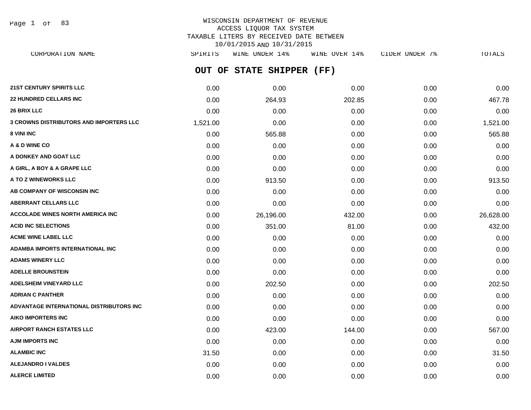Page 1 of 83

# WISCONSIN DEPARTMENT OF REVENUE ACCESS LIQUOR TAX SYSTEM TAXABLE LITERS BY RECEIVED DATE BETWEEN 10/01/2015 AND 10/31/2015

**OUT OF STATE SHIPPER (FF) 21ST CENTURY SPIRITS LLC** 0.00 0.00 0.00 0.00 0.00 **22 HUNDRED CELLARS INC** 0.00 264.93 202.85 0.00 467.78 **26 BRIX LLC** 0.00 0.00 0.00 0.00 0.00 **3 CROWNS DISTRIBUTORS AND IMPORTERS LLC** 1,521.00 0.00 0.00 0.00 1,521.00 **8 VINI INC** 6.00 565.88 0.00 565.88 0.00 565.88 0.00 0.00 565.88 0.00 0.00 565.88 **A & D WINE CO** 0.00 0.00 0.00 0.00 0.00 **A DONKEY AND GOAT LLC** 0.00 0.00 0.00 0.00 0.00 **A GIRL, A BOY & A GRAPE LLC** 0.00 0.00 0.00 0.00 0.00 **A TO Z WINEWORKS LLC** 0.00 913.50 0.00 0.00 913.50 **AB COMPANY OF WISCONSIN INC**  $0.00$   $0.00$   $0.00$   $0.00$   $0.00$   $0.00$   $0.00$   $0.00$   $0.00$   $0.00$   $0.00$   $0.00$   $0.00$   $0.00$   $0.00$   $0.00$   $0.00$   $0.00$   $0.00$   $0.00$   $0.00$   $0.00$   $0.00$   $0.00$   $0.00$   $0.00$   $0.00$   $0.$ **ABERRANT CELLARS LLC** 0.00 0.00 0.00 0.00 0.00 **ACCOLADE WINES NORTH AMERICA INC** 0.00 26,196.00 432.00 0.00 26,628.00 **ACID INC SELECTIONS** 6.00 6.00 351.00 81.00 81.00 81.00 81.00 81.00 81.00 81.00 81.00 81.00 432.00 **ACME WINE LABEL LLC** 0.00 0.00 0.00 0.00 0.00 **ADAMBA IMPORTS INTERNATIONAL INC** 0.00 0.00 0.00 0.00 0.00 **ADAMS WINERY LLC** 0.00 0.00 0.00 0.00 0.00 **ADELLE BROUNSTEIN** 0.00 0.00 0.00 0.00 0.00 **ADELSHEIM VINEYARD LLC** 0.00 202.50 0.00 0.00 202.50 **ADRIAN C PANTHER** 0.00 0.00 0.00 0.00 0.00 **ADVANTAGE INTERNATIONAL DISTRIBUTORS INC** 0.00 0.00 0.00 0.00 0.00 **AIKO IMPORTERS INC** 0.00 0.00 0.00 0.00 0.00 **AIRPORT RANCH ESTATES LLC** 0.00 423.00 144.00 0.00 567.00 **AJM IMPORTS INC** 0.00 0.00 0.00 0.00 0.00 **ALAMBIC INC** 31.50 0.00 0.00 0.00 31.50 CORPORATION NAME SPIRITS WINE UNDER 14% WINE OVER 14% CIDER UNDER 7% TOTALS

**ALEJANDRO I VALDES** 0.00 0.00 0.00 0.00 0.00 **ALERCE LIMITED** 0.00 0.00 0.00 0.00 0.00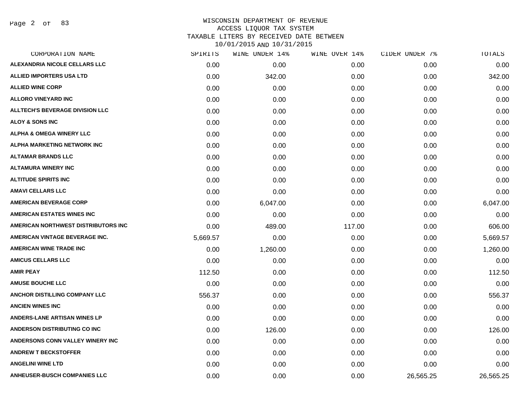Page 2 of 83

# WISCONSIN DEPARTMENT OF REVENUE ACCESS LIQUOR TAX SYSTEM TAXABLE LITERS BY RECEIVED DATE BETWEEN

| CORPORATION NAME                       | SPIRITS  | WINE UNDER 14% | WINE OVER 14% | CIDER UNDER 7% | TOTALS    |
|----------------------------------------|----------|----------------|---------------|----------------|-----------|
| ALEXANDRIA NICOLE CELLARS LLC          | 0.00     | 0.00           | 0.00          | 0.00           | 0.00      |
| <b>ALLIED IMPORTERS USA LTD</b>        | 0.00     | 342.00         | 0.00          | 0.00           | 342.00    |
| <b>ALLIED WINE CORP</b>                | 0.00     | 0.00           | 0.00          | 0.00           | 0.00      |
| <b>ALLORO VINEYARD INC</b>             | 0.00     | 0.00           | 0.00          | 0.00           | 0.00      |
| <b>ALLTECH'S BEVERAGE DIVISION LLC</b> | 0.00     | 0.00           | 0.00          | 0.00           | 0.00      |
| <b>ALOY &amp; SONS INC</b>             | 0.00     | 0.00           | 0.00          | 0.00           | 0.00      |
| <b>ALPHA &amp; OMEGA WINERY LLC</b>    | 0.00     | 0.00           | 0.00          | 0.00           | 0.00      |
| ALPHA MARKETING NETWORK INC            | 0.00     | 0.00           | 0.00          | 0.00           | 0.00      |
| <b>ALTAMAR BRANDS LLC</b>              | 0.00     | 0.00           | 0.00          | 0.00           | 0.00      |
| <b>ALTAMURA WINERY INC</b>             | 0.00     | 0.00           | 0.00          | 0.00           | 0.00      |
| <b>ALTITUDE SPIRITS INC</b>            | 0.00     | 0.00           | 0.00          | 0.00           | 0.00      |
| <b>AMAVI CELLARS LLC</b>               | 0.00     | 0.00           | 0.00          | 0.00           | 0.00      |
| <b>AMERICAN BEVERAGE CORP</b>          | 0.00     | 6,047.00       | 0.00          | 0.00           | 6,047.00  |
| AMERICAN ESTATES WINES INC             | 0.00     | 0.00           | 0.00          | 0.00           | 0.00      |
| AMERICAN NORTHWEST DISTRIBUTORS INC    | 0.00     | 489.00         | 117.00        | 0.00           | 606.00    |
| AMERICAN VINTAGE BEVERAGE INC.         | 5,669.57 | 0.00           | 0.00          | 0.00           | 5,669.57  |
| <b>AMERICAN WINE TRADE INC</b>         | 0.00     | 1,260.00       | 0.00          | 0.00           | 1,260.00  |
| <b>AMICUS CELLARS LLC</b>              | 0.00     | 0.00           | 0.00          | 0.00           | 0.00      |
| <b>AMIR PEAY</b>                       | 112.50   | 0.00           | 0.00          | 0.00           | 112.50    |
| <b>AMUSE BOUCHE LLC</b>                | 0.00     | 0.00           | 0.00          | 0.00           | 0.00      |
| ANCHOR DISTILLING COMPANY LLC          | 556.37   | 0.00           | 0.00          | 0.00           | 556.37    |
| <b>ANCIEN WINES INC</b>                | 0.00     | 0.00           | 0.00          | 0.00           | 0.00      |
| <b>ANDERS-LANE ARTISAN WINES LP</b>    | 0.00     | 0.00           | 0.00          | 0.00           | 0.00      |
| ANDERSON DISTRIBUTING CO INC           | 0.00     | 126.00         | 0.00          | 0.00           | 126.00    |
| ANDERSONS CONN VALLEY WINERY INC       | 0.00     | 0.00           | 0.00          | 0.00           | 0.00      |
| <b>ANDREW T BECKSTOFFER</b>            | 0.00     | 0.00           | 0.00          | 0.00           | 0.00      |
| <b>ANGELINI WINE LTD</b>               | 0.00     | 0.00           | 0.00          | 0.00           | 0.00      |
| <b>ANHEUSER-BUSCH COMPANIES LLC</b>    | 0.00     | 0.00           | 0.00          | 26,565.25      | 26,565.25 |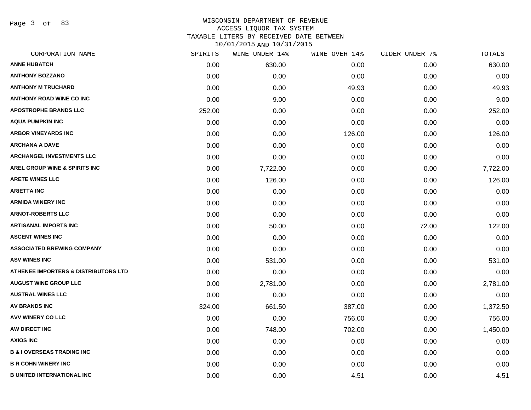Page 3 of 83

| CORPORATION NAME                                | SPIRITS | WINE UNDER 14% | WINE OVER 14% | CIDER UNDER 7% | TOTALS   |
|-------------------------------------------------|---------|----------------|---------------|----------------|----------|
| <b>ANNE HUBATCH</b>                             | 0.00    | 630.00         | 0.00          | 0.00           | 630.00   |
| <b>ANTHONY BOZZANO</b>                          | 0.00    | 0.00           | 0.00          | 0.00           | 0.00     |
| <b>ANTHONY M TRUCHARD</b>                       | 0.00    | 0.00           | 49.93         | 0.00           | 49.93    |
| <b>ANTHONY ROAD WINE CO INC</b>                 | 0.00    | 9.00           | 0.00          | 0.00           | 9.00     |
| <b>APOSTROPHE BRANDS LLC</b>                    | 252.00  | 0.00           | 0.00          | 0.00           | 252.00   |
| <b>AQUA PUMPKIN INC</b>                         | 0.00    | 0.00           | 0.00          | 0.00           | 0.00     |
| <b>ARBOR VINEYARDS INC</b>                      | 0.00    | 0.00           | 126.00        | 0.00           | 126.00   |
| <b>ARCHANA A DAVE</b>                           | 0.00    | 0.00           | 0.00          | 0.00           | 0.00     |
| <b>ARCHANGEL INVESTMENTS LLC</b>                | 0.00    | 0.00           | 0.00          | 0.00           | 0.00     |
| <b>AREL GROUP WINE &amp; SPIRITS INC</b>        | 0.00    | 7,722.00       | 0.00          | 0.00           | 7,722.00 |
| <b>ARETE WINES LLC</b>                          | 0.00    | 126.00         | 0.00          | 0.00           | 126.00   |
| <b>ARIETTA INC</b>                              | 0.00    | 0.00           | 0.00          | 0.00           | 0.00     |
| <b>ARMIDA WINERY INC</b>                        | 0.00    | 0.00           | 0.00          | 0.00           | 0.00     |
| <b>ARNOT-ROBERTS LLC</b>                        | 0.00    | 0.00           | 0.00          | 0.00           | 0.00     |
| <b>ARTISANAL IMPORTS INC</b>                    | 0.00    | 50.00          | 0.00          | 72.00          | 122.00   |
| <b>ASCENT WINES INC</b>                         | 0.00    | 0.00           | 0.00          | 0.00           | 0.00     |
| <b>ASSOCIATED BREWING COMPANY</b>               | 0.00    | 0.00           | 0.00          | 0.00           | 0.00     |
| <b>ASV WINES INC</b>                            | 0.00    | 531.00         | 0.00          | 0.00           | 531.00   |
| <b>ATHENEE IMPORTERS &amp; DISTRIBUTORS LTD</b> | 0.00    | 0.00           | 0.00          | 0.00           | 0.00     |
| <b>AUGUST WINE GROUP LLC</b>                    | 0.00    | 2,781.00       | 0.00          | 0.00           | 2,781.00 |
| <b>AUSTRAL WINES LLC</b>                        | 0.00    | 0.00           | 0.00          | 0.00           | 0.00     |
| <b>AV BRANDS INC</b>                            | 324.00  | 661.50         | 387.00        | 0.00           | 1,372.50 |
| <b>AVV WINERY CO LLC</b>                        | 0.00    | 0.00           | 756.00        | 0.00           | 756.00   |
| AW DIRECT INC                                   | 0.00    | 748.00         | 702.00        | 0.00           | 1,450.00 |
| <b>AXIOS INC</b>                                | 0.00    | 0.00           | 0.00          | 0.00           | 0.00     |
| <b>B &amp; I OVERSEAS TRADING INC</b>           | 0.00    | 0.00           | 0.00          | 0.00           | 0.00     |
| <b>B R COHN WINERY INC</b>                      | 0.00    | 0.00           | 0.00          | 0.00           | 0.00     |
| <b>B UNITED INTERNATIONAL INC</b>               | 0.00    | 0.00           | 4.51          | 0.00           | 4.51     |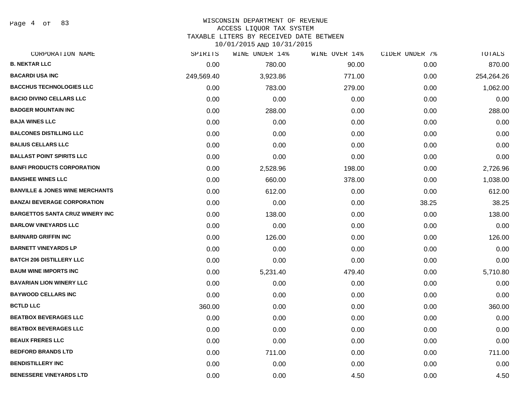Page 4 of 83

#### WISCONSIN DEPARTMENT OF REVENUE ACCESS LIQUOR TAX SYSTEM

TAXABLE LITERS BY RECEIVED DATE BETWEEN

| CORPORATION NAME                           | SPIRITS    | WINE UNDER 14% | WINE OVER 14% | CIDER UNDER 7% | TOTALS     |
|--------------------------------------------|------------|----------------|---------------|----------------|------------|
| <b>B. NEKTAR LLC</b>                       | 0.00       | 780.00         | 90.00         | 0.00           | 870.00     |
| <b>BACARDI USA INC</b>                     | 249,569.40 | 3,923.86       | 771.00        | 0.00           | 254,264.26 |
| <b>BACCHUS TECHNOLOGIES LLC</b>            | 0.00       | 783.00         | 279.00        | 0.00           | 1,062.00   |
| <b>BACIO DIVINO CELLARS LLC</b>            | 0.00       | 0.00           | 0.00          | 0.00           | 0.00       |
| <b>BADGER MOUNTAIN INC</b>                 | 0.00       | 288.00         | 0.00          | 0.00           | 288.00     |
| <b>BAJA WINES LLC</b>                      | 0.00       | 0.00           | 0.00          | 0.00           | 0.00       |
| <b>BALCONES DISTILLING LLC</b>             | 0.00       | 0.00           | 0.00          | 0.00           | 0.00       |
| <b>BALIUS CELLARS LLC</b>                  | 0.00       | 0.00           | 0.00          | 0.00           | 0.00       |
| <b>BALLAST POINT SPIRITS LLC</b>           | 0.00       | 0.00           | 0.00          | 0.00           | 0.00       |
| <b>BANFI PRODUCTS CORPORATION</b>          | 0.00       | 2,528.96       | 198.00        | 0.00           | 2,726.96   |
| <b>BANSHEE WINES LLC</b>                   | 0.00       | 660.00         | 378.00        | 0.00           | 1,038.00   |
| <b>BANVILLE &amp; JONES WINE MERCHANTS</b> | 0.00       | 612.00         | 0.00          | 0.00           | 612.00     |
| <b>BANZAI BEVERAGE CORPORATION</b>         | 0.00       | 0.00           | 0.00          | 38.25          | 38.25      |
| <b>BARGETTOS SANTA CRUZ WINERY INC</b>     | 0.00       | 138.00         | 0.00          | 0.00           | 138.00     |
| <b>BARLOW VINEYARDS LLC</b>                | 0.00       | 0.00           | 0.00          | 0.00           | 0.00       |
| <b>BARNARD GRIFFIN INC</b>                 | 0.00       | 126.00         | 0.00          | 0.00           | 126.00     |
| <b>BARNETT VINEYARDS LP</b>                | 0.00       | 0.00           | 0.00          | 0.00           | 0.00       |
| <b>BATCH 206 DISTILLERY LLC</b>            | 0.00       | 0.00           | 0.00          | 0.00           | 0.00       |
| <b>BAUM WINE IMPORTS INC</b>               | 0.00       | 5,231.40       | 479.40        | 0.00           | 5,710.80   |
| <b>BAVARIAN LION WINERY LLC</b>            | 0.00       | 0.00           | 0.00          | 0.00           | 0.00       |
| <b>BAYWOOD CELLARS INC</b>                 | 0.00       | 0.00           | 0.00          | 0.00           | 0.00       |
| <b>BCTLD LLC</b>                           | 360.00     | 0.00           | 0.00          | 0.00           | 360.00     |
| <b>BEATBOX BEVERAGES LLC</b>               | 0.00       | 0.00           | 0.00          | 0.00           | 0.00       |
| <b>BEATBOX BEVERAGES LLC</b>               | 0.00       | 0.00           | 0.00          | 0.00           | 0.00       |
| <b>BEAUX FRERES LLC</b>                    | 0.00       | 0.00           | 0.00          | 0.00           | 0.00       |
| <b>BEDFORD BRANDS LTD</b>                  | 0.00       | 711.00         | 0.00          | 0.00           | 711.00     |
| <b>BENDISTILLERY INC</b>                   | 0.00       | 0.00           | 0.00          | 0.00           | 0.00       |
| <b>BENESSERE VINEYARDS LTD</b>             | 0.00       | 0.00           | 4.50          | 0.00           | 4.50       |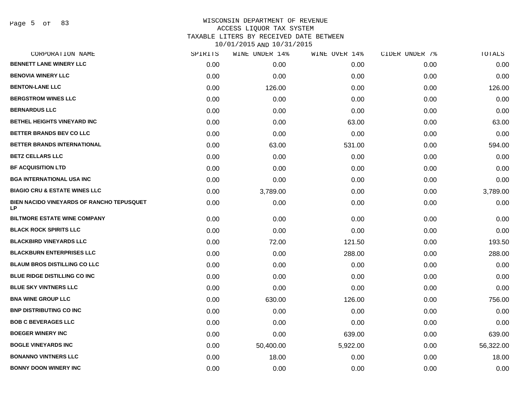Page 5 of 83

# WISCONSIN DEPARTMENT OF REVENUE ACCESS LIQUOR TAX SYSTEM TAXABLE LITERS BY RECEIVED DATE BETWEEN

| CORPORATION NAME                                       | SPIRITS | WINE UNDER 14% | WINE OVER 14% | CIDER UNDER 7% | TOTALS    |
|--------------------------------------------------------|---------|----------------|---------------|----------------|-----------|
| <b>BENNETT LANE WINERY LLC</b>                         | 0.00    | 0.00           | 0.00          | 0.00           | 0.00      |
| <b>BENOVIA WINERY LLC</b>                              | 0.00    | 0.00           | 0.00          | 0.00           | 0.00      |
| <b>BENTON-LANE LLC</b>                                 | 0.00    | 126.00         | 0.00          | 0.00           | 126.00    |
| <b>BERGSTROM WINES LLC</b>                             | 0.00    | 0.00           | 0.00          | 0.00           | 0.00      |
| <b>BERNARDUS LLC</b>                                   | 0.00    | 0.00           | 0.00          | 0.00           | 0.00      |
| <b>BETHEL HEIGHTS VINEYARD INC</b>                     | 0.00    | 0.00           | 63.00         | 0.00           | 63.00     |
| BETTER BRANDS BEV CO LLC                               | 0.00    | 0.00           | 0.00          | 0.00           | 0.00      |
| BETTER BRANDS INTERNATIONAL                            | 0.00    | 63.00          | 531.00        | 0.00           | 594.00    |
| <b>BETZ CELLARS LLC</b>                                | 0.00    | 0.00           | 0.00          | 0.00           | 0.00      |
| <b>BF ACQUISITION LTD</b>                              | 0.00    | 0.00           | 0.00          | 0.00           | 0.00      |
| <b>BGA INTERNATIONAL USA INC</b>                       | 0.00    | 0.00           | 0.00          | 0.00           | 0.00      |
| <b>BIAGIO CRU &amp; ESTATE WINES LLC</b>               | 0.00    | 3,789.00       | 0.00          | 0.00           | 3,789.00  |
| BIEN NACIDO VINEYARDS OF RANCHO TEPUSQUET<br><b>LP</b> | 0.00    | 0.00           | 0.00          | 0.00           | 0.00      |
| <b>BILTMORE ESTATE WINE COMPANY</b>                    | 0.00    | 0.00           | 0.00          | 0.00           | 0.00      |
| <b>BLACK ROCK SPIRITS LLC</b>                          | 0.00    | 0.00           | 0.00          | 0.00           | 0.00      |
| <b>BLACKBIRD VINEYARDS LLC</b>                         | 0.00    | 72.00          | 121.50        | 0.00           | 193.50    |
| <b>BLACKBURN ENTERPRISES LLC</b>                       | 0.00    | 0.00           | 288.00        | 0.00           | 288.00    |
| <b>BLAUM BROS DISTILLING CO LLC</b>                    | 0.00    | 0.00           | 0.00          | 0.00           | 0.00      |
| BLUE RIDGE DISTILLING CO INC                           | 0.00    | 0.00           | 0.00          | 0.00           | 0.00      |
| <b>BLUE SKY VINTNERS LLC</b>                           | 0.00    | 0.00           | 0.00          | 0.00           | 0.00      |
| <b>BNA WINE GROUP LLC</b>                              | 0.00    | 630.00         | 126.00        | 0.00           | 756.00    |
| <b>BNP DISTRIBUTING CO INC</b>                         | 0.00    | 0.00           | 0.00          | 0.00           | 0.00      |
| <b>BOB C BEVERAGES LLC</b>                             | 0.00    | 0.00           | 0.00          | 0.00           | 0.00      |
| <b>BOEGER WINERY INC</b>                               | 0.00    | 0.00           | 639.00        | 0.00           | 639.00    |
| <b>BOGLE VINEYARDS INC</b>                             | 0.00    | 50,400.00      | 5,922.00      | 0.00           | 56,322.00 |
| <b>BONANNO VINTNERS LLC</b>                            | 0.00    | 18.00          | 0.00          | 0.00           | 18.00     |
| <b>BONNY DOON WINERY INC</b>                           | 0.00    | 0.00           | 0.00          | 0.00           | 0.00      |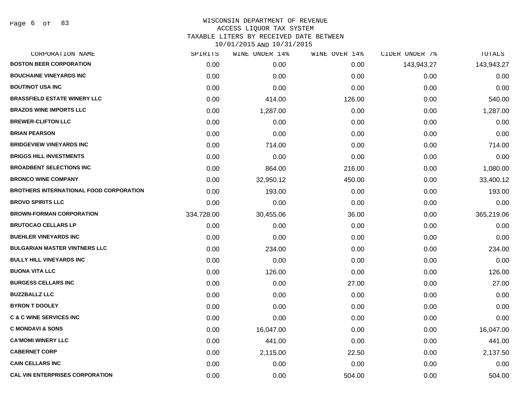| CORPORATION NAME                               | SPIRITS    | WINE UNDER 14% | WINE OVER 14% | CIDER UNDER 7% | TOTALS     |
|------------------------------------------------|------------|----------------|---------------|----------------|------------|
| <b>BOSTON BEER CORPORATION</b>                 | 0.00       | 0.00           | 0.00          | 143,943.27     | 143,943.27 |
| <b>BOUCHAINE VINEYARDS INC</b>                 | 0.00       | 0.00           | 0.00          | 0.00           | 0.00       |
| <b>BOUTINOT USA INC</b>                        | 0.00       | 0.00           | 0.00          | 0.00           | 0.00       |
| <b>BRASSFIELD ESTATE WINERY LLC</b>            | 0.00       | 414.00         | 126.00        | 0.00           | 540.00     |
| <b>BRAZOS WINE IMPORTS LLC</b>                 | 0.00       | 1,287.00       | 0.00          | 0.00           | 1,287.00   |
| <b>BREWER-CLIFTON LLC</b>                      | 0.00       | 0.00           | 0.00          | 0.00           | 0.00       |
| <b>BRIAN PEARSON</b>                           | 0.00       | 0.00           | 0.00          | 0.00           | 0.00       |
| <b>BRIDGEVIEW VINEYARDS INC</b>                | 0.00       | 714.00         | 0.00          | 0.00           | 714.00     |
| <b>BRIGGS HILL INVESTMENTS</b>                 | 0.00       | 0.00           | 0.00          | 0.00           | 0.00       |
| <b>BROADBENT SELECTIONS INC</b>                | 0.00       | 864.00         | 216.00        | 0.00           | 1,080.00   |
| <b>BRONCO WINE COMPANY</b>                     | 0.00       | 32,950.12      | 450.00        | 0.00           | 33,400.12  |
| <b>BROTHERS INTERNATIONAL FOOD CORPORATION</b> | 0.00       | 193.00         | 0.00          | 0.00           | 193.00     |
| <b>BROVO SPIRITS LLC</b>                       | 0.00       | 0.00           | 0.00          | 0.00           | 0.00       |
| <b>BROWN-FORMAN CORPORATION</b>                | 334,728.00 | 30,455.06      | 36.00         | 0.00           | 365,219.06 |
| <b>BRUTOCAO CELLARS LP</b>                     | 0.00       | 0.00           | 0.00          | 0.00           | 0.00       |
| <b>BUEHLER VINEYARDS INC</b>                   | 0.00       | 0.00           | 0.00          | 0.00           | 0.00       |
| <b>BULGARIAN MASTER VINTNERS LLC</b>           | 0.00       | 234.00         | 0.00          | 0.00           | 234.00     |
| <b>BULLY HILL VINEYARDS INC</b>                | 0.00       | 0.00           | 0.00          | 0.00           | 0.00       |
| <b>BUONA VITA LLC</b>                          | 0.00       | 126.00         | 0.00          | 0.00           | 126.00     |
| <b>BURGESS CELLARS INC</b>                     | 0.00       | 0.00           | 27.00         | 0.00           | 27.00      |
| <b>BUZZBALLZ LLC</b>                           | 0.00       | 0.00           | 0.00          | 0.00           | 0.00       |
| <b>BYRON T DOOLEY</b>                          | 0.00       | 0.00           | 0.00          | 0.00           | 0.00       |
| <b>C &amp; C WINE SERVICES INC</b>             | 0.00       | 0.00           | 0.00          | 0.00           | 0.00       |
| <b>C MONDAVI &amp; SONS</b>                    | 0.00       | 16,047.00      | 0.00          | 0.00           | 16,047.00  |
| <b>CA'MOMI WINERY LLC</b>                      | 0.00       | 441.00         | 0.00          | 0.00           | 441.00     |
| <b>CABERNET CORP</b>                           | 0.00       | 2,115.00       | 22.50         | 0.00           | 2,137.50   |
| <b>CAIN CELLARS INC</b>                        | 0.00       | 0.00           | 0.00          | 0.00           | 0.00       |
| <b>CAL VIN ENTERPRISES CORPORATION</b>         | 0.00       | 0.00           | 504.00        | 0.00           | 504.00     |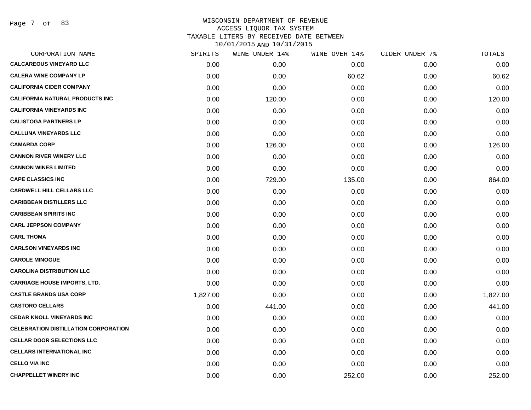| CORPORATION NAME                            | SPIRITS  | WINE UNDER 14% | WINE OVER 14% | CIDER UNDER 7% | TOTALS   |
|---------------------------------------------|----------|----------------|---------------|----------------|----------|
| <b>CALCAREOUS VINEYARD LLC</b>              | 0.00     | 0.00           | 0.00          | 0.00           | 0.00     |
| <b>CALERA WINE COMPANY LP</b>               | 0.00     | 0.00           | 60.62         | 0.00           | 60.62    |
| <b>CALIFORNIA CIDER COMPANY</b>             | 0.00     | 0.00           | 0.00          | 0.00           | 0.00     |
| CALIFORNIA NATURAL PRODUCTS INC             | 0.00     | 120.00         | 0.00          | 0.00           | 120.00   |
| <b>CALIFORNIA VINEYARDS INC</b>             | 0.00     | 0.00           | 0.00          | 0.00           | 0.00     |
| <b>CALISTOGA PARTNERS LP</b>                | 0.00     | 0.00           | 0.00          | 0.00           | 0.00     |
| <b>CALLUNA VINEYARDS LLC</b>                | 0.00     | 0.00           | 0.00          | 0.00           | 0.00     |
| <b>CAMARDA CORP</b>                         | 0.00     | 126.00         | 0.00          | 0.00           | 126.00   |
| <b>CANNON RIVER WINERY LLC</b>              | 0.00     | 0.00           | 0.00          | 0.00           | 0.00     |
| <b>CANNON WINES LIMITED</b>                 | 0.00     | 0.00           | 0.00          | 0.00           | 0.00     |
| <b>CAPE CLASSICS INC</b>                    | 0.00     | 729.00         | 135.00        | 0.00           | 864.00   |
| <b>CARDWELL HILL CELLARS LLC</b>            | 0.00     | 0.00           | 0.00          | 0.00           | 0.00     |
| <b>CARIBBEAN DISTILLERS LLC</b>             | 0.00     | 0.00           | 0.00          | 0.00           | 0.00     |
| <b>CARIBBEAN SPIRITS INC</b>                | 0.00     | 0.00           | 0.00          | 0.00           | 0.00     |
| <b>CARL JEPPSON COMPANY</b>                 | 0.00     | 0.00           | 0.00          | 0.00           | 0.00     |
| <b>CARL THOMA</b>                           | 0.00     | 0.00           | 0.00          | 0.00           | 0.00     |
| <b>CARLSON VINEYARDS INC</b>                | 0.00     | 0.00           | 0.00          | 0.00           | 0.00     |
| <b>CAROLE MINOGUE</b>                       | 0.00     | 0.00           | 0.00          | 0.00           | 0.00     |
| <b>CAROLINA DISTRIBUTION LLC</b>            | 0.00     | 0.00           | 0.00          | 0.00           | 0.00     |
| <b>CARRIAGE HOUSE IMPORTS, LTD.</b>         | 0.00     | 0.00           | 0.00          | 0.00           | 0.00     |
| <b>CASTLE BRANDS USA CORP</b>               | 1,827.00 | 0.00           | 0.00          | 0.00           | 1,827.00 |
| <b>CASTORO CELLARS</b>                      | 0.00     | 441.00         | 0.00          | 0.00           | 441.00   |
| <b>CEDAR KNOLL VINEYARDS INC</b>            | 0.00     | 0.00           | 0.00          | 0.00           | 0.00     |
| <b>CELEBRATION DISTILLATION CORPORATION</b> | 0.00     | 0.00           | 0.00          | 0.00           | 0.00     |
| <b>CELLAR DOOR SELECTIONS LLC</b>           | 0.00     | 0.00           | 0.00          | 0.00           | 0.00     |
| <b>CELLARS INTERNATIONAL INC</b>            | 0.00     | 0.00           | 0.00          | 0.00           | 0.00     |
| <b>CELLO VIA INC</b>                        | 0.00     | 0.00           | 0.00          | 0.00           | 0.00     |
| <b>CHAPPELLET WINERY INC</b>                | 0.00     | 0.00           | 252.00        | 0.00           | 252.00   |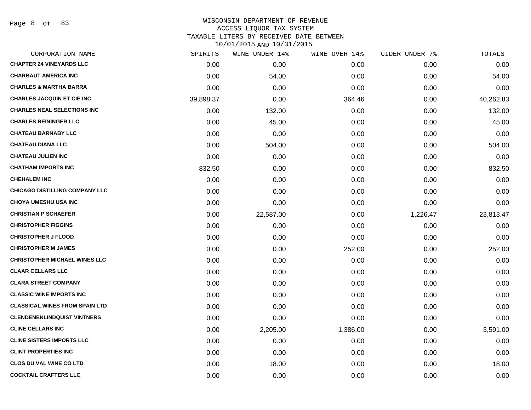Page 8 of 83

| CORPORATION NAME                      | SPIRITS   | WINE UNDER 14% | WINE OVER 14% | CIDER UNDER 7% | TOTALS    |
|---------------------------------------|-----------|----------------|---------------|----------------|-----------|
| <b>CHAPTER 24 VINEYARDS LLC</b>       | 0.00      | 0.00           | 0.00          | 0.00           | 0.00      |
| <b>CHARBAUT AMERICA INC</b>           | 0.00      | 54.00          | 0.00          | 0.00           | 54.00     |
| <b>CHARLES &amp; MARTHA BARRA</b>     | 0.00      | 0.00           | 0.00          | 0.00           | 0.00      |
| <b>CHARLES JACQUIN ET CIE INC</b>     | 39,898.37 | 0.00           | 364.46        | 0.00           | 40,262.83 |
| <b>CHARLES NEAL SELECTIONS INC</b>    | 0.00      | 132.00         | 0.00          | 0.00           | 132.00    |
| <b>CHARLES REININGER LLC</b>          | 0.00      | 45.00          | 0.00          | 0.00           | 45.00     |
| <b>CHATEAU BARNABY LLC</b>            | 0.00      | 0.00           | 0.00          | 0.00           | 0.00      |
| <b>CHATEAU DIANA LLC</b>              | 0.00      | 504.00         | 0.00          | 0.00           | 504.00    |
| <b>CHATEAU JULIEN INC</b>             | 0.00      | 0.00           | 0.00          | 0.00           | 0.00      |
| <b>CHATHAM IMPORTS INC</b>            | 832.50    | 0.00           | 0.00          | 0.00           | 832.50    |
| <b>CHEHALEM INC</b>                   | 0.00      | 0.00           | 0.00          | 0.00           | 0.00      |
| <b>CHICAGO DISTILLING COMPANY LLC</b> | 0.00      | 0.00           | 0.00          | 0.00           | 0.00      |
| <b>CHOYA UMESHU USA INC</b>           | 0.00      | 0.00           | 0.00          | 0.00           | 0.00      |
| <b>CHRISTIAN P SCHAEFER</b>           | 0.00      | 22,587.00      | 0.00          | 1,226.47       | 23,813.47 |
| <b>CHRISTOPHER FIGGINS</b>            | 0.00      | 0.00           | 0.00          | 0.00           | 0.00      |
| <b>CHRISTOPHER J FLOOD</b>            | 0.00      | 0.00           | 0.00          | 0.00           | 0.00      |
| <b>CHRISTOPHER M JAMES</b>            | 0.00      | 0.00           | 252.00        | 0.00           | 252.00    |
| <b>CHRISTOPHER MICHAEL WINES LLC</b>  | 0.00      | 0.00           | 0.00          | 0.00           | 0.00      |
| <b>CLAAR CELLARS LLC</b>              | 0.00      | 0.00           | 0.00          | 0.00           | 0.00      |
| <b>CLARA STREET COMPANY</b>           | 0.00      | 0.00           | 0.00          | 0.00           | 0.00      |
| <b>CLASSIC WINE IMPORTS INC</b>       | 0.00      | 0.00           | 0.00          | 0.00           | 0.00      |
| <b>CLASSICAL WINES FROM SPAIN LTD</b> | 0.00      | 0.00           | 0.00          | 0.00           | 0.00      |
| <b>CLENDENENLINDQUIST VINTNERS</b>    | 0.00      | 0.00           | 0.00          | 0.00           | 0.00      |
| <b>CLINE CELLARS INC</b>              | 0.00      | 2,205.00       | 1,386.00      | 0.00           | 3,591.00  |
| <b>CLINE SISTERS IMPORTS LLC</b>      | 0.00      | 0.00           | 0.00          | 0.00           | 0.00      |
| <b>CLINT PROPERTIES INC</b>           | 0.00      | 0.00           | 0.00          | 0.00           | 0.00      |
| <b>CLOS DU VAL WINE CO LTD</b>        | 0.00      | 18.00          | 0.00          | 0.00           | 18.00     |
| <b>COCKTAIL CRAFTERS LLC</b>          | 0.00      | 0.00           | 0.00          | 0.00           | 0.00      |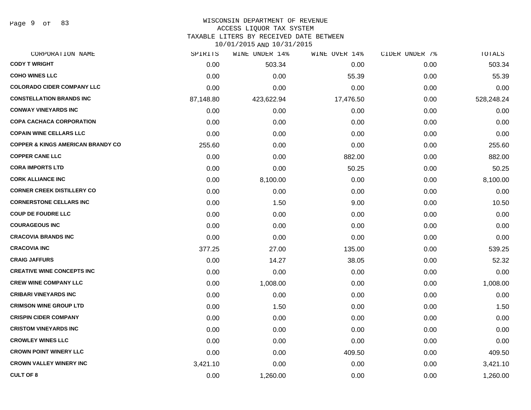Page 9 of 83

# WISCONSIN DEPARTMENT OF REVENUE

### ACCESS LIQUOR TAX SYSTEM

TAXABLE LITERS BY RECEIVED DATE BETWEEN

| CORPORATION NAME                             | SPIRITS   | WINE UNDER 14% | WINE OVER 14% | CIDER UNDER 7% | TOTALS     |
|----------------------------------------------|-----------|----------------|---------------|----------------|------------|
| <b>CODY T WRIGHT</b>                         | 0.00      | 503.34         | 0.00          | 0.00           | 503.34     |
| <b>COHO WINES LLC</b>                        | 0.00      | 0.00           | 55.39         | 0.00           | 55.39      |
| <b>COLORADO CIDER COMPANY LLC</b>            | 0.00      | 0.00           | 0.00          | 0.00           | 0.00       |
| <b>CONSTELLATION BRANDS INC</b>              | 87,148.80 | 423,622.94     | 17,476.50     | 0.00           | 528,248.24 |
| <b>CONWAY VINEYARDS INC</b>                  | 0.00      | 0.00           | 0.00          | 0.00           | 0.00       |
| <b>COPA CACHACA CORPORATION</b>              | 0.00      | 0.00           | 0.00          | 0.00           | 0.00       |
| <b>COPAIN WINE CELLARS LLC</b>               | 0.00      | 0.00           | 0.00          | 0.00           | 0.00       |
| <b>COPPER &amp; KINGS AMERICAN BRANDY CO</b> | 255.60    | 0.00           | 0.00          | 0.00           | 255.60     |
| <b>COPPER CANE LLC</b>                       | 0.00      | 0.00           | 882.00        | 0.00           | 882.00     |
| <b>CORA IMPORTS LTD</b>                      | 0.00      | 0.00           | 50.25         | 0.00           | 50.25      |
| <b>CORK ALLIANCE INC</b>                     | 0.00      | 8,100.00       | 0.00          | 0.00           | 8,100.00   |
| <b>CORNER CREEK DISTILLERY CO</b>            | 0.00      | 0.00           | 0.00          | 0.00           | 0.00       |
| <b>CORNERSTONE CELLARS INC</b>               | 0.00      | 1.50           | 9.00          | 0.00           | 10.50      |
| <b>COUP DE FOUDRE LLC</b>                    | 0.00      | 0.00           | 0.00          | 0.00           | 0.00       |
| <b>COURAGEOUS INC</b>                        | 0.00      | 0.00           | 0.00          | 0.00           | 0.00       |
| <b>CRACOVIA BRANDS INC</b>                   | 0.00      | 0.00           | 0.00          | 0.00           | 0.00       |
| <b>CRACOVIA INC</b>                          | 377.25    | 27.00          | 135.00        | 0.00           | 539.25     |
| <b>CRAIG JAFFURS</b>                         | 0.00      | 14.27          | 38.05         | 0.00           | 52.32      |
| <b>CREATIVE WINE CONCEPTS INC</b>            | 0.00      | 0.00           | 0.00          | 0.00           | 0.00       |
| <b>CREW WINE COMPANY LLC</b>                 | 0.00      | 1,008.00       | 0.00          | 0.00           | 1,008.00   |
| <b>CRIBARI VINEYARDS INC</b>                 | 0.00      | 0.00           | 0.00          | 0.00           | 0.00       |
| <b>CRIMSON WINE GROUP LTD</b>                | 0.00      | 1.50           | 0.00          | 0.00           | 1.50       |
| <b>CRISPIN CIDER COMPANY</b>                 | 0.00      | 0.00           | 0.00          | 0.00           | 0.00       |
| <b>CRISTOM VINEYARDS INC</b>                 | 0.00      | 0.00           | 0.00          | 0.00           | 0.00       |
| <b>CROWLEY WINES LLC</b>                     | 0.00      | 0.00           | 0.00          | 0.00           | 0.00       |
| <b>CROWN POINT WINERY LLC</b>                | 0.00      | 0.00           | 409.50        | 0.00           | 409.50     |
| <b>CROWN VALLEY WINERY INC</b>               | 3,421.10  | 0.00           | 0.00          | 0.00           | 3,421.10   |
| <b>CULT OF 8</b>                             | 0.00      | 1,260.00       | 0.00          | 0.00           | 1,260.00   |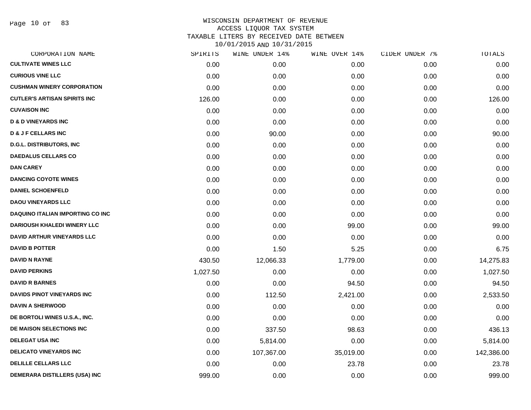Page 10 of 83

| CORPORATION NAME                        | SPIRITS  | WINE UNDER 14% | WINE OVER 14% | CIDER UNDER 7% | TOTALS     |
|-----------------------------------------|----------|----------------|---------------|----------------|------------|
| <b>CULTIVATE WINES LLC</b>              | 0.00     | 0.00           | 0.00          | 0.00           | 0.00       |
| <b>CURIOUS VINE LLC</b>                 | 0.00     | 0.00           | 0.00          | 0.00           | 0.00       |
| <b>CUSHMAN WINERY CORPORATION</b>       | 0.00     | 0.00           | 0.00          | 0.00           | 0.00       |
| <b>CUTLER'S ARTISAN SPIRITS INC</b>     | 126.00   | 0.00           | 0.00          | 0.00           | 126.00     |
| <b>CUVAISON INC</b>                     | 0.00     | 0.00           | 0.00          | 0.00           | 0.00       |
| <b>D &amp; D VINEYARDS INC</b>          | 0.00     | 0.00           | 0.00          | 0.00           | 0.00       |
| <b>D &amp; J F CELLARS INC</b>          | 0.00     | 90.00          | 0.00          | 0.00           | 90.00      |
| <b>D.G.L. DISTRIBUTORS, INC</b>         | 0.00     | 0.00           | 0.00          | 0.00           | 0.00       |
| <b>DAEDALUS CELLARS CO</b>              | 0.00     | 0.00           | 0.00          | 0.00           | 0.00       |
| <b>DAN CAREY</b>                        | 0.00     | 0.00           | 0.00          | 0.00           | 0.00       |
| <b>DANCING COYOTE WINES</b>             | 0.00     | 0.00           | 0.00          | 0.00           | 0.00       |
| <b>DANIEL SCHOENFELD</b>                | 0.00     | 0.00           | 0.00          | 0.00           | 0.00       |
| <b>DAOU VINEYARDS LLC</b>               | 0.00     | 0.00           | 0.00          | 0.00           | 0.00       |
| <b>DAQUINO ITALIAN IMPORTING CO INC</b> | 0.00     | 0.00           | 0.00          | 0.00           | 0.00       |
| <b>DARIOUSH KHALEDI WINERY LLC</b>      | 0.00     | 0.00           | 99.00         | 0.00           | 99.00      |
| DAVID ARTHUR VINEYARDS LLC              | 0.00     | 0.00           | 0.00          | 0.00           | 0.00       |
| <b>DAVID B POTTER</b>                   | 0.00     | 1.50           | 5.25          | 0.00           | 6.75       |
| DAVID N RAYNE                           | 430.50   | 12,066.33      | 1,779.00      | 0.00           | 14,275.83  |
| <b>DAVID PERKINS</b>                    | 1,027.50 | 0.00           | 0.00          | 0.00           | 1,027.50   |
| <b>DAVID R BARNES</b>                   | 0.00     | 0.00           | 94.50         | 0.00           | 94.50      |
| <b>DAVIDS PINOT VINEYARDS INC</b>       | 0.00     | 112.50         | 2,421.00      | 0.00           | 2,533.50   |
| <b>DAVIN A SHERWOOD</b>                 | 0.00     | 0.00           | 0.00          | 0.00           | 0.00       |
| DE BORTOLI WINES U.S.A., INC.           | 0.00     | 0.00           | 0.00          | 0.00           | 0.00       |
| DE MAISON SELECTIONS INC                | 0.00     | 337.50         | 98.63         | 0.00           | 436.13     |
| <b>DELEGAT USA INC</b>                  | 0.00     | 5,814.00       | 0.00          | 0.00           | 5,814.00   |
| <b>DELICATO VINEYARDS INC</b>           | 0.00     | 107,367.00     | 35,019.00     | 0.00           | 142,386.00 |
| <b>DELILLE CELLARS LLC</b>              | 0.00     | 0.00           | 23.78         | 0.00           | 23.78      |
| DEMERARA DISTILLERS (USA) INC           | 999.00   | 0.00           | 0.00          | 0.00           | 999.00     |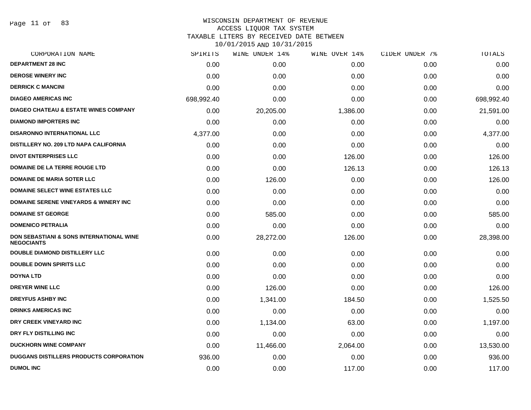Page 11 of 83

### WISCONSIN DEPARTMENT OF REVENUE ACCESS LIQUOR TAX SYSTEM TAXABLE LITERS BY RECEIVED DATE BETWEEN

| CORPORATION NAME                                                         | SPIRITS    | WINE UNDER 14% | WINE OVER 14% | CIDER UNDER 7% | TOTALS     |
|--------------------------------------------------------------------------|------------|----------------|---------------|----------------|------------|
| <b>DEPARTMENT 28 INC</b>                                                 | 0.00       | 0.00           | 0.00          | 0.00           | 0.00       |
| <b>DEROSE WINERY INC</b>                                                 | 0.00       | 0.00           | 0.00          | 0.00           | 0.00       |
| <b>DERRICK C MANCINI</b>                                                 | 0.00       | 0.00           | 0.00          | 0.00           | 0.00       |
| <b>DIAGEO AMERICAS INC</b>                                               | 698,992.40 | 0.00           | 0.00          | 0.00           | 698,992.40 |
| <b>DIAGEO CHATEAU &amp; ESTATE WINES COMPANY</b>                         | 0.00       | 20,205.00      | 1,386.00      | 0.00           | 21,591.00  |
| <b>DIAMOND IMPORTERS INC</b>                                             | 0.00       | 0.00           | 0.00          | 0.00           | 0.00       |
| <b>DISARONNO INTERNATIONAL LLC</b>                                       | 4,377.00   | 0.00           | 0.00          | 0.00           | 4,377.00   |
| DISTILLERY NO. 209 LTD NAPA CALIFORNIA                                   | 0.00       | 0.00           | 0.00          | 0.00           | 0.00       |
| <b>DIVOT ENTERPRISES LLC</b>                                             | 0.00       | 0.00           | 126.00        | 0.00           | 126.00     |
| <b>DOMAINE DE LA TERRE ROUGE LTD</b>                                     | 0.00       | 0.00           | 126.13        | 0.00           | 126.13     |
| <b>DOMAINE DE MARIA SOTER LLC</b>                                        | 0.00       | 126.00         | 0.00          | 0.00           | 126.00     |
| <b>DOMAINE SELECT WINE ESTATES LLC</b>                                   | 0.00       | 0.00           | 0.00          | 0.00           | 0.00       |
| <b>DOMAINE SERENE VINEYARDS &amp; WINERY INC</b>                         | 0.00       | 0.00           | 0.00          | 0.00           | 0.00       |
| <b>DOMAINE ST GEORGE</b>                                                 | 0.00       | 585.00         | 0.00          | 0.00           | 585.00     |
| <b>DOMENICO PETRALIA</b>                                                 | 0.00       | 0.00           | 0.00          | 0.00           | 0.00       |
| <b>DON SEBASTIANI &amp; SONS INTERNATIONAL WINE</b><br><b>NEGOCIANTS</b> | 0.00       | 28,272.00      | 126.00        | 0.00           | 28,398.00  |
| <b>DOUBLE DIAMOND DISTILLERY LLC</b>                                     | 0.00       | 0.00           | 0.00          | 0.00           | 0.00       |
| <b>DOUBLE DOWN SPIRITS LLC</b>                                           | 0.00       | 0.00           | 0.00          | 0.00           | 0.00       |
| <b>DOYNA LTD</b>                                                         | 0.00       | 0.00           | 0.00          | 0.00           | 0.00       |
| <b>DREYER WINE LLC</b>                                                   | 0.00       | 126.00         | 0.00          | 0.00           | 126.00     |
| <b>DREYFUS ASHBY INC</b>                                                 | 0.00       | 1,341.00       | 184.50        | 0.00           | 1,525.50   |
| <b>DRINKS AMERICAS INC</b>                                               | 0.00       | 0.00           | 0.00          | 0.00           | 0.00       |
| DRY CREEK VINEYARD INC                                                   | 0.00       | 1,134.00       | 63.00         | 0.00           | 1,197.00   |
| DRY FLY DISTILLING INC                                                   | 0.00       | 0.00           | 0.00          | 0.00           | 0.00       |
| <b>DUCKHORN WINE COMPANY</b>                                             | 0.00       | 11,466.00      | 2,064.00      | 0.00           | 13,530.00  |
| <b>DUGGANS DISTILLERS PRODUCTS CORPORATION</b>                           | 936.00     | 0.00           | 0.00          | 0.00           | 936.00     |
| <b>DUMOL INC</b>                                                         | 0.00       | 0.00           | 117.00        | 0.00           | 117.00     |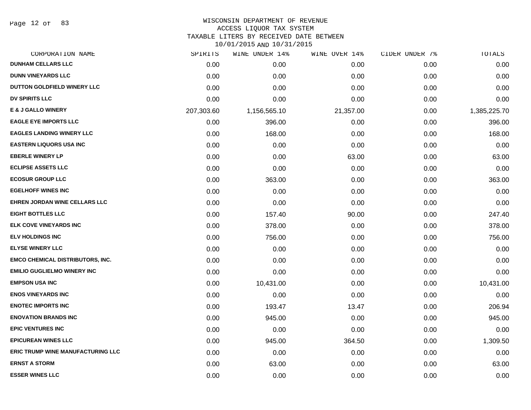Page 12 of 83

# WISCONSIN DEPARTMENT OF REVENUE

### ACCESS LIQUOR TAX SYSTEM

TAXABLE LITERS BY RECEIVED DATE BETWEEN

| CORPORATION NAME                         | SPIRITS    | WINE UNDER 14% | WINE OVER 14% | CIDER UNDER 7% | TOTALS       |
|------------------------------------------|------------|----------------|---------------|----------------|--------------|
| <b>DUNHAM CELLARS LLC</b>                | 0.00       | 0.00           | 0.00          | 0.00           | 0.00         |
| <b>DUNN VINEYARDS LLC</b>                | 0.00       | 0.00           | 0.00          | 0.00           | 0.00         |
| DUTTON GOLDFIELD WINERY LLC              | 0.00       | 0.00           | 0.00          | 0.00           | 0.00         |
| <b>DV SPIRITS LLC</b>                    | 0.00       | 0.00           | 0.00          | 0.00           | 0.00         |
| <b>E &amp; J GALLO WINERY</b>            | 207,303.60 | 1,156,565.10   | 21,357.00     | 0.00           | 1,385,225.70 |
| <b>EAGLE EYE IMPORTS LLC</b>             | 0.00       | 396.00         | 0.00          | 0.00           | 396.00       |
| <b>EAGLES LANDING WINERY LLC</b>         | 0.00       | 168.00         | 0.00          | 0.00           | 168.00       |
| <b>EASTERN LIQUORS USA INC</b>           | 0.00       | 0.00           | 0.00          | 0.00           | 0.00         |
| <b>EBERLE WINERY LP</b>                  | 0.00       | 0.00           | 63.00         | 0.00           | 63.00        |
| <b>ECLIPSE ASSETS LLC</b>                | 0.00       | 0.00           | 0.00          | 0.00           | 0.00         |
| <b>ECOSUR GROUP LLC</b>                  | 0.00       | 363.00         | 0.00          | 0.00           | 363.00       |
| <b>EGELHOFF WINES INC</b>                | 0.00       | 0.00           | 0.00          | 0.00           | 0.00         |
| EHREN JORDAN WINE CELLARS LLC            | 0.00       | 0.00           | 0.00          | 0.00           | 0.00         |
| <b>EIGHT BOTTLES LLC</b>                 | 0.00       | 157.40         | 90.00         | 0.00           | 247.40       |
| <b>ELK COVE VINEYARDS INC</b>            | 0.00       | 378.00         | 0.00          | 0.00           | 378.00       |
| <b>ELV HOLDINGS INC</b>                  | 0.00       | 756.00         | 0.00          | 0.00           | 756.00       |
| <b>ELYSE WINERY LLC</b>                  | 0.00       | 0.00           | 0.00          | 0.00           | 0.00         |
| <b>EMCO CHEMICAL DISTRIBUTORS, INC.</b>  | 0.00       | 0.00           | 0.00          | 0.00           | 0.00         |
| <b>EMILIO GUGLIELMO WINERY INC</b>       | 0.00       | 0.00           | 0.00          | 0.00           | 0.00         |
| <b>EMPSON USA INC</b>                    | 0.00       | 10,431.00      | 0.00          | 0.00           | 10,431.00    |
| <b>ENOS VINEYARDS INC</b>                | 0.00       | 0.00           | 0.00          | 0.00           | 0.00         |
| <b>ENOTEC IMPORTS INC</b>                | 0.00       | 193.47         | 13.47         | 0.00           | 206.94       |
| <b>ENOVATION BRANDS INC</b>              | 0.00       | 945.00         | 0.00          | 0.00           | 945.00       |
| <b>EPIC VENTURES INC</b>                 | 0.00       | 0.00           | 0.00          | 0.00           | 0.00         |
| <b>EPICUREAN WINES LLC</b>               | 0.00       | 945.00         | 364.50        | 0.00           | 1,309.50     |
| <b>ERIC TRUMP WINE MANUFACTURING LLC</b> | 0.00       | 0.00           | 0.00          | 0.00           | 0.00         |
| <b>ERNST A STORM</b>                     | 0.00       | 63.00          | 0.00          | 0.00           | 63.00        |
| <b>ESSER WINES LLC</b>                   | 0.00       | 0.00           | 0.00          | 0.00           | 0.00         |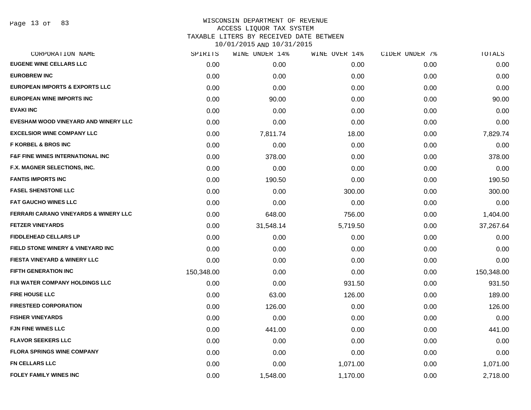# WISCONSIN DEPARTMENT OF REVENUE ACCESS LIQUOR TAX SYSTEM TAXABLE LITERS BY RECEIVED DATE BETWEEN

| CORPORATION NAME                                 | SPIRITS    | WINE UNDER 14% | WINE OVER 14% | CIDER UNDER 7% | TOTALS     |
|--------------------------------------------------|------------|----------------|---------------|----------------|------------|
| <b>EUGENE WINE CELLARS LLC</b>                   | 0.00       | 0.00           | 0.00          | 0.00           | 0.00       |
| <b>EUROBREW INC</b>                              | 0.00       | 0.00           | 0.00          | 0.00           | 0.00       |
| <b>EUROPEAN IMPORTS &amp; EXPORTS LLC</b>        | 0.00       | 0.00           | 0.00          | 0.00           | 0.00       |
| EUROPEAN WINE IMPORTS INC                        | 0.00       | 90.00          | 0.00          | 0.00           | 90.00      |
| <b>EVAKI INC</b>                                 | 0.00       | 0.00           | 0.00          | 0.00           | 0.00       |
| EVESHAM WOOD VINEYARD AND WINERY LLC             | 0.00       | 0.00           | 0.00          | 0.00           | 0.00       |
| <b>EXCELSIOR WINE COMPANY LLC</b>                | 0.00       | 7,811.74       | 18.00         | 0.00           | 7,829.74   |
| <b>F KORBEL &amp; BROS INC</b>                   | 0.00       | 0.00           | 0.00          | 0.00           | 0.00       |
| <b>F&amp;F FINE WINES INTERNATIONAL INC</b>      | 0.00       | 378.00         | 0.00          | 0.00           | 378.00     |
| F.X. MAGNER SELECTIONS, INC.                     | 0.00       | 0.00           | 0.00          | 0.00           | 0.00       |
| <b>FANTIS IMPORTS INC</b>                        | 0.00       | 190.50         | 0.00          | 0.00           | 190.50     |
| <b>FASEL SHENSTONE LLC</b>                       | 0.00       | 0.00           | 300.00        | 0.00           | 300.00     |
| <b>FAT GAUCHO WINES LLC</b>                      | 0.00       | 0.00           | 0.00          | 0.00           | 0.00       |
| <b>FERRARI CARANO VINEYARDS &amp; WINERY LLC</b> | 0.00       | 648.00         | 756.00        | 0.00           | 1,404.00   |
| <b>FETZER VINEYARDS</b>                          | 0.00       | 31,548.14      | 5,719.50      | 0.00           | 37,267.64  |
| <b>FIDDLEHEAD CELLARS LP</b>                     | 0.00       | 0.00           | 0.00          | 0.00           | 0.00       |
| FIELD STONE WINERY & VINEYARD INC                | 0.00       | 0.00           | 0.00          | 0.00           | 0.00       |
| <b>FIESTA VINEYARD &amp; WINERY LLC</b>          | 0.00       | 0.00           | 0.00          | 0.00           | 0.00       |
| <b>FIFTH GENERATION INC</b>                      | 150,348.00 | 0.00           | 0.00          | 0.00           | 150,348.00 |
| FIJI WATER COMPANY HOLDINGS LLC                  | 0.00       | 0.00           | 931.50        | 0.00           | 931.50     |
| <b>FIRE HOUSE LLC</b>                            | 0.00       | 63.00          | 126.00        | 0.00           | 189.00     |
| <b>FIRESTEED CORPORATION</b>                     | 0.00       | 126.00         | 0.00          | 0.00           | 126.00     |
| <b>FISHER VINEYARDS</b>                          | 0.00       | 0.00           | 0.00          | 0.00           | 0.00       |
| <b>FJN FINE WINES LLC</b>                        | 0.00       | 441.00         | 0.00          | 0.00           | 441.00     |
| <b>FLAVOR SEEKERS LLC</b>                        | 0.00       | 0.00           | 0.00          | 0.00           | 0.00       |
| <b>FLORA SPRINGS WINE COMPANY</b>                | 0.00       | 0.00           | 0.00          | 0.00           | 0.00       |
| <b>FN CELLARS LLC</b>                            | 0.00       | 0.00           | 1,071.00      | 0.00           | 1,071.00   |
| <b>FOLEY FAMILY WINES INC</b>                    | 0.00       | 1,548.00       | 1,170.00      | 0.00           | 2,718.00   |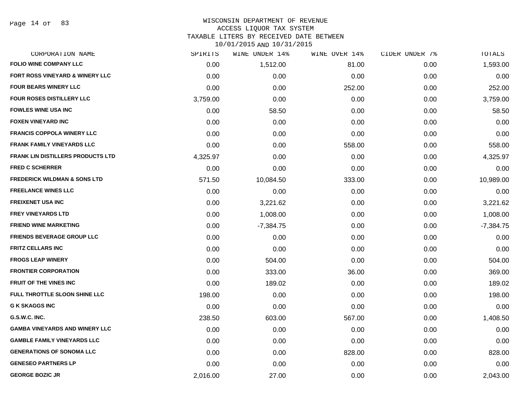Page 14 of 83

### WISCONSIN DEPARTMENT OF REVENUE ACCESS LIQUOR TAX SYSTEM TAXABLE LITERS BY RECEIVED DATE BETWEEN

| CORPORATION NAME                         | SPIRITS  | WINE UNDER 14% | WINE OVER 14% | CIDER UNDER 7% | TOTALS      |
|------------------------------------------|----------|----------------|---------------|----------------|-------------|
| <b>FOLIO WINE COMPANY LLC</b>            | 0.00     | 1,512.00       | 81.00         | 0.00           | 1,593.00    |
| FORT ROSS VINEYARD & WINERY LLC          | 0.00     | 0.00           | 0.00          | 0.00           | 0.00        |
| <b>FOUR BEARS WINERY LLC</b>             | 0.00     | 0.00           | 252.00        | 0.00           | 252.00      |
| FOUR ROSES DISTILLERY LLC                | 3,759.00 | 0.00           | 0.00          | 0.00           | 3,759.00    |
| <b>FOWLES WINE USA INC</b>               | 0.00     | 58.50          | 0.00          | 0.00           | 58.50       |
| <b>FOXEN VINEYARD INC</b>                | 0.00     | 0.00           | 0.00          | 0.00           | 0.00        |
| <b>FRANCIS COPPOLA WINERY LLC</b>        | 0.00     | 0.00           | 0.00          | 0.00           | 0.00        |
| <b>FRANK FAMILY VINEYARDS LLC</b>        | 0.00     | 0.00           | 558.00        | 0.00           | 558.00      |
| <b>FRANK LIN DISTILLERS PRODUCTS LTD</b> | 4,325.97 | 0.00           | 0.00          | 0.00           | 4,325.97    |
| <b>FRED C SCHERRER</b>                   | 0.00     | 0.00           | 0.00          | 0.00           | 0.00        |
| <b>FREDERICK WILDMAN &amp; SONS LTD</b>  | 571.50   | 10,084.50      | 333.00        | 0.00           | 10,989.00   |
| <b>FREELANCE WINES LLC</b>               | 0.00     | 0.00           | 0.00          | 0.00           | 0.00        |
| <b>FREIXENET USA INC</b>                 | 0.00     | 3,221.62       | 0.00          | 0.00           | 3,221.62    |
| <b>FREY VINEYARDS LTD</b>                | 0.00     | 1,008.00       | 0.00          | 0.00           | 1,008.00    |
| <b>FRIEND WINE MARKETING</b>             | 0.00     | $-7,384.75$    | 0.00          | 0.00           | $-7,384.75$ |
| <b>FRIENDS BEVERAGE GROUP LLC</b>        | 0.00     | 0.00           | 0.00          | 0.00           | 0.00        |
| <b>FRITZ CELLARS INC</b>                 | 0.00     | 0.00           | 0.00          | 0.00           | 0.00        |
| <b>FROGS LEAP WINERY</b>                 | 0.00     | 504.00         | 0.00          | 0.00           | 504.00      |
| <b>FRONTIER CORPORATION</b>              | 0.00     | 333.00         | 36.00         | 0.00           | 369.00      |
| <b>FRUIT OF THE VINES INC</b>            | 0.00     | 189.02         | 0.00          | 0.00           | 189.02      |
| FULL THROTTLE SLOON SHINE LLC            | 198.00   | 0.00           | 0.00          | 0.00           | 198.00      |
| <b>G K SKAGGS INC</b>                    | 0.00     | 0.00           | 0.00          | 0.00           | 0.00        |
| G.S.W.C. INC.                            | 238.50   | 603.00         | 567.00        | 0.00           | 1,408.50    |
| <b>GAMBA VINEYARDS AND WINERY LLC</b>    | 0.00     | 0.00           | 0.00          | 0.00           | 0.00        |
| <b>GAMBLE FAMILY VINEYARDS LLC</b>       | 0.00     | 0.00           | 0.00          | 0.00           | 0.00        |
| <b>GENERATIONS OF SONOMA LLC</b>         | 0.00     | 0.00           | 828.00        | 0.00           | 828.00      |
| <b>GENESEO PARTNERS LP</b>               | 0.00     | 0.00           | 0.00          | 0.00           | 0.00        |
| <b>GEORGE BOZIC JR</b>                   | 2,016.00 | 27.00          | 0.00          | 0.00           | 2,043.00    |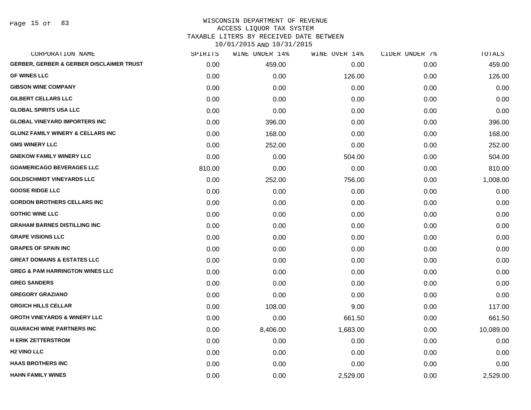Page 15 of 83

| CORPORATION NAME                                    | SPIRITS | WINE UNDER 14% | WINE OVER 14% | CIDER UNDER 7% | TOTALS    |
|-----------------------------------------------------|---------|----------------|---------------|----------------|-----------|
| <b>GERBER, GERBER &amp; GERBER DISCLAIMER TRUST</b> | 0.00    | 459.00         | 0.00          | 0.00           | 459.00    |
| <b>GF WINES LLC</b>                                 | 0.00    | 0.00           | 126.00        | 0.00           | 126.00    |
| <b>GIBSON WINE COMPANY</b>                          | 0.00    | 0.00           | 0.00          | 0.00           | 0.00      |
| <b>GILBERT CELLARS LLC</b>                          | 0.00    | 0.00           | 0.00          | 0.00           | 0.00      |
| <b>GLOBAL SPIRITS USA LLC</b>                       | 0.00    | 0.00           | 0.00          | 0.00           | 0.00      |
| <b>GLOBAL VINEYARD IMPORTERS INC</b>                | 0.00    | 396.00         | 0.00          | 0.00           | 396.00    |
| <b>GLUNZ FAMILY WINERY &amp; CELLARS INC</b>        | 0.00    | 168.00         | 0.00          | 0.00           | 168.00    |
| <b>GMS WINERY LLC</b>                               | 0.00    | 252.00         | 0.00          | 0.00           | 252.00    |
| <b>GNEKOW FAMILY WINERY LLC</b>                     | 0.00    | 0.00           | 504.00        | 0.00           | 504.00    |
| <b>GOAMERICAGO BEVERAGES LLC</b>                    | 810.00  | 0.00           | 0.00          | 0.00           | 810.00    |
| <b>GOLDSCHMIDT VINEYARDS LLC</b>                    | 0.00    | 252.00         | 756.00        | 0.00           | 1,008.00  |
| <b>GOOSE RIDGE LLC</b>                              | 0.00    | 0.00           | 0.00          | 0.00           | 0.00      |
| <b>GORDON BROTHERS CELLARS INC</b>                  | 0.00    | 0.00           | 0.00          | 0.00           | 0.00      |
| <b>GOTHIC WINE LLC</b>                              | 0.00    | 0.00           | 0.00          | 0.00           | 0.00      |
| <b>GRAHAM BARNES DISTILLING INC</b>                 | 0.00    | 0.00           | 0.00          | 0.00           | 0.00      |
| <b>GRAPE VISIONS LLC</b>                            | 0.00    | 0.00           | 0.00          | 0.00           | 0.00      |
| <b>GRAPES OF SPAIN INC</b>                          | 0.00    | 0.00           | 0.00          | 0.00           | 0.00      |
| <b>GREAT DOMAINS &amp; ESTATES LLC</b>              | 0.00    | 0.00           | 0.00          | 0.00           | 0.00      |
| <b>GREG &amp; PAM HARRINGTON WINES LLC</b>          | 0.00    | 0.00           | 0.00          | 0.00           | 0.00      |
| <b>GREG SANDERS</b>                                 | 0.00    | 0.00           | 0.00          | 0.00           | 0.00      |
| <b>GREGORY GRAZIANO</b>                             | 0.00    | 0.00           | 0.00          | 0.00           | 0.00      |
| <b>GRGICH HILLS CELLAR</b>                          | 0.00    | 108.00         | 9.00          | 0.00           | 117.00    |
| <b>GROTH VINEYARDS &amp; WINERY LLC</b>             | 0.00    | 0.00           | 661.50        | 0.00           | 661.50    |
| <b>GUARACHI WINE PARTNERS INC</b>                   | 0.00    | 8,406.00       | 1,683.00      | 0.00           | 10,089.00 |
| <b>H ERIK ZETTERSTROM</b>                           | 0.00    | 0.00           | 0.00          | 0.00           | 0.00      |
| <b>H2 VINO LLC</b>                                  | 0.00    | 0.00           | 0.00          | 0.00           | 0.00      |
| <b>HAAS BROTHERS INC</b>                            | 0.00    | 0.00           | 0.00          | 0.00           | 0.00      |
| <b>HAHN FAMILY WINES</b>                            | 0.00    | 0.00           | 2,529.00      | 0.00           | 2,529.00  |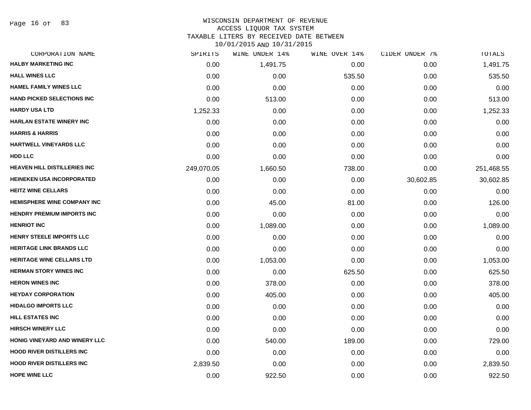Page 16 of 83

#### WISCONSIN DEPARTMENT OF REVENUE ACCESS LIQUOR TAX SYSTEM

TAXABLE LITERS BY RECEIVED DATE BETWEEN

| CORPORATION NAME                    | SPIRITS    | WINE UNDER 14% | WINE OVER 14% | CIDER UNDER 7% | TOTALS     |
|-------------------------------------|------------|----------------|---------------|----------------|------------|
| <b>HALBY MARKETING INC</b>          | 0.00       | 1,491.75       | 0.00          | 0.00           | 1,491.75   |
| <b>HALL WINES LLC</b>               | 0.00       | 0.00           | 535.50        | 0.00           | 535.50     |
| <b>HAMEL FAMILY WINES LLC</b>       | 0.00       | 0.00           | 0.00          | 0.00           | 0.00       |
| <b>HAND PICKED SELECTIONS INC</b>   | 0.00       | 513.00         | 0.00          | 0.00           | 513.00     |
| <b>HARDY USA LTD</b>                | 1,252.33   | 0.00           | 0.00          | 0.00           | 1,252.33   |
| <b>HARLAN ESTATE WINERY INC</b>     | 0.00       | 0.00           | 0.00          | 0.00           | 0.00       |
| <b>HARRIS &amp; HARRIS</b>          | 0.00       | 0.00           | 0.00          | 0.00           | 0.00       |
| <b>HARTWELL VINEYARDS LLC</b>       | 0.00       | 0.00           | 0.00          | 0.00           | 0.00       |
| HDD LLC                             | 0.00       | 0.00           | 0.00          | 0.00           | 0.00       |
| <b>HEAVEN HILL DISTILLERIES INC</b> | 249,070.05 | 1,660.50       | 738.00        | 0.00           | 251,468.55 |
| <b>HEINEKEN USA INCORPORATED</b>    | 0.00       | 0.00           | 0.00          | 30,602.85      | 30,602.85  |
| <b>HEITZ WINE CELLARS</b>           | 0.00       | 0.00           | 0.00          | 0.00           | 0.00       |
| <b>HEMISPHERE WINE COMPANY INC</b>  | 0.00       | 45.00          | 81.00         | 0.00           | 126.00     |
| <b>HENDRY PREMIUM IMPORTS INC</b>   | 0.00       | 0.00           | 0.00          | 0.00           | 0.00       |
| <b>HENRIOT INC</b>                  | 0.00       | 1,089.00       | 0.00          | 0.00           | 1,089.00   |
| <b>HENRY STEELE IMPORTS LLC</b>     | 0.00       | 0.00           | 0.00          | 0.00           | 0.00       |
| <b>HERITAGE LINK BRANDS LLC</b>     | 0.00       | 0.00           | 0.00          | 0.00           | 0.00       |
| <b>HERITAGE WINE CELLARS LTD</b>    | 0.00       | 1,053.00       | 0.00          | 0.00           | 1,053.00   |
| <b>HERMAN STORY WINES INC</b>       | 0.00       | 0.00           | 625.50        | 0.00           | 625.50     |
| <b>HERON WINES INC</b>              | 0.00       | 378.00         | 0.00          | 0.00           | 378.00     |
| <b>HEYDAY CORPORATION</b>           | 0.00       | 405.00         | 0.00          | 0.00           | 405.00     |
| <b>HIDALGO IMPORTS LLC</b>          | 0.00       | 0.00           | 0.00          | 0.00           | 0.00       |
| <b>HILL ESTATES INC</b>             | 0.00       | 0.00           | 0.00          | 0.00           | 0.00       |
| <b>HIRSCH WINERY LLC</b>            | 0.00       | 0.00           | 0.00          | 0.00           | 0.00       |
| HONIG VINEYARD AND WINERY LLC       | 0.00       | 540.00         | 189.00        | 0.00           | 729.00     |
| <b>HOOD RIVER DISTILLERS INC</b>    | 0.00       | 0.00           | 0.00          | 0.00           | 0.00       |
| <b>HOOD RIVER DISTILLERS INC</b>    | 2,839.50   | 0.00           | 0.00          | 0.00           | 2,839.50   |
| <b>HOPE WINE LLC</b>                | 0.00       | 922.50         | 0.00          | 0.00           | 922.50     |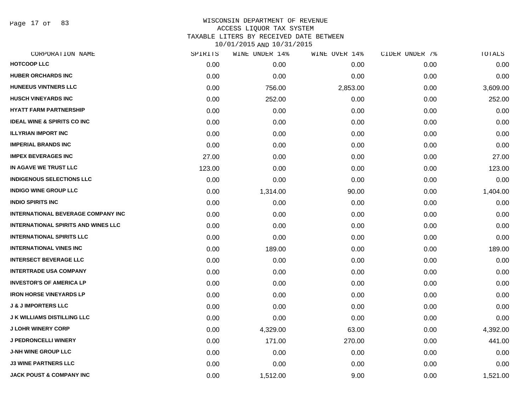Page 17 of 83

| SPIRITS | WINE UNDER 14% | WINE OVER 14% | CIDER UNDER 7% | TOTALS   |
|---------|----------------|---------------|----------------|----------|
| 0.00    | 0.00           | 0.00          | 0.00           | 0.00     |
| 0.00    | 0.00           | 0.00          | 0.00           | 0.00     |
| 0.00    | 756.00         | 2,853.00      | 0.00           | 3,609.00 |
| 0.00    | 252.00         | 0.00          | 0.00           | 252.00   |
| 0.00    | 0.00           | 0.00          | 0.00           | 0.00     |
| 0.00    | 0.00           | 0.00          | 0.00           | 0.00     |
| 0.00    | 0.00           | 0.00          | 0.00           | 0.00     |
| 0.00    | 0.00           | 0.00          | 0.00           | 0.00     |
| 27.00   | 0.00           | 0.00          | 0.00           | 27.00    |
| 123.00  | 0.00           | 0.00          | 0.00           | 123.00   |
| 0.00    | 0.00           | 0.00          | 0.00           | 0.00     |
| 0.00    | 1,314.00       | 90.00         | 0.00           | 1,404.00 |
| 0.00    | 0.00           | 0.00          | 0.00           | 0.00     |
| 0.00    | 0.00           | 0.00          | 0.00           | 0.00     |
| 0.00    | 0.00           | 0.00          | 0.00           | 0.00     |
| 0.00    | 0.00           | 0.00          | 0.00           | 0.00     |
| 0.00    | 189.00         | 0.00          | 0.00           | 189.00   |
| 0.00    | 0.00           | 0.00          | 0.00           | 0.00     |
| 0.00    | 0.00           | 0.00          | 0.00           | 0.00     |
| 0.00    | 0.00           | 0.00          | 0.00           | 0.00     |
| 0.00    | 0.00           | 0.00          | 0.00           | 0.00     |
| 0.00    | 0.00           | 0.00          | 0.00           | 0.00     |
| 0.00    | 0.00           | 0.00          | 0.00           | 0.00     |
| 0.00    | 4,329.00       | 63.00         | 0.00           | 4,392.00 |
| 0.00    | 171.00         | 270.00        | 0.00           | 441.00   |
| 0.00    | 0.00           | 0.00          | 0.00           | 0.00     |
| 0.00    | 0.00           | 0.00          | 0.00           | 0.00     |
| 0.00    | 1,512.00       | 9.00          | 0.00           | 1,521.00 |
|         |                |               |                |          |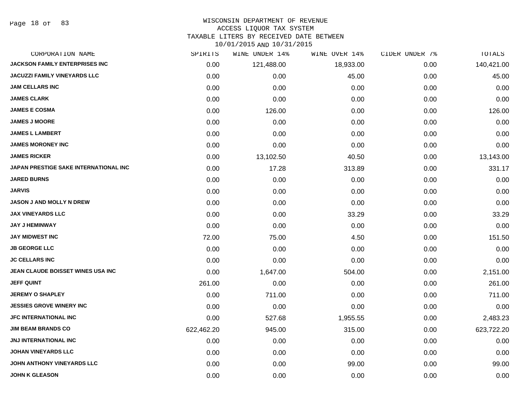Page 18 of 83

## WISCONSIN DEPARTMENT OF REVENUE

#### ACCESS LIQUOR TAX SYSTEM

TAXABLE LITERS BY RECEIVED DATE BETWEEN

| CORPORATION NAME                      | SPIRITS    | WINE UNDER 14% | WINE OVER 14% | CIDER UNDER 7% | TOTALS     |
|---------------------------------------|------------|----------------|---------------|----------------|------------|
| <b>JACKSON FAMILY ENTERPRISES INC</b> | 0.00       | 121,488.00     | 18,933.00     | 0.00           | 140,421.00 |
| <b>JACUZZI FAMILY VINEYARDS LLC</b>   | 0.00       | 0.00           | 45.00         | 0.00           | 45.00      |
| <b>JAM CELLARS INC</b>                | 0.00       | 0.00           | 0.00          | 0.00           | 0.00       |
| <b>JAMES CLARK</b>                    | 0.00       | 0.00           | 0.00          | 0.00           | 0.00       |
| <b>JAMES E COSMA</b>                  | 0.00       | 126.00         | 0.00          | 0.00           | 126.00     |
| <b>JAMES J MOORE</b>                  | 0.00       | 0.00           | 0.00          | 0.00           | 0.00       |
| <b>JAMES L LAMBERT</b>                | 0.00       | 0.00           | 0.00          | 0.00           | 0.00       |
| <b>JAMES MORONEY INC</b>              | 0.00       | 0.00           | 0.00          | 0.00           | 0.00       |
| <b>JAMES RICKER</b>                   | 0.00       | 13,102.50      | 40.50         | 0.00           | 13,143.00  |
| JAPAN PRESTIGE SAKE INTERNATIONAL INC | 0.00       | 17.28          | 313.89        | 0.00           | 331.17     |
| <b>JARED BURNS</b>                    | 0.00       | 0.00           | 0.00          | 0.00           | 0.00       |
| <b>JARVIS</b>                         | 0.00       | 0.00           | 0.00          | 0.00           | 0.00       |
| <b>JASON J AND MOLLY N DREW</b>       | 0.00       | 0.00           | 0.00          | 0.00           | 0.00       |
| <b>JAX VINEYARDS LLC</b>              | 0.00       | 0.00           | 33.29         | 0.00           | 33.29      |
| <b>JAY J HEMINWAY</b>                 | 0.00       | 0.00           | 0.00          | 0.00           | 0.00       |
| <b>JAY MIDWEST INC</b>                | 72.00      | 75.00          | 4.50          | 0.00           | 151.50     |
| <b>JB GEORGE LLC</b>                  | 0.00       | 0.00           | 0.00          | 0.00           | 0.00       |
| <b>JC CELLARS INC</b>                 | 0.00       | 0.00           | 0.00          | 0.00           | 0.00       |
| JEAN CLAUDE BOISSET WINES USA INC     | 0.00       | 1,647.00       | 504.00        | 0.00           | 2,151.00   |
| <b>JEFF QUINT</b>                     | 261.00     | 0.00           | 0.00          | 0.00           | 261.00     |
| <b>JEREMY O SHAPLEY</b>               | 0.00       | 711.00         | 0.00          | 0.00           | 711.00     |
| <b>JESSIES GROVE WINERY INC</b>       | 0.00       | 0.00           | 0.00          | 0.00           | 0.00       |
| <b>JFC INTERNATIONAL INC</b>          | 0.00       | 527.68         | 1,955.55      | 0.00           | 2,483.23   |
| <b>JIM BEAM BRANDS CO</b>             | 622,462.20 | 945.00         | 315.00        | 0.00           | 623,722.20 |
| <b>JNJ INTERNATIONAL INC</b>          | 0.00       | 0.00           | 0.00          | 0.00           | 0.00       |
| <b>JOHAN VINEYARDS LLC</b>            | 0.00       | 0.00           | 0.00          | 0.00           | 0.00       |
| JOHN ANTHONY VINEYARDS LLC            | 0.00       | 0.00           | 99.00         | 0.00           | 99.00      |
| <b>JOHN K GLEASON</b>                 | 0.00       | 0.00           | 0.00          | 0.00           | 0.00       |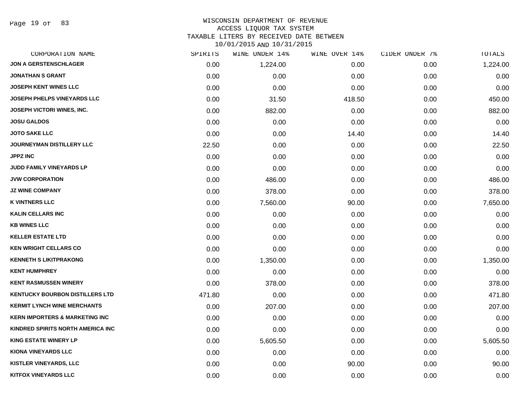# WISCONSIN DEPARTMENT OF REVENUE ACCESS LIQUOR TAX SYSTEM TAXABLE LITERS BY RECEIVED DATE BETWEEN

| CORPORATION NAME                          | SPIRITS | WINE UNDER 14% | WINE OVER 14% | CIDER UNDER 7% | TOTALS   |
|-------------------------------------------|---------|----------------|---------------|----------------|----------|
| <b>JON A GERSTENSCHLAGER</b>              | 0.00    | 1,224.00       | 0.00          | 0.00           | 1,224.00 |
| <b>JONATHAN S GRANT</b>                   | 0.00    | 0.00           | 0.00          | 0.00           | 0.00     |
| JOSEPH KENT WINES LLC                     | 0.00    | 0.00           | 0.00          | 0.00           | 0.00     |
| <b>JOSEPH PHELPS VINEYARDS LLC</b>        | 0.00    | 31.50          | 418.50        | 0.00           | 450.00   |
| <b>JOSEPH VICTORI WINES, INC.</b>         | 0.00    | 882.00         | 0.00          | 0.00           | 882.00   |
| <b>JOSU GALDOS</b>                        | 0.00    | 0.00           | 0.00          | 0.00           | 0.00     |
| <b>JOTO SAKE LLC</b>                      | 0.00    | 0.00           | 14.40         | 0.00           | 14.40    |
| <b>JOURNEYMAN DISTILLERY LLC</b>          | 22.50   | 0.00           | 0.00          | 0.00           | 22.50    |
| <b>JPPZ INC</b>                           | 0.00    | 0.00           | 0.00          | 0.00           | 0.00     |
| JUDD FAMILY VINEYARDS LP                  | 0.00    | 0.00           | 0.00          | 0.00           | 0.00     |
| <b>JVW CORPORATION</b>                    | 0.00    | 486.00         | 0.00          | 0.00           | 486.00   |
| <b>JZ WINE COMPANY</b>                    | 0.00    | 378.00         | 0.00          | 0.00           | 378.00   |
| <b>K VINTNERS LLC</b>                     | 0.00    | 7,560.00       | 90.00         | 0.00           | 7,650.00 |
| <b>KALIN CELLARS INC</b>                  | 0.00    | 0.00           | 0.00          | 0.00           | 0.00     |
| <b>KB WINES LLC</b>                       | 0.00    | 0.00           | 0.00          | 0.00           | 0.00     |
| <b>KELLER ESTATE LTD</b>                  | 0.00    | 0.00           | 0.00          | 0.00           | 0.00     |
| <b>KEN WRIGHT CELLARS CO</b>              | 0.00    | 0.00           | 0.00          | 0.00           | 0.00     |
| <b>KENNETH S LIKITPRAKONG</b>             | 0.00    | 1,350.00       | 0.00          | 0.00           | 1,350.00 |
| <b>KENT HUMPHREY</b>                      | 0.00    | 0.00           | 0.00          | 0.00           | 0.00     |
| <b>KENT RASMUSSEN WINERY</b>              | 0.00    | 378.00         | 0.00          | 0.00           | 378.00   |
| <b>KENTUCKY BOURBON DISTILLERS LTD</b>    | 471.80  | 0.00           | 0.00          | 0.00           | 471.80   |
| <b>KERMIT LYNCH WINE MERCHANTS</b>        | 0.00    | 207.00         | 0.00          | 0.00           | 207.00   |
| <b>KERN IMPORTERS &amp; MARKETING INC</b> | 0.00    | 0.00           | 0.00          | 0.00           | 0.00     |
| KINDRED SPIRITS NORTH AMERICA INC         | 0.00    | 0.00           | 0.00          | 0.00           | 0.00     |
| <b>KING ESTATE WINERY LP</b>              | 0.00    | 5,605.50       | 0.00          | 0.00           | 5,605.50 |
| <b>KIONA VINEYARDS LLC</b>                | 0.00    | 0.00           | 0.00          | 0.00           | 0.00     |
| <b>KISTLER VINEYARDS, LLC</b>             | 0.00    | 0.00           | 90.00         | 0.00           | 90.00    |
| <b>KITFOX VINEYARDS LLC</b>               | 0.00    | 0.00           | 0.00          | 0.00           | 0.00     |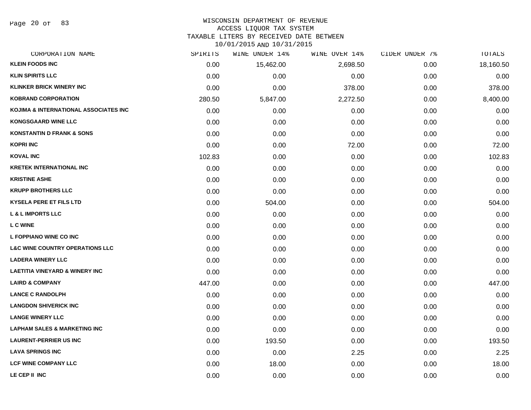Page 20 of 83

# WISCONSIN DEPARTMENT OF REVENUE

# ACCESS LIQUOR TAX SYSTEM

TAXABLE LITERS BY RECEIVED DATE BETWEEN

| CORPORATION NAME                           | SPIRITS | WINE UNDER 14% | WINE OVER 14% | CIDER UNDER 7% | TOTALS    |
|--------------------------------------------|---------|----------------|---------------|----------------|-----------|
| <b>KLEIN FOODS INC</b>                     | 0.00    | 15,462.00      | 2,698.50      | 0.00           | 18,160.50 |
| <b>KLIN SPIRITS LLC</b>                    | 0.00    | 0.00           | 0.00          | 0.00           | 0.00      |
| <b>KLINKER BRICK WINERY INC</b>            | 0.00    | 0.00           | 378.00        | 0.00           | 378.00    |
| <b>KOBRAND CORPORATION</b>                 | 280.50  | 5,847.00       | 2,272.50      | 0.00           | 8,400.00  |
| KOJIMA & INTERNATIONAL ASSOCIATES INC      | 0.00    | 0.00           | 0.00          | 0.00           | 0.00      |
| <b>KONGSGAARD WINE LLC</b>                 | 0.00    | 0.00           | 0.00          | 0.00           | 0.00      |
| <b>KONSTANTIN D FRANK &amp; SONS</b>       | 0.00    | 0.00           | 0.00          | 0.00           | 0.00      |
| <b>KOPRI INC</b>                           | 0.00    | 0.00           | 72.00         | 0.00           | 72.00     |
| <b>KOVAL INC</b>                           | 102.83  | 0.00           | 0.00          | 0.00           | 102.83    |
| <b>KRETEK INTERNATIONAL INC</b>            | 0.00    | 0.00           | 0.00          | 0.00           | 0.00      |
| <b>KRISTINE ASHE</b>                       | 0.00    | 0.00           | 0.00          | 0.00           | 0.00      |
| <b>KRUPP BROTHERS LLC</b>                  | 0.00    | 0.00           | 0.00          | 0.00           | 0.00      |
| <b>KYSELA PERE ET FILS LTD</b>             | 0.00    | 504.00         | 0.00          | 0.00           | 504.00    |
| <b>L &amp; L IMPORTS LLC</b>               | 0.00    | 0.00           | 0.00          | 0.00           | 0.00      |
| <b>L C WINE</b>                            | 0.00    | 0.00           | 0.00          | 0.00           | 0.00      |
| L FOPPIANO WINE CO INC                     | 0.00    | 0.00           | 0.00          | 0.00           | 0.00      |
| <b>L&amp;C WINE COUNTRY OPERATIONS LLC</b> | 0.00    | 0.00           | 0.00          | 0.00           | 0.00      |
| <b>LADERA WINERY LLC</b>                   | 0.00    | 0.00           | 0.00          | 0.00           | 0.00      |
| <b>LAETITIA VINEYARD &amp; WINERY INC</b>  | 0.00    | 0.00           | 0.00          | 0.00           | 0.00      |
| <b>LAIRD &amp; COMPANY</b>                 | 447.00  | 0.00           | 0.00          | 0.00           | 447.00    |
| <b>LANCE C RANDOLPH</b>                    | 0.00    | 0.00           | 0.00          | 0.00           | 0.00      |
| <b>LANGDON SHIVERICK INC</b>               | 0.00    | 0.00           | 0.00          | 0.00           | 0.00      |
| <b>LANGE WINERY LLC</b>                    | 0.00    | 0.00           | 0.00          | 0.00           | 0.00      |
| <b>LAPHAM SALES &amp; MARKETING INC</b>    | 0.00    | 0.00           | 0.00          | 0.00           | 0.00      |
| <b>LAURENT-PERRIER US INC</b>              | 0.00    | 193.50         | 0.00          | 0.00           | 193.50    |
| <b>LAVA SPRINGS INC</b>                    | 0.00    | 0.00           | 2.25          | 0.00           | 2.25      |
| <b>LCF WINE COMPANY LLC</b>                | 0.00    | 18.00          | 0.00          | 0.00           | 18.00     |
| LE CEP II INC                              | 0.00    | 0.00           | 0.00          | 0.00           | 0.00      |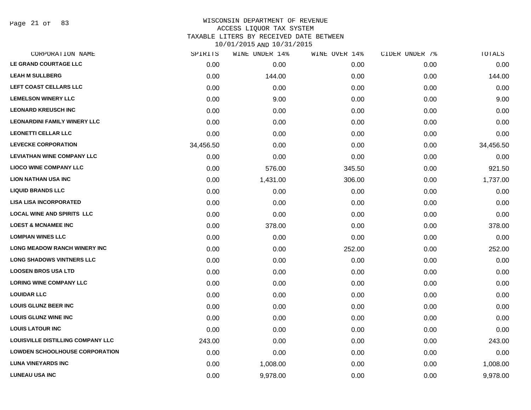Page 21 of 83

## WISCONSIN DEPARTMENT OF REVENUE ACCESS LIQUOR TAX SYSTEM TAXABLE LITERS BY RECEIVED DATE BETWEEN

| CORPORATION NAME                         | SPIRITS   | WINE UNDER 14% | WINE OVER 14% | CIDER UNDER 7% | TOTALS    |
|------------------------------------------|-----------|----------------|---------------|----------------|-----------|
| LE GRAND COURTAGE LLC                    | 0.00      | 0.00           | 0.00          | 0.00           | 0.00      |
| <b>LEAH M SULLBERG</b>                   | 0.00      | 144.00         | 0.00          | 0.00           | 144.00    |
| LEFT COAST CELLARS LLC                   | 0.00      | 0.00           | 0.00          | 0.00           | 0.00      |
| <b>LEMELSON WINERY LLC</b>               | 0.00      | 9.00           | 0.00          | 0.00           | 9.00      |
| <b>LEONARD KREUSCH INC</b>               | 0.00      | 0.00           | 0.00          | 0.00           | 0.00      |
| <b>LEONARDINI FAMILY WINERY LLC</b>      | 0.00      | 0.00           | 0.00          | 0.00           | 0.00      |
| <b>LEONETTI CELLAR LLC</b>               | 0.00      | 0.00           | 0.00          | 0.00           | 0.00      |
| <b>LEVECKE CORPORATION</b>               | 34,456.50 | 0.00           | 0.00          | 0.00           | 34,456.50 |
| <b>LEVIATHAN WINE COMPANY LLC</b>        | 0.00      | 0.00           | 0.00          | 0.00           | 0.00      |
| <b>LIOCO WINE COMPANY LLC</b>            | 0.00      | 576.00         | 345.50        | 0.00           | 921.50    |
| <b>LION NATHAN USA INC</b>               | 0.00      | 1,431.00       | 306.00        | 0.00           | 1,737.00  |
| <b>LIQUID BRANDS LLC</b>                 | 0.00      | 0.00           | 0.00          | 0.00           | 0.00      |
| <b>LISA LISA INCORPORATED</b>            | 0.00      | 0.00           | 0.00          | 0.00           | 0.00      |
| <b>LOCAL WINE AND SPIRITS LLC</b>        | 0.00      | 0.00           | 0.00          | 0.00           | 0.00      |
| <b>LOEST &amp; MCNAMEE INC</b>           | 0.00      | 378.00         | 0.00          | 0.00           | 378.00    |
| <b>LOMPIAN WINES LLC</b>                 | 0.00      | 0.00           | 0.00          | 0.00           | 0.00      |
| <b>LONG MEADOW RANCH WINERY INC</b>      | 0.00      | 0.00           | 252.00        | 0.00           | 252.00    |
| <b>LONG SHADOWS VINTNERS LLC</b>         | 0.00      | 0.00           | 0.00          | 0.00           | 0.00      |
| <b>LOOSEN BROS USA LTD</b>               | 0.00      | 0.00           | 0.00          | 0.00           | 0.00      |
| <b>LORING WINE COMPANY LLC</b>           | 0.00      | 0.00           | 0.00          | 0.00           | 0.00      |
| <b>LOUIDAR LLC</b>                       | 0.00      | 0.00           | 0.00          | 0.00           | 0.00      |
| <b>LOUIS GLUNZ BEER INC</b>              | 0.00      | 0.00           | 0.00          | 0.00           | 0.00      |
| <b>LOUIS GLUNZ WINE INC</b>              | 0.00      | 0.00           | 0.00          | 0.00           | 0.00      |
| <b>LOUIS LATOUR INC</b>                  | 0.00      | 0.00           | 0.00          | 0.00           | 0.00      |
| <b>LOUISVILLE DISTILLING COMPANY LLC</b> | 243.00    | 0.00           | 0.00          | 0.00           | 243.00    |
| <b>LOWDEN SCHOOLHOUSE CORPORATION</b>    | 0.00      | 0.00           | 0.00          | 0.00           | 0.00      |
| <b>LUNA VINEYARDS INC</b>                | 0.00      | 1,008.00       | 0.00          | 0.00           | 1,008.00  |
| <b>LUNEAU USA INC</b>                    | 0.00      | 9,978.00       | 0.00          | 0.00           | 9,978.00  |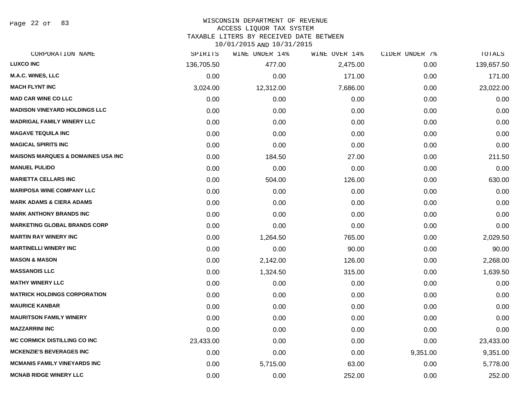Page 22 of 83

# WISCONSIN DEPARTMENT OF REVENUE

### ACCESS LIQUOR TAX SYSTEM

TAXABLE LITERS BY RECEIVED DATE BETWEEN

| CORPORATION NAME                               | SPIRITS    | WINE UNDER 14% | WINE OVER 14% | CIDER UNDER 7% | TOTALS     |
|------------------------------------------------|------------|----------------|---------------|----------------|------------|
| <b>LUXCO INC</b>                               | 136,705.50 | 477.00         | 2,475.00      | 0.00           | 139,657.50 |
| <b>M.A.C. WINES, LLC</b>                       | 0.00       | 0.00           | 171.00        | 0.00           | 171.00     |
| <b>MACH FLYNT INC</b>                          | 3,024.00   | 12,312.00      | 7,686.00      | 0.00           | 23,022.00  |
| <b>MAD CAR WINE CO LLC</b>                     | 0.00       | 0.00           | 0.00          | 0.00           | 0.00       |
| <b>MADISON VINEYARD HOLDINGS LLC</b>           | 0.00       | 0.00           | 0.00          | 0.00           | 0.00       |
| <b>MADRIGAL FAMILY WINERY LLC</b>              | 0.00       | 0.00           | 0.00          | 0.00           | 0.00       |
| <b>MAGAVE TEQUILA INC</b>                      | 0.00       | 0.00           | 0.00          | 0.00           | 0.00       |
| <b>MAGICAL SPIRITS INC</b>                     | 0.00       | 0.00           | 0.00          | 0.00           | 0.00       |
| <b>MAISONS MARQUES &amp; DOMAINES USA INC.</b> | 0.00       | 184.50         | 27.00         | 0.00           | 211.50     |
| <b>MANUEL PULIDO</b>                           | 0.00       | 0.00           | 0.00          | 0.00           | 0.00       |
| <b>MARIETTA CELLARS INC</b>                    | 0.00       | 504.00         | 126.00        | 0.00           | 630.00     |
| <b>MARIPOSA WINE COMPANY LLC</b>               | 0.00       | 0.00           | 0.00          | 0.00           | 0.00       |
| <b>MARK ADAMS &amp; CIERA ADAMS</b>            | 0.00       | 0.00           | 0.00          | 0.00           | 0.00       |
| <b>MARK ANTHONY BRANDS INC</b>                 | 0.00       | 0.00           | 0.00          | 0.00           | 0.00       |
| <b>MARKETING GLOBAL BRANDS CORP</b>            | 0.00       | 0.00           | 0.00          | 0.00           | 0.00       |
| <b>MARTIN RAY WINERY INC</b>                   | 0.00       | 1,264.50       | 765.00        | 0.00           | 2,029.50   |
| <b>MARTINELLI WINERY INC</b>                   | 0.00       | 0.00           | 90.00         | 0.00           | 90.00      |
| <b>MASON &amp; MASON</b>                       | 0.00       | 2,142.00       | 126.00        | 0.00           | 2,268.00   |
| <b>MASSANOIS LLC</b>                           | 0.00       | 1,324.50       | 315.00        | 0.00           | 1,639.50   |
| <b>MATHY WINERY LLC</b>                        | 0.00       | 0.00           | 0.00          | 0.00           | 0.00       |
| <b>MATRICK HOLDINGS CORPORATION</b>            | 0.00       | 0.00           | 0.00          | 0.00           | 0.00       |
| <b>MAURICE KANBAR</b>                          | 0.00       | 0.00           | 0.00          | 0.00           | 0.00       |
| <b>MAURITSON FAMILY WINERY</b>                 | 0.00       | 0.00           | 0.00          | 0.00           | 0.00       |
| <b>MAZZARRINI INC</b>                          | 0.00       | 0.00           | 0.00          | 0.00           | 0.00       |
| <b>MC CORMICK DISTILLING CO INC</b>            | 23,433.00  | 0.00           | 0.00          | 0.00           | 23,433.00  |
| <b>MCKENZIE'S BEVERAGES INC</b>                | 0.00       | 0.00           | 0.00          | 9,351.00       | 9,351.00   |
| <b>MCMANIS FAMILY VINEYARDS INC</b>            | 0.00       | 5,715.00       | 63.00         | 0.00           | 5,778.00   |
| <b>MCNAB RIDGE WINERY LLC</b>                  | 0.00       | 0.00           | 252.00        | 0.00           | 252.00     |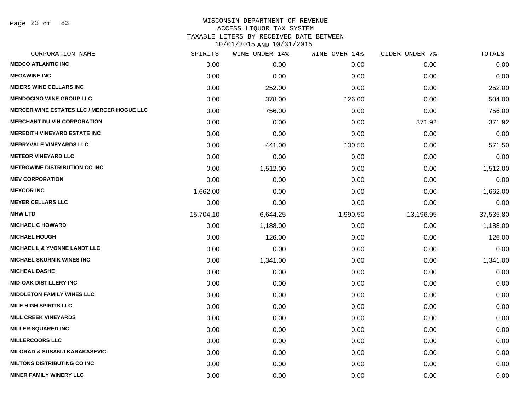Page 23 of 83

# WISCONSIN DEPARTMENT OF REVENUE ACCESS LIQUOR TAX SYSTEM TAXABLE LITERS BY RECEIVED DATE BETWEEN

| CORPORATION NAME                                  | SPIRITS   | WINE UNDER 14% | WINE OVER 14% | CIDER UNDER 7% | TOTALS    |
|---------------------------------------------------|-----------|----------------|---------------|----------------|-----------|
| <b>MEDCO ATLANTIC INC</b>                         | 0.00      | 0.00           | 0.00          | 0.00           | 0.00      |
| <b>MEGAWINE INC</b>                               | 0.00      | 0.00           | 0.00          | 0.00           | 0.00      |
| <b>MEIERS WINE CELLARS INC</b>                    | 0.00      | 252.00         | 0.00          | 0.00           | 252.00    |
| <b>MENDOCINO WINE GROUP LLC</b>                   | 0.00      | 378.00         | 126.00        | 0.00           | 504.00    |
| <b>MERCER WINE ESTATES LLC / MERCER HOGUE LLC</b> | 0.00      | 756.00         | 0.00          | 0.00           | 756.00    |
| <b>MERCHANT DU VIN CORPORATION</b>                | 0.00      | 0.00           | 0.00          | 371.92         | 371.92    |
| <b>MEREDITH VINEYARD ESTATE INC</b>               | 0.00      | 0.00           | 0.00          | 0.00           | 0.00      |
| <b>MERRYVALE VINEYARDS LLC</b>                    | 0.00      | 441.00         | 130.50        | 0.00           | 571.50    |
| <b>METEOR VINEYARD LLC</b>                        | 0.00      | 0.00           | 0.00          | 0.00           | 0.00      |
| <b>METROWINE DISTRIBUTION CO INC</b>              | 0.00      | 1,512.00       | 0.00          | 0.00           | 1,512.00  |
| <b>MEV CORPORATION</b>                            | 0.00      | 0.00           | 0.00          | 0.00           | 0.00      |
| <b>MEXCOR INC</b>                                 | 1,662.00  | 0.00           | 0.00          | 0.00           | 1,662.00  |
| <b>MEYER CELLARS LLC</b>                          | 0.00      | 0.00           | 0.00          | 0.00           | 0.00      |
| <b>MHW LTD</b>                                    | 15,704.10 | 6,644.25       | 1,990.50      | 13,196.95      | 37,535.80 |
| <b>MICHAEL C HOWARD</b>                           | 0.00      | 1,188.00       | 0.00          | 0.00           | 1,188.00  |
| <b>MICHAEL HOUGH</b>                              | 0.00      | 126.00         | 0.00          | 0.00           | 126.00    |
| <b>MICHAEL L &amp; YVONNE LANDT LLC</b>           | 0.00      | 0.00           | 0.00          | 0.00           | 0.00      |
| <b>MICHAEL SKURNIK WINES INC</b>                  | 0.00      | 1,341.00       | 0.00          | 0.00           | 1,341.00  |
| <b>MICHEAL DASHE</b>                              | 0.00      | 0.00           | 0.00          | 0.00           | 0.00      |
| <b>MID-OAK DISTILLERY INC</b>                     | 0.00      | 0.00           | 0.00          | 0.00           | 0.00      |
| <b>MIDDLETON FAMILY WINES LLC</b>                 | 0.00      | 0.00           | 0.00          | 0.00           | 0.00      |
| <b>MILE HIGH SPIRITS LLC</b>                      | 0.00      | 0.00           | 0.00          | 0.00           | 0.00      |
| <b>MILL CREEK VINEYARDS</b>                       | 0.00      | 0.00           | 0.00          | 0.00           | 0.00      |
| <b>MILLER SQUARED INC</b>                         | 0.00      | 0.00           | 0.00          | 0.00           | 0.00      |
| <b>MILLERCOORS LLC</b>                            | 0.00      | 0.00           | 0.00          | 0.00           | 0.00      |
| <b>MILORAD &amp; SUSAN J KARAKASEVIC</b>          | 0.00      | 0.00           | 0.00          | 0.00           | 0.00      |
| <b>MILTONS DISTRIBUTING CO INC</b>                | 0.00      | 0.00           | 0.00          | 0.00           | 0.00      |
| <b>MINER FAMILY WINERY LLC</b>                    | 0.00      | 0.00           | 0.00          | 0.00           | 0.00      |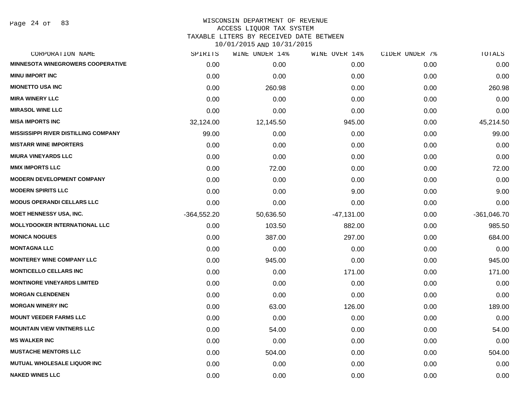Page 24 of 83

#### WISCONSIN DEPARTMENT OF REVENUE ACCESS LIQUOR TAX SYSTEM

TAXABLE LITERS BY RECEIVED DATE BETWEEN

| CORPORATION NAME                            | SPIRITS       | WINE UNDER 14% | WINE OVER 14% | CIDER UNDER 7% | TOTALS        |
|---------------------------------------------|---------------|----------------|---------------|----------------|---------------|
| <b>MINNESOTA WINEGROWERS COOPERATIVE</b>    | 0.00          | 0.00           | 0.00          | 0.00           | 0.00          |
| <b>MINU IMPORT INC</b>                      | 0.00          | 0.00           | 0.00          | 0.00           | 0.00          |
| <b>MIONETTO USA INC</b>                     | 0.00          | 260.98         | 0.00          | 0.00           | 260.98        |
| <b>MIRA WINERY LLC</b>                      | 0.00          | 0.00           | 0.00          | 0.00           | 0.00          |
| <b>MIRASOL WINE LLC</b>                     | 0.00          | 0.00           | 0.00          | 0.00           | 0.00          |
| <b>MISA IMPORTS INC</b>                     | 32,124.00     | 12,145.50      | 945.00        | 0.00           | 45,214.50     |
| <b>MISSISSIPPI RIVER DISTILLING COMPANY</b> | 99.00         | 0.00           | 0.00          | 0.00           | 99.00         |
| <b>MISTARR WINE IMPORTERS</b>               | 0.00          | 0.00           | 0.00          | 0.00           | 0.00          |
| <b>MIURA VINEYARDS LLC</b>                  | 0.00          | 0.00           | 0.00          | 0.00           | 0.00          |
| <b>MMX IMPORTS LLC</b>                      | 0.00          | 72.00          | 0.00          | 0.00           | 72.00         |
| MODERN DEVELOPMENT COMPANY                  | 0.00          | 0.00           | 0.00          | 0.00           | 0.00          |
| <b>MODERN SPIRITS LLC</b>                   | 0.00          | 0.00           | 9.00          | 0.00           | 9.00          |
| <b>MODUS OPERANDI CELLARS LLC</b>           | 0.00          | 0.00           | 0.00          | 0.00           | 0.00          |
| <b>MOET HENNESSY USA, INC.</b>              | $-364,552.20$ | 50,636.50      | $-47,131.00$  | 0.00           | $-361,046.70$ |
| <b>MOLLYDOOKER INTERNATIONAL LLC</b>        | 0.00          | 103.50         | 882.00        | 0.00           | 985.50        |
| <b>MONICA NOGUES</b>                        | 0.00          | 387.00         | 297.00        | 0.00           | 684.00        |
| <b>MONTAGNA LLC</b>                         | 0.00          | 0.00           | 0.00          | 0.00           | 0.00          |
| <b>MONTEREY WINE COMPANY LLC</b>            | 0.00          | 945.00         | 0.00          | 0.00           | 945.00        |
| <b>MONTICELLO CELLARS INC</b>               | 0.00          | 0.00           | 171.00        | 0.00           | 171.00        |
| <b>MONTINORE VINEYARDS LIMITED</b>          | 0.00          | 0.00           | 0.00          | 0.00           | 0.00          |
| <b>MORGAN CLENDENEN</b>                     | 0.00          | 0.00           | 0.00          | 0.00           | 0.00          |
| <b>MORGAN WINERY INC</b>                    | 0.00          | 63.00          | 126.00        | 0.00           | 189.00        |
| <b>MOUNT VEEDER FARMS LLC</b>               | 0.00          | 0.00           | 0.00          | 0.00           | 0.00          |
| <b>MOUNTAIN VIEW VINTNERS LLC</b>           | 0.00          | 54.00          | 0.00          | 0.00           | 54.00         |
| <b>MS WALKER INC</b>                        | 0.00          | 0.00           | 0.00          | 0.00           | 0.00          |
| <b>MUSTACHE MENTORS LLC</b>                 | 0.00          | 504.00         | 0.00          | 0.00           | 504.00        |
| <b>MUTUAL WHOLESALE LIQUOR INC</b>          | 0.00          | 0.00           | 0.00          | 0.00           | 0.00          |
| <b>NAKED WINES LLC</b>                      | 0.00          | 0.00           | 0.00          | 0.00           | 0.00          |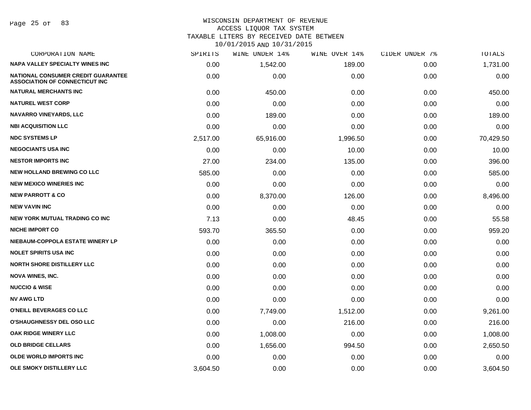Page 25 of 83

### WISCONSIN DEPARTMENT OF REVENUE ACCESS LIQUOR TAX SYSTEM TAXABLE LITERS BY RECEIVED DATE BETWEEN

| CORPORATION NAME                                                                   | SPIRITS  | WINE UNDER 14% | WINE OVER 14% | CIDER UNDER 7% | <b>TOTALS</b> |
|------------------------------------------------------------------------------------|----------|----------------|---------------|----------------|---------------|
| <b>NAPA VALLEY SPECIALTY WINES INC</b>                                             | 0.00     | 1,542.00       | 189.00        | 0.00           | 1,731.00      |
| <b>NATIONAL CONSUMER CREDIT GUARANTEE</b><br><b>ASSOCIATION OF CONNECTICUT INC</b> | 0.00     | 0.00           | 0.00          | 0.00           | 0.00          |
| <b>NATURAL MERCHANTS INC</b>                                                       | 0.00     | 450.00         | 0.00          | 0.00           | 450.00        |
| <b>NATUREL WEST CORP</b>                                                           | 0.00     | 0.00           | 0.00          | 0.00           | 0.00          |
| <b>NAVARRO VINEYARDS, LLC</b>                                                      | 0.00     | 189.00         | 0.00          | 0.00           | 189.00        |
| <b>NBI ACQUISITION LLC</b>                                                         | 0.00     | 0.00           | 0.00          | 0.00           | 0.00          |
| <b>NDC SYSTEMS LP</b>                                                              | 2,517.00 | 65,916.00      | 1,996.50      | 0.00           | 70,429.50     |
| <b>NEGOCIANTS USA INC</b>                                                          | 0.00     | 0.00           | 10.00         | 0.00           | 10.00         |
| <b>NESTOR IMPORTS INC</b>                                                          | 27.00    | 234.00         | 135.00        | 0.00           | 396.00        |
| <b>NEW HOLLAND BREWING CO LLC</b>                                                  | 585.00   | 0.00           | 0.00          | 0.00           | 585.00        |
| <b>NEW MEXICO WINERIES INC</b>                                                     | 0.00     | 0.00           | 0.00          | 0.00           | 0.00          |
| <b>NEW PARROTT &amp; CO</b>                                                        | 0.00     | 8,370.00       | 126.00        | 0.00           | 8,496.00      |
| <b>NEW VAVIN INC</b>                                                               | 0.00     | 0.00           | 0.00          | 0.00           | 0.00          |
| <b>NEW YORK MUTUAL TRADING CO INC</b>                                              | 7.13     | 0.00           | 48.45         | 0.00           | 55.58         |
| <b>NICHE IMPORT CO</b>                                                             | 593.70   | 365.50         | 0.00          | 0.00           | 959.20        |
| NIEBAUM-COPPOLA ESTATE WINERY LP                                                   | 0.00     | 0.00           | 0.00          | 0.00           | 0.00          |
| <b>NOLET SPIRITS USA INC</b>                                                       | 0.00     | 0.00           | 0.00          | 0.00           | 0.00          |
| <b>NORTH SHORE DISTILLERY LLC</b>                                                  | 0.00     | 0.00           | 0.00          | 0.00           | 0.00          |
| <b>NOVA WINES, INC.</b>                                                            | 0.00     | 0.00           | 0.00          | 0.00           | 0.00          |
| <b>NUCCIO &amp; WISE</b>                                                           | 0.00     | 0.00           | 0.00          | 0.00           | 0.00          |
| <b>NV AWG LTD</b>                                                                  | 0.00     | 0.00           | 0.00          | 0.00           | 0.00          |
| O'NEILL BEVERAGES CO LLC                                                           | 0.00     | 7,749.00       | 1,512.00      | 0.00           | 9,261.00      |
| <b>O'SHAUGHNESSY DEL OSO LLC</b>                                                   | 0.00     | 0.00           | 216.00        | 0.00           | 216.00        |
| <b>OAK RIDGE WINERY LLC</b>                                                        | 0.00     | 1,008.00       | 0.00          | 0.00           | 1,008.00      |
| <b>OLD BRIDGE CELLARS</b>                                                          | 0.00     | 1,656.00       | 994.50        | 0.00           | 2,650.50      |
| <b>OLDE WORLD IMPORTS INC</b>                                                      | 0.00     | 0.00           | 0.00          | 0.00           | 0.00          |
| OLE SMOKY DISTILLERY LLC                                                           | 3,604.50 | 0.00           | 0.00          | 0.00           | 3,604.50      |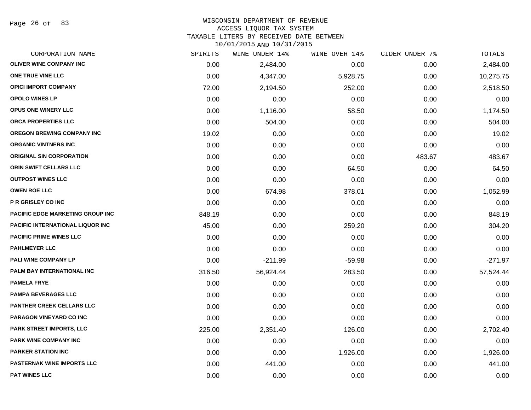Page 26 of 83

## WISCONSIN DEPARTMENT OF REVENUE ACCESS LIQUOR TAX SYSTEM

TAXABLE LITERS BY RECEIVED DATE BETWEEN

| CORPORATION NAME                        | SPIRITS | WINE UNDER 14% | WINE OVER 14% | CIDER UNDER 7% | TOTALS    |
|-----------------------------------------|---------|----------------|---------------|----------------|-----------|
| <b>OLIVER WINE COMPANY INC</b>          | 0.00    | 2,484.00       | 0.00          | 0.00           | 2,484.00  |
| ONE TRUE VINE LLC                       | 0.00    | 4,347.00       | 5,928.75      | 0.00           | 10,275.75 |
| <b>OPICI IMPORT COMPANY</b>             | 72.00   | 2,194.50       | 252.00        | 0.00           | 2,518.50  |
| <b>OPOLO WINES LP</b>                   | 0.00    | 0.00           | 0.00          | 0.00           | 0.00      |
| OPUS ONE WINERY LLC                     | 0.00    | 1,116.00       | 58.50         | 0.00           | 1,174.50  |
| ORCA PROPERTIES LLC                     | 0.00    | 504.00         | 0.00          | 0.00           | 504.00    |
| OREGON BREWING COMPANY INC              | 19.02   | 0.00           | 0.00          | 0.00           | 19.02     |
| <b>ORGANIC VINTNERS INC</b>             | 0.00    | 0.00           | 0.00          | 0.00           | 0.00      |
| <b>ORIGINAL SIN CORPORATION</b>         | 0.00    | 0.00           | 0.00          | 483.67         | 483.67    |
| <b>ORIN SWIFT CELLARS LLC</b>           | 0.00    | 0.00           | 64.50         | 0.00           | 64.50     |
| <b>OUTPOST WINES LLC</b>                | 0.00    | 0.00           | 0.00          | 0.00           | 0.00      |
| <b>OWEN ROE LLC</b>                     | 0.00    | 674.98         | 378.01        | 0.00           | 1,052.99  |
| <b>P R GRISLEY CO INC</b>               | 0.00    | 0.00           | 0.00          | 0.00           | 0.00      |
| <b>PACIFIC EDGE MARKETING GROUP INC</b> | 848.19  | 0.00           | 0.00          | 0.00           | 848.19    |
| <b>PACIFIC INTERNATIONAL LIQUOR INC</b> | 45.00   | 0.00           | 259.20        | 0.00           | 304.20    |
| <b>PACIFIC PRIME WINES LLC</b>          | 0.00    | 0.00           | 0.00          | 0.00           | 0.00      |
| <b>PAHLMEYER LLC</b>                    | 0.00    | 0.00           | 0.00          | 0.00           | 0.00      |
| PALI WINE COMPANY LP                    | 0.00    | $-211.99$      | $-59.98$      | 0.00           | $-271.97$ |
| PALM BAY INTERNATIONAL INC              | 316.50  | 56,924.44      | 283.50        | 0.00           | 57,524.44 |
| <b>PAMELA FRYE</b>                      | 0.00    | 0.00           | 0.00          | 0.00           | 0.00      |
| <b>PAMPA BEVERAGES LLC</b>              | 0.00    | 0.00           | 0.00          | 0.00           | 0.00      |
| PANTHER CREEK CELLARS LLC               | 0.00    | 0.00           | 0.00          | 0.00           | 0.00      |
| PARAGON VINEYARD CO INC                 | 0.00    | 0.00           | 0.00          | 0.00           | 0.00      |
| <b>PARK STREET IMPORTS, LLC</b>         | 225.00  | 2,351.40       | 126.00        | 0.00           | 2,702.40  |
| <b>PARK WINE COMPANY INC</b>            | 0.00    | 0.00           | 0.00          | 0.00           | 0.00      |
| <b>PARKER STATION INC</b>               | 0.00    | 0.00           | 1,926.00      | 0.00           | 1,926.00  |
| <b>PASTERNAK WINE IMPORTS LLC</b>       | 0.00    | 441.00         | 0.00          | 0.00           | 441.00    |
| <b>PAT WINES LLC</b>                    | 0.00    | 0.00           | 0.00          | 0.00           | 0.00      |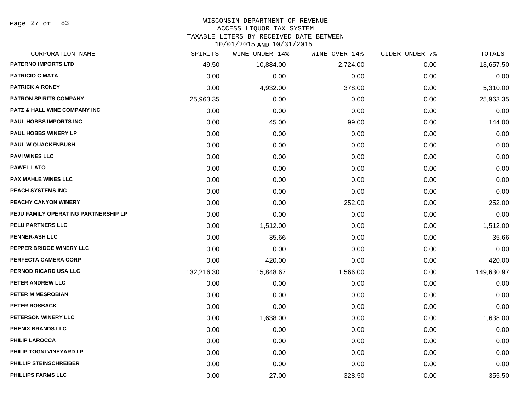Page 27 of 83

# WISCONSIN DEPARTMENT OF REVENUE

# ACCESS LIQUOR TAX SYSTEM

TAXABLE LITERS BY RECEIVED DATE BETWEEN

| CORPORATION NAME                        | SPIRITS    | WINE UNDER 14% | WINE OVER 14% | CIDER UNDER 7% | TOTALS     |
|-----------------------------------------|------------|----------------|---------------|----------------|------------|
| <b>PATERNO IMPORTS LTD</b>              | 49.50      | 10,884.00      | 2,724.00      | 0.00           | 13,657.50  |
| <b>PATRICIO C MATA</b>                  | 0.00       | 0.00           | 0.00          | 0.00           | 0.00       |
| <b>PATRICK A RONEY</b>                  | 0.00       | 4,932.00       | 378.00        | 0.00           | 5,310.00   |
| <b>PATRON SPIRITS COMPANY</b>           | 25,963.35  | 0.00           | 0.00          | 0.00           | 25,963.35  |
| <b>PATZ &amp; HALL WINE COMPANY INC</b> | 0.00       | 0.00           | 0.00          | 0.00           | 0.00       |
| PAUL HOBBS IMPORTS INC                  | 0.00       | 45.00          | 99.00         | 0.00           | 144.00     |
| PAUL HOBBS WINERY LP                    | 0.00       | 0.00           | 0.00          | 0.00           | 0.00       |
| <b>PAUL W QUACKENBUSH</b>               | 0.00       | 0.00           | 0.00          | 0.00           | 0.00       |
| <b>PAVI WINES LLC</b>                   | 0.00       | 0.00           | 0.00          | 0.00           | 0.00       |
| <b>PAWEL LATO</b>                       | 0.00       | 0.00           | 0.00          | 0.00           | 0.00       |
| <b>PAX MAHLE WINES LLC</b>              | 0.00       | 0.00           | 0.00          | 0.00           | 0.00       |
| PEACH SYSTEMS INC                       | 0.00       | 0.00           | 0.00          | 0.00           | 0.00       |
| PEACHY CANYON WINERY                    | 0.00       | 0.00           | 252.00        | 0.00           | 252.00     |
| PEJU FAMILY OPERATING PARTNERSHIP LP    | 0.00       | 0.00           | 0.00          | 0.00           | 0.00       |
| <b>PELU PARTNERS LLC</b>                | 0.00       | 1,512.00       | 0.00          | 0.00           | 1,512.00   |
| <b>PENNER-ASH LLC</b>                   | 0.00       | 35.66          | 0.00          | 0.00           | 35.66      |
| PEPPER BRIDGE WINERY LLC                | 0.00       | 0.00           | 0.00          | 0.00           | 0.00       |
| PERFECTA CAMERA CORP                    | 0.00       | 420.00         | 0.00          | 0.00           | 420.00     |
| PERNOD RICARD USA LLC                   | 132,216.30 | 15,848.67      | 1,566.00      | 0.00           | 149,630.97 |
| PETER ANDREW LLC                        | 0.00       | 0.00           | 0.00          | 0.00           | 0.00       |
| <b>PETER M MESROBIAN</b>                | 0.00       | 0.00           | 0.00          | 0.00           | 0.00       |
| <b>PETER ROSBACK</b>                    | 0.00       | 0.00           | 0.00          | 0.00           | 0.00       |
| PETERSON WINERY LLC                     | 0.00       | 1,638.00       | 0.00          | 0.00           | 1,638.00   |
| PHENIX BRANDS LLC                       | 0.00       | 0.00           | 0.00          | 0.00           | 0.00       |
| <b>PHILIP LAROCCA</b>                   | 0.00       | 0.00           | 0.00          | 0.00           | 0.00       |
| PHILIP TOGNI VINEYARD LP                | 0.00       | 0.00           | 0.00          | 0.00           | 0.00       |
| PHILLIP STEINSCHREIBER                  | 0.00       | 0.00           | 0.00          | 0.00           | 0.00       |
| <b>PHILLIPS FARMS LLC</b>               | 0.00       | 27.00          | 328.50        | 0.00           | 355.50     |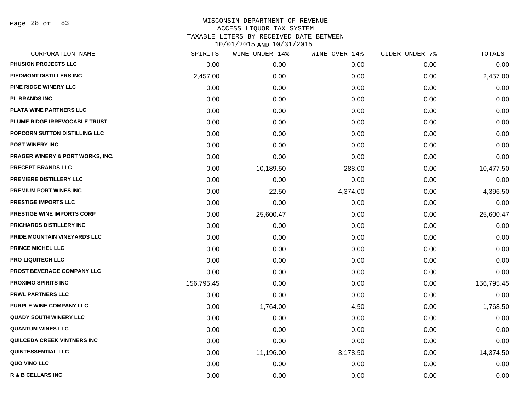Page 28 of 83

| CORPORATION NAME                            | SPIRITS    | WINE UNDER 14% | WINE OVER 14% | CIDER UNDER 7% | TOTALS     |
|---------------------------------------------|------------|----------------|---------------|----------------|------------|
| <b>PHUSION PROJECTS LLC</b>                 | 0.00       | 0.00           | 0.00          | 0.00           | 0.00       |
| PIEDMONT DISTILLERS INC                     | 2,457.00   | 0.00           | 0.00          | 0.00           | 2,457.00   |
| <b>PINE RIDGE WINERY LLC</b>                | 0.00       | 0.00           | 0.00          | 0.00           | 0.00       |
| <b>PL BRANDS INC</b>                        | 0.00       | 0.00           | 0.00          | 0.00           | 0.00       |
| PLATA WINE PARTNERS LLC                     | 0.00       | 0.00           | 0.00          | 0.00           | 0.00       |
| PLUME RIDGE IRREVOCABLE TRUST               | 0.00       | 0.00           | 0.00          | 0.00           | 0.00       |
| POPCORN SUTTON DISTILLING LLC               | 0.00       | 0.00           | 0.00          | 0.00           | 0.00       |
| <b>POST WINERY INC</b>                      | 0.00       | 0.00           | 0.00          | 0.00           | 0.00       |
| <b>PRAGER WINERY &amp; PORT WORKS, INC.</b> | 0.00       | 0.00           | 0.00          | 0.00           | 0.00       |
| <b>PRECEPT BRANDS LLC</b>                   | 0.00       | 10,189.50      | 288.00        | 0.00           | 10,477.50  |
| <b>PREMIERE DISTILLERY LLC</b>              | 0.00       | 0.00           | 0.00          | 0.00           | 0.00       |
| <b>PREMIUM PORT WINES INC</b>               | 0.00       | 22.50          | 4,374.00      | 0.00           | 4,396.50   |
| <b>PRESTIGE IMPORTS LLC</b>                 | 0.00       | 0.00           | 0.00          | 0.00           | 0.00       |
| <b>PRESTIGE WINE IMPORTS CORP</b>           | 0.00       | 25,600.47      | 0.00          | 0.00           | 25,600.47  |
| PRICHARDS DISTILLERY INC                    | 0.00       | 0.00           | 0.00          | 0.00           | 0.00       |
| PRIDE MOUNTAIN VINEYARDS LLC                | 0.00       | 0.00           | 0.00          | 0.00           | 0.00       |
| <b>PRINCE MICHEL LLC</b>                    | 0.00       | 0.00           | 0.00          | 0.00           | 0.00       |
| <b>PRO-LIQUITECH LLC</b>                    | 0.00       | 0.00           | 0.00          | 0.00           | 0.00       |
| PROST BEVERAGE COMPANY LLC                  | 0.00       | 0.00           | 0.00          | 0.00           | 0.00       |
| <b>PROXIMO SPIRITS INC</b>                  | 156,795.45 | 0.00           | 0.00          | 0.00           | 156,795.45 |
| <b>PRWL PARTNERS LLC</b>                    | 0.00       | 0.00           | 0.00          | 0.00           | 0.00       |
| PURPLE WINE COMPANY LLC                     | 0.00       | 1,764.00       | 4.50          | 0.00           | 1,768.50   |
| <b>QUADY SOUTH WINERY LLC</b>               | 0.00       | 0.00           | 0.00          | 0.00           | 0.00       |
| <b>QUANTUM WINES LLC</b>                    | 0.00       | 0.00           | 0.00          | 0.00           | 0.00       |
| <b>QUILCEDA CREEK VINTNERS INC</b>          | 0.00       | 0.00           | 0.00          | 0.00           | 0.00       |
| QUINTESSENTIAL LLC                          | 0.00       | 11,196.00      | 3,178.50      | 0.00           | 14,374.50  |
| QUO VINO LLC                                | 0.00       | 0.00           | 0.00          | 0.00           | 0.00       |
| <b>R &amp; B CELLARS INC</b>                | 0.00       | 0.00           | 0.00          | 0.00           | 0.00       |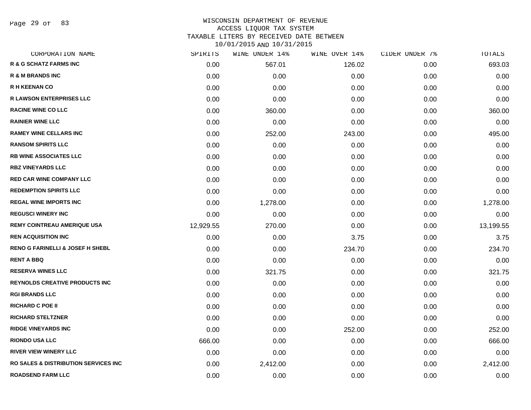Page 29 of 83

| SPIRITS   | WINE UNDER 14% | WINE OVER 14% | CIDER UNDER 7% | TOTALS    |
|-----------|----------------|---------------|----------------|-----------|
| 0.00      | 567.01         | 126.02        | 0.00           | 693.03    |
| 0.00      | 0.00           | 0.00          | 0.00           | 0.00      |
| 0.00      | 0.00           | 0.00          | 0.00           | 0.00      |
| 0.00      | 0.00           | 0.00          | 0.00           | 0.00      |
| 0.00      | 360.00         | 0.00          | 0.00           | 360.00    |
| 0.00      | 0.00           | 0.00          | 0.00           | 0.00      |
| 0.00      | 252.00         | 243.00        | 0.00           | 495.00    |
| 0.00      | 0.00           | 0.00          | 0.00           | 0.00      |
| 0.00      | 0.00           | 0.00          | 0.00           | 0.00      |
| 0.00      | 0.00           | 0.00          | 0.00           | 0.00      |
| 0.00      | 0.00           | 0.00          | 0.00           | 0.00      |
| 0.00      | 0.00           | 0.00          | 0.00           | 0.00      |
| 0.00      | 1,278.00       | 0.00          | 0.00           | 1,278.00  |
| 0.00      | 0.00           | 0.00          | 0.00           | 0.00      |
| 12,929.55 | 270.00         | 0.00          | 0.00           | 13,199.55 |
| 0.00      | 0.00           | 3.75          | 0.00           | 3.75      |
| 0.00      | 0.00           | 234.70        | 0.00           | 234.70    |
| 0.00      | 0.00           | 0.00          | 0.00           | 0.00      |
| 0.00      | 321.75         | 0.00          | 0.00           | 321.75    |
| 0.00      | 0.00           | 0.00          | 0.00           | 0.00      |
| 0.00      | 0.00           | 0.00          | 0.00           | 0.00      |
| 0.00      | 0.00           | 0.00          | 0.00           | 0.00      |
| 0.00      | 0.00           | 0.00          | 0.00           | 0.00      |
| 0.00      | 0.00           | 252.00        | 0.00           | 252.00    |
| 666.00    | 0.00           | 0.00          | 0.00           | 666.00    |
| 0.00      | 0.00           | 0.00          | 0.00           | 0.00      |
| 0.00      | 2,412.00       | 0.00          | 0.00           | 2,412.00  |
| 0.00      | 0.00           | 0.00          | 0.00           | 0.00      |
|           |                |               |                |           |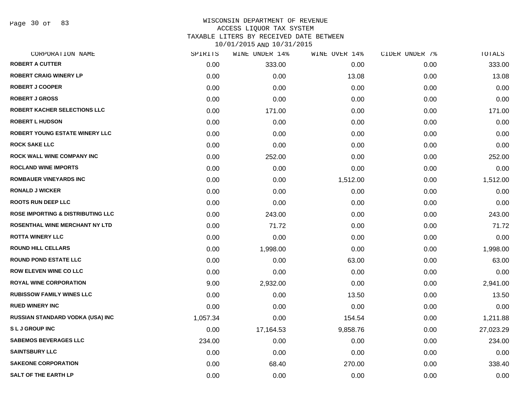Page 30 of 83

# WISCONSIN DEPARTMENT OF REVENUE ACCESS LIQUOR TAX SYSTEM TAXABLE LITERS BY RECEIVED DATE BETWEEN

| CORPORATION NAME                             | SPIRITS  | WINE UNDER 14% | WINE OVER 14% | CIDER UNDER 7% | TOTALS    |
|----------------------------------------------|----------|----------------|---------------|----------------|-----------|
| <b>ROBERT A CUTTER</b>                       | 0.00     | 333.00         | 0.00          | 0.00           | 333.00    |
| <b>ROBERT CRAIG WINERY LP</b>                | 0.00     | 0.00           | 13.08         | 0.00           | 13.08     |
| <b>ROBERT J COOPER</b>                       | 0.00     | 0.00           | 0.00          | 0.00           | 0.00      |
| <b>ROBERT J GROSS</b>                        | 0.00     | 0.00           | 0.00          | 0.00           | 0.00      |
| ROBERT KACHER SELECTIONS LLC                 | 0.00     | 171.00         | 0.00          | 0.00           | 171.00    |
| <b>ROBERT L HUDSON</b>                       | 0.00     | 0.00           | 0.00          | 0.00           | 0.00      |
| ROBERT YOUNG ESTATE WINERY LLC               | 0.00     | 0.00           | 0.00          | 0.00           | 0.00      |
| <b>ROCK SAKE LLC</b>                         | 0.00     | 0.00           | 0.00          | 0.00           | 0.00      |
| ROCK WALL WINE COMPANY INC                   | 0.00     | 252.00         | 0.00          | 0.00           | 252.00    |
| <b>ROCLAND WINE IMPORTS</b>                  | 0.00     | 0.00           | 0.00          | 0.00           | 0.00      |
| <b>ROMBAUER VINEYARDS INC</b>                | 0.00     | 0.00           | 1,512.00      | 0.00           | 1,512.00  |
| <b>RONALD J WICKER</b>                       | 0.00     | 0.00           | 0.00          | 0.00           | 0.00      |
| <b>ROOTS RUN DEEP LLC</b>                    | 0.00     | 0.00           | 0.00          | 0.00           | 0.00      |
| <b>ROSE IMPORTING &amp; DISTRIBUTING LLC</b> | 0.00     | 243.00         | 0.00          | 0.00           | 243.00    |
| ROSENTHAL WINE MERCHANT NY LTD               | 0.00     | 71.72          | 0.00          | 0.00           | 71.72     |
| <b>ROTTA WINERY LLC</b>                      | 0.00     | 0.00           | 0.00          | 0.00           | 0.00      |
| <b>ROUND HILL CELLARS</b>                    | 0.00     | 1,998.00       | 0.00          | 0.00           | 1,998.00  |
| <b>ROUND POND ESTATE LLC</b>                 | 0.00     | 0.00           | 63.00         | 0.00           | 63.00     |
| ROW ELEVEN WINE CO LLC                       | 0.00     | 0.00           | 0.00          | 0.00           | 0.00      |
| <b>ROYAL WINE CORPORATION</b>                | 9.00     | 2,932.00       | 0.00          | 0.00           | 2,941.00  |
| <b>RUBISSOW FAMILY WINES LLC</b>             | 0.00     | 0.00           | 13.50         | 0.00           | 13.50     |
| <b>RUED WINERY INC</b>                       | 0.00     | 0.00           | 0.00          | 0.00           | 0.00      |
| RUSSIAN STANDARD VODKA (USA) INC             | 1,057.34 | 0.00           | 154.54        | 0.00           | 1,211.88  |
| <b>SLJGROUPINC</b>                           | 0.00     | 17,164.53      | 9,858.76      | 0.00           | 27,023.29 |
| <b>SABEMOS BEVERAGES LLC</b>                 | 234.00   | 0.00           | 0.00          | 0.00           | 234.00    |
| <b>SAINTSBURY LLC</b>                        | 0.00     | 0.00           | 0.00          | 0.00           | 0.00      |
| <b>SAKEONE CORPORATION</b>                   | 0.00     | 68.40          | 270.00        | 0.00           | 338.40    |
| <b>SALT OF THE EARTH LP</b>                  | 0.00     | 0.00           | 0.00          | 0.00           | 0.00      |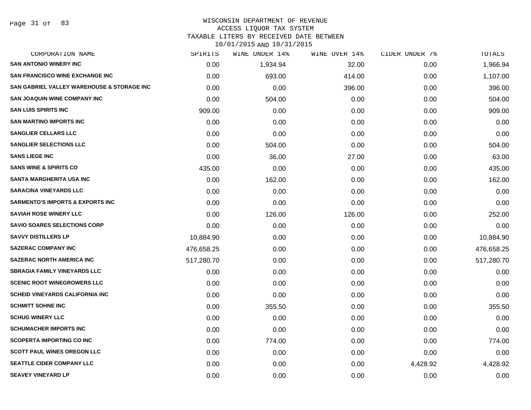#### WISCONSIN DEPARTMENT OF REVENUE ACCESS LIQUOR TAX SYSTEM

TAXABLE LITERS BY RECEIVED DATE BETWEEN

| CORPORATION NAME                            | SPIRITS    | WINE UNDER 14% | WINE OVER 14% | CIDER UNDER 7% | TOTALS     |
|---------------------------------------------|------------|----------------|---------------|----------------|------------|
| <b>SAN ANTONIO WINERY INC</b>               | 0.00       | 1,934.94       | 32.00         | 0.00           | 1,966.94   |
| <b>SAN FRANCISCO WINE EXCHANGE INC</b>      | 0.00       | 693.00         | 414.00        | 0.00           | 1,107.00   |
| SAN GABRIEL VALLEY WAREHOUSE & STORAGE INC  | 0.00       | 0.00           | 396.00        | 0.00           | 396.00     |
| <b>SAN JOAQUIN WINE COMPANY INC</b>         | 0.00       | 504.00         | 0.00          | 0.00           | 504.00     |
| <b>SAN LUIS SPIRITS INC</b>                 | 909.00     | 0.00           | 0.00          | 0.00           | 909.00     |
| <b>SAN MARTINO IMPORTS INC</b>              | 0.00       | 0.00           | 0.00          | 0.00           | 0.00       |
| <b>SANGLIER CELLARS LLC</b>                 | 0.00       | 0.00           | 0.00          | 0.00           | 0.00       |
| <b>SANGLIER SELECTIONS LLC</b>              | 0.00       | 504.00         | 0.00          | 0.00           | 504.00     |
| <b>SANS LIEGE INC</b>                       | 0.00       | 36.00          | 27.00         | 0.00           | 63.00      |
| <b>SANS WINE &amp; SPIRITS CO</b>           | 435.00     | 0.00           | 0.00          | 0.00           | 435.00     |
| SANTA MARGHERITA USA INC                    | 0.00       | 162.00         | 0.00          | 0.00           | 162.00     |
| <b>SARACINA VINEYARDS LLC</b>               | 0.00       | 0.00           | 0.00          | 0.00           | 0.00       |
| <b>SARMENTO'S IMPORTS &amp; EXPORTS INC</b> | 0.00       | 0.00           | 0.00          | 0.00           | 0.00       |
| <b>SAVIAH ROSE WINERY LLC</b>               | 0.00       | 126.00         | 126.00        | 0.00           | 252.00     |
| <b>SAVIO SOARES SELECTIONS CORP</b>         | 0.00       | 0.00           | 0.00          | 0.00           | 0.00       |
| <b>SAVVY DISTILLERS LP</b>                  | 10,884.90  | 0.00           | 0.00          | 0.00           | 10,884.90  |
| <b>SAZERAC COMPANY INC</b>                  | 476,658.25 | 0.00           | 0.00          | 0.00           | 476,658.25 |
| <b>SAZERAC NORTH AMERICA INC</b>            | 517,280.70 | 0.00           | 0.00          | 0.00           | 517,280.70 |
| <b>SBRAGIA FAMILY VINEYARDS LLC</b>         | 0.00       | 0.00           | 0.00          | 0.00           | 0.00       |
| <b>SCENIC ROOT WINEGROWERS LLC</b>          | 0.00       | 0.00           | 0.00          | 0.00           | 0.00       |
| <b>SCHEID VINEYARDS CALIFORNIA INC</b>      | 0.00       | 0.00           | 0.00          | 0.00           | 0.00       |
| <b>SCHMITT SOHNE INC</b>                    | 0.00       | 355.50         | 0.00          | 0.00           | 355.50     |
| <b>SCHUG WINERY LLC</b>                     | 0.00       | 0.00           | 0.00          | 0.00           | 0.00       |
| <b>SCHUMACHER IMPORTS INC</b>               | 0.00       | 0.00           | 0.00          | 0.00           | 0.00       |
| <b>SCOPERTA IMPORTING CO INC</b>            | 0.00       | 774.00         | 0.00          | 0.00           | 774.00     |
| <b>SCOTT PAUL WINES OREGON LLC</b>          | 0.00       | 0.00           | 0.00          | 0.00           | 0.00       |
| <b>SEATTLE CIDER COMPANY LLC</b>            | 0.00       | 0.00           | 0.00          | 4,428.92       | 4,428.92   |
| <b>SEAVEY VINEYARD LP</b>                   | 0.00       | 0.00           | 0.00          | 0.00           | 0.00       |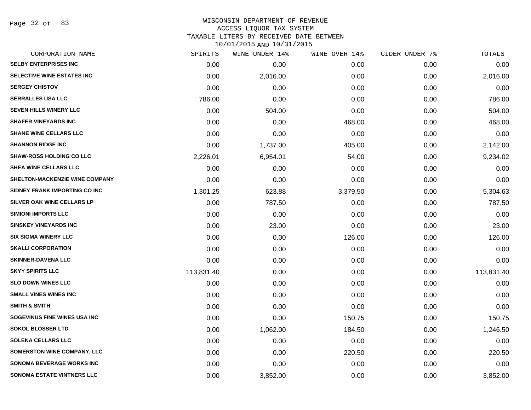Page 32 of 83

### WISCONSIN DEPARTMENT OF REVENUE ACCESS LIQUOR TAX SYSTEM TAXABLE LITERS BY RECEIVED DATE BETWEEN

| CORPORATION NAME                   | SPIRITS    | WINE UNDER 14% | WINE OVER 14% | CIDER UNDER 7% | TOTALS     |
|------------------------------------|------------|----------------|---------------|----------------|------------|
| <b>SELBY ENTERPRISES INC</b>       | 0.00       | 0.00           | 0.00          | 0.00           | 0.00       |
| SELECTIVE WINE ESTATES INC         | 0.00       | 2,016.00       | 0.00          | 0.00           | 2,016.00   |
| <b>SERGEY CHISTOV</b>              | 0.00       | 0.00           | 0.00          | 0.00           | 0.00       |
| <b>SERRALLES USA LLC</b>           | 786.00     | 0.00           | 0.00          | 0.00           | 786.00     |
| <b>SEVEN HILLS WINERY LLC</b>      | 0.00       | 504.00         | 0.00          | 0.00           | 504.00     |
| <b>SHAFER VINEYARDS INC</b>        | 0.00       | 0.00           | 468.00        | 0.00           | 468.00     |
| <b>SHANE WINE CELLARS LLC</b>      | 0.00       | 0.00           | 0.00          | 0.00           | 0.00       |
| <b>SHANNON RIDGE INC</b>           | 0.00       | 1,737.00       | 405.00        | 0.00           | 2,142.00   |
| <b>SHAW-ROSS HOLDING CO LLC</b>    | 2,226.01   | 6,954.01       | 54.00         | 0.00           | 9,234.02   |
| <b>SHEA WINE CELLARS LLC</b>       | 0.00       | 0.00           | 0.00          | 0.00           | 0.00       |
| SHELTON-MACKENZIE WINE COMPANY     | 0.00       | 0.00           | 0.00          | 0.00           | 0.00       |
| SIDNEY FRANK IMPORTING CO INC      | 1,301.25   | 623.88         | 3,379.50      | 0.00           | 5,304.63   |
| SILVER OAK WINE CELLARS LP         | 0.00       | 787.50         | 0.00          | 0.00           | 787.50     |
| <b>SIMIONI IMPORTS LLC</b>         | 0.00       | 0.00           | 0.00          | 0.00           | 0.00       |
| <b>SINSKEY VINEYARDS INC</b>       | 0.00       | 23.00          | 0.00          | 0.00           | 23.00      |
| <b>SIX SIGMA WINERY LLC</b>        | 0.00       | 0.00           | 126.00        | 0.00           | 126.00     |
| <b>SKALLI CORPORATION</b>          | 0.00       | 0.00           | 0.00          | 0.00           | 0.00       |
| <b>SKINNER-DAVENA LLC</b>          | 0.00       | 0.00           | 0.00          | 0.00           | 0.00       |
| <b>SKYY SPIRITS LLC</b>            | 113,831.40 | 0.00           | 0.00          | 0.00           | 113,831.40 |
| <b>SLO DOWN WINES LLC</b>          | 0.00       | 0.00           | 0.00          | 0.00           | 0.00       |
| <b>SMALL VINES WINES INC</b>       | 0.00       | 0.00           | 0.00          | 0.00           | 0.00       |
| <b>SMITH &amp; SMITH</b>           | 0.00       | 0.00           | 0.00          | 0.00           | 0.00       |
| SOGEVINUS FINE WINES USA INC       | 0.00       | 0.00           | 150.75        | 0.00           | 150.75     |
| <b>SOKOL BLOSSER LTD</b>           | 0.00       | 1,062.00       | 184.50        | 0.00           | 1,246.50   |
| <b>SOLENA CELLARS LLC</b>          | 0.00       | 0.00           | 0.00          | 0.00           | 0.00       |
| <b>SOMERSTON WINE COMPANY, LLC</b> | 0.00       | 0.00           | 220.50        | 0.00           | 220.50     |
| <b>SONOMA BEVERAGE WORKS INC</b>   | 0.00       | 0.00           | 0.00          | 0.00           | 0.00       |
| <b>SONOMA ESTATE VINTNERS LLC</b>  | 0.00       | 3,852.00       | 0.00          | 0.00           | 3,852.00   |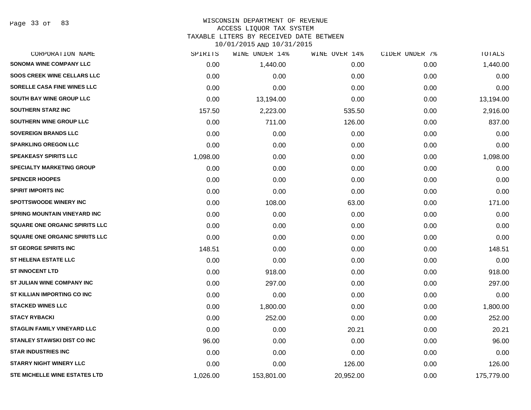Page 33 of 83

### WISCONSIN DEPARTMENT OF REVENUE ACCESS LIQUOR TAX SYSTEM TAXABLE LITERS BY RECEIVED DATE BETWEEN

| CORPORATION NAME                    | SPIRITS  | WINE UNDER 14% | WINE OVER 14% | CIDER UNDER 7% | <b>TOTALS</b> |
|-------------------------------------|----------|----------------|---------------|----------------|---------------|
| <b>SONOMA WINE COMPANY LLC</b>      | 0.00     | 1,440.00       | 0.00          | 0.00           | 1,440.00      |
| <b>SOOS CREEK WINE CELLARS LLC</b>  | 0.00     | 0.00           | 0.00          | 0.00           | 0.00          |
| SORELLE CASA FINE WINES LLC         | 0.00     | 0.00           | 0.00          | 0.00           | 0.00          |
| SOUTH BAY WINE GROUP LLC            | 0.00     | 13,194.00      | 0.00          | 0.00           | 13,194.00     |
| <b>SOUTHERN STARZ INC</b>           | 157.50   | 2,223.00       | 535.50        | 0.00           | 2,916.00      |
| SOUTHERN WINE GROUP LLC             | 0.00     | 711.00         | 126.00        | 0.00           | 837.00        |
| <b>SOVEREIGN BRANDS LLC</b>         | 0.00     | 0.00           | 0.00          | 0.00           | 0.00          |
| <b>SPARKLING OREGON LLC</b>         | 0.00     | 0.00           | 0.00          | 0.00           | 0.00          |
| <b>SPEAKEASY SPIRITS LLC</b>        | 1,098.00 | 0.00           | 0.00          | 0.00           | 1,098.00      |
| <b>SPECIALTY MARKETING GROUP</b>    | 0.00     | 0.00           | 0.00          | 0.00           | 0.00          |
| <b>SPENCER HOOPES</b>               | 0.00     | 0.00           | 0.00          | 0.00           | 0.00          |
| <b>SPIRIT IMPORTS INC</b>           | 0.00     | 0.00           | 0.00          | 0.00           | 0.00          |
| <b>SPOTTSWOODE WINERY INC</b>       | 0.00     | 108.00         | 63.00         | 0.00           | 171.00        |
| <b>SPRING MOUNTAIN VINEYARD INC</b> | 0.00     | 0.00           | 0.00          | 0.00           | 0.00          |
| SQUARE ONE ORGANIC SPIRITS LLC      | 0.00     | 0.00           | 0.00          | 0.00           | 0.00          |
| SQUARE ONE ORGANIC SPIRITS LLC      | 0.00     | 0.00           | 0.00          | 0.00           | 0.00          |
| <b>ST GEORGE SPIRITS INC</b>        | 148.51   | 0.00           | 0.00          | 0.00           | 148.51        |
| <b>ST HELENA ESTATE LLC</b>         | 0.00     | 0.00           | 0.00          | 0.00           | 0.00          |
| <b>ST INNOCENT LTD</b>              | 0.00     | 918.00         | 0.00          | 0.00           | 918.00        |
| ST JULIAN WINE COMPANY INC          | 0.00     | 297.00         | 0.00          | 0.00           | 297.00        |
| ST KILLIAN IMPORTING CO INC         | 0.00     | 0.00           | 0.00          | 0.00           | 0.00          |
| <b>STACKED WINES LLC</b>            | 0.00     | 1,800.00       | 0.00          | 0.00           | 1,800.00      |
| <b>STACY RYBACKI</b>                | 0.00     | 252.00         | 0.00          | 0.00           | 252.00        |
| <b>STAGLIN FAMILY VINEYARD LLC</b>  | 0.00     | 0.00           | 20.21         | 0.00           | 20.21         |
| <b>STANLEY STAWSKI DIST CO INC</b>  | 96.00    | 0.00           | 0.00          | 0.00           | 96.00         |
| <b>STAR INDUSTRIES INC</b>          | 0.00     | 0.00           | 0.00          | 0.00           | 0.00          |
| <b>STARRY NIGHT WINERY LLC</b>      | 0.00     | 0.00           | 126.00        | 0.00           | 126.00        |
| STE MICHELLE WINE ESTATES LTD       | 1,026.00 | 153,801.00     | 20,952.00     | 0.00           | 175,779.00    |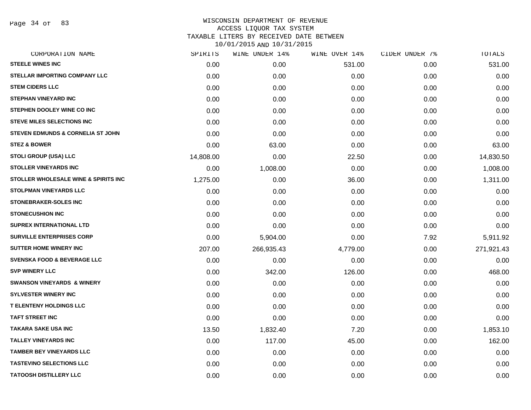Page 34 of 83

| CORPORATION NAME                                | SPIRITS   | WINE UNDER 14% | WINE OVER 14% | CIDER UNDER 7% | TOTALS     |
|-------------------------------------------------|-----------|----------------|---------------|----------------|------------|
| <b>STEELE WINES INC</b>                         | 0.00      | 0.00           | 531.00        | 0.00           | 531.00     |
| STELLAR IMPORTING COMPANY LLC                   | 0.00      | 0.00           | 0.00          | 0.00           | 0.00       |
| <b>STEM CIDERS LLC</b>                          | 0.00      | 0.00           | 0.00          | 0.00           | 0.00       |
| <b>STEPHAN VINEYARD INC</b>                     | 0.00      | 0.00           | 0.00          | 0.00           | 0.00       |
| STEPHEN DOOLEY WINE CO INC                      | 0.00      | 0.00           | 0.00          | 0.00           | 0.00       |
| <b>STEVE MILES SELECTIONS INC</b>               | 0.00      | 0.00           | 0.00          | 0.00           | 0.00       |
| <b>STEVEN EDMUNDS &amp; CORNELIA ST JOHN</b>    | 0.00      | 0.00           | 0.00          | 0.00           | 0.00       |
| <b>STEZ &amp; BOWER</b>                         | 0.00      | 63.00          | 0.00          | 0.00           | 63.00      |
| <b>STOLI GROUP (USA) LLC</b>                    | 14,808.00 | 0.00           | 22.50         | 0.00           | 14,830.50  |
| <b>STOLLER VINEYARDS INC</b>                    | 0.00      | 1,008.00       | 0.00          | 0.00           | 1,008.00   |
| <b>STOLLER WHOLESALE WINE &amp; SPIRITS INC</b> | 1,275.00  | 0.00           | 36.00         | 0.00           | 1,311.00   |
| <b>STOLPMAN VINEYARDS LLC</b>                   | 0.00      | 0.00           | 0.00          | 0.00           | 0.00       |
| STONEBRAKER-SOLES INC                           | 0.00      | 0.00           | 0.00          | 0.00           | 0.00       |
| <b>STONECUSHION INC</b>                         | 0.00      | 0.00           | 0.00          | 0.00           | 0.00       |
| <b>SUPREX INTERNATIONAL LTD</b>                 | 0.00      | 0.00           | 0.00          | 0.00           | 0.00       |
| <b>SURVILLE ENTERPRISES CORP</b>                | 0.00      | 5,904.00       | 0.00          | 7.92           | 5,911.92   |
| <b>SUTTER HOME WINERY INC.</b>                  | 207.00    | 266,935.43     | 4,779.00      | 0.00           | 271,921.43 |
| <b>SVENSKA FOOD &amp; BEVERAGE LLC</b>          | 0.00      | 0.00           | 0.00          | 0.00           | 0.00       |
| <b>SVP WINERY LLC</b>                           | 0.00      | 342.00         | 126.00        | 0.00           | 468.00     |
| <b>SWANSON VINEYARDS &amp; WINERY</b>           | 0.00      | 0.00           | 0.00          | 0.00           | 0.00       |
| <b>SYLVESTER WINERY INC</b>                     | 0.00      | 0.00           | 0.00          | 0.00           | 0.00       |
| T ELENTENY HOLDINGS LLC                         | 0.00      | 0.00           | 0.00          | 0.00           | 0.00       |
| <b>TAFT STREET INC</b>                          | 0.00      | 0.00           | 0.00          | 0.00           | 0.00       |
| <b>TAKARA SAKE USA INC</b>                      | 13.50     | 1,832.40       | 7.20          | 0.00           | 1,853.10   |
| <b>TALLEY VINEYARDS INC</b>                     | 0.00      | 117.00         | 45.00         | 0.00           | 162.00     |
| <b>TAMBER BEY VINEYARDS LLC</b>                 | 0.00      | 0.00           | 0.00          | 0.00           | 0.00       |
| <b>TASTEVINO SELECTIONS LLC</b>                 | 0.00      | 0.00           | 0.00          | 0.00           | 0.00       |
| <b>TATOOSH DISTILLERY LLC</b>                   | 0.00      | 0.00           | 0.00          | 0.00           | 0.00       |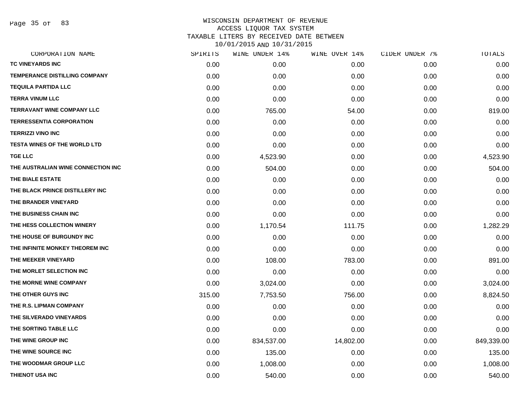Page 35 of 83

| SPIRITS | WINE UNDER 14% | WINE OVER 14% | CIDER UNDER 7% | TOTALS     |
|---------|----------------|---------------|----------------|------------|
| 0.00    | 0.00           | 0.00          | 0.00           | 0.00       |
| 0.00    | 0.00           | 0.00          | 0.00           | 0.00       |
| 0.00    | 0.00           | 0.00          | 0.00           | 0.00       |
| 0.00    | 0.00           | 0.00          | 0.00           | 0.00       |
| 0.00    | 765.00         | 54.00         | 0.00           | 819.00     |
| 0.00    | 0.00           | 0.00          | 0.00           | 0.00       |
| 0.00    | 0.00           | 0.00          | 0.00           | 0.00       |
| 0.00    | 0.00           | 0.00          | 0.00           | 0.00       |
| 0.00    | 4,523.90       | 0.00          | 0.00           | 4,523.90   |
| 0.00    | 504.00         | 0.00          | 0.00           | 504.00     |
| 0.00    | 0.00           | 0.00          | 0.00           | 0.00       |
| 0.00    | 0.00           | 0.00          | 0.00           | 0.00       |
| 0.00    | 0.00           | 0.00          | 0.00           | 0.00       |
| 0.00    | 0.00           | 0.00          | 0.00           | 0.00       |
| 0.00    | 1,170.54       | 111.75        | 0.00           | 1,282.29   |
| 0.00    | 0.00           | 0.00          | 0.00           | 0.00       |
| 0.00    | 0.00           | 0.00          | 0.00           | 0.00       |
| 0.00    | 108.00         | 783.00        | 0.00           | 891.00     |
| 0.00    | 0.00           | 0.00          | 0.00           | 0.00       |
| 0.00    | 3,024.00       | 0.00          | 0.00           | 3,024.00   |
| 315.00  | 7,753.50       | 756.00        | 0.00           | 8,824.50   |
| 0.00    | 0.00           | 0.00          | 0.00           | 0.00       |
| 0.00    | 0.00           | 0.00          | 0.00           | 0.00       |
| 0.00    | 0.00           | 0.00          | 0.00           | 0.00       |
| 0.00    | 834,537.00     | 14,802.00     | 0.00           | 849,339.00 |
| 0.00    | 135.00         | 0.00          | 0.00           | 135.00     |
| 0.00    | 1,008.00       | 0.00          | 0.00           | 1,008.00   |
| 0.00    | 540.00         | 0.00          | 0.00           | 540.00     |
|         |                |               |                |            |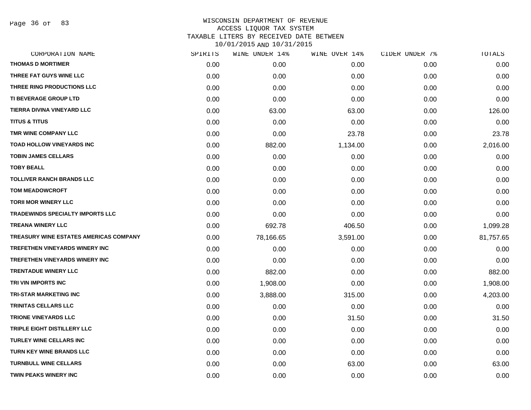Page 36 of 83

| SPIRITS | WINE UNDER 14% |          |               | TOTALS         |
|---------|----------------|----------|---------------|----------------|
| 0.00    | 0.00           | 0.00     | 0.00          | 0.00           |
| 0.00    | 0.00           | 0.00     | 0.00          | 0.00           |
| 0.00    | 0.00           | 0.00     | 0.00          | 0.00           |
| 0.00    | 0.00           | 0.00     | 0.00          | 0.00           |
| 0.00    | 63.00          | 63.00    | 0.00          | 126.00         |
| 0.00    | 0.00           | 0.00     | 0.00          | 0.00           |
| 0.00    | 0.00           | 23.78    | 0.00          | 23.78          |
| 0.00    | 882.00         | 1,134.00 | 0.00          | 2,016.00       |
| 0.00    | 0.00           | 0.00     | 0.00          | 0.00           |
| 0.00    | 0.00           | 0.00     | 0.00          | 0.00           |
| 0.00    | 0.00           | 0.00     | 0.00          | 0.00           |
| 0.00    | 0.00           | 0.00     | 0.00          | 0.00           |
| 0.00    | 0.00           | 0.00     | 0.00          | 0.00           |
| 0.00    | 0.00           | 0.00     | 0.00          | 0.00           |
| 0.00    | 692.78         | 406.50   | 0.00          | 1,099.28       |
| 0.00    | 78,166.65      | 3,591.00 | 0.00          | 81,757.65      |
| 0.00    | 0.00           | 0.00     | 0.00          | 0.00           |
| 0.00    | 0.00           | 0.00     | 0.00          | 0.00           |
| 0.00    | 882.00         | 0.00     | 0.00          | 882.00         |
| 0.00    | 1,908.00       | 0.00     | 0.00          | 1,908.00       |
| 0.00    | 3,888.00       | 315.00   | 0.00          | 4,203.00       |
| 0.00    | 0.00           | 0.00     | 0.00          | 0.00           |
| 0.00    | 0.00           | 31.50    | 0.00          | 31.50          |
| 0.00    | 0.00           | 0.00     | 0.00          | 0.00           |
| 0.00    | 0.00           | 0.00     | 0.00          | 0.00           |
| 0.00    | 0.00           | 0.00     | 0.00          | 0.00           |
| 0.00    | 0.00           | 63.00    | 0.00          | 63.00          |
| 0.00    | 0.00           | 0.00     | 0.00          | 0.00           |
|         |                |          | WINE OVER 14% | CIDER UNDER 7% |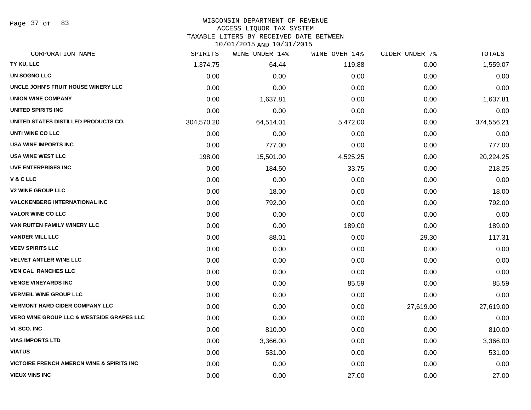Page 37 of 83

### WISCONSIN DEPARTMENT OF REVENUE

#### ACCESS LIQUOR TAX SYSTEM

TAXABLE LITERS BY RECEIVED DATE BETWEEN

| CORPORATION NAME                                      | SPIRITS    | WINE UNDER 14% | WINE OVER 14% | CIDER UNDER 7% | TOTALS     |
|-------------------------------------------------------|------------|----------------|---------------|----------------|------------|
| TY KU, LLC                                            | 1,374.75   | 64.44          | 119.88        | 0.00           | 1,559.07   |
| UN SOGNO LLC                                          | 0.00       | 0.00           | 0.00          | 0.00           | 0.00       |
| UNCLE JOHN'S FRUIT HOUSE WINERY LLC                   | 0.00       | 0.00           | 0.00          | 0.00           | 0.00       |
| <b>UNION WINE COMPANY</b>                             | 0.00       | 1,637.81       | 0.00          | 0.00           | 1,637.81   |
| <b>UNITED SPIRITS INC</b>                             | 0.00       | 0.00           | 0.00          | 0.00           | 0.00       |
| UNITED STATES DISTILLED PRODUCTS CO.                  | 304,570.20 | 64,514.01      | 5,472.00      | 0.00           | 374,556.21 |
| UNTI WINE CO LLC                                      | 0.00       | 0.00           | 0.00          | 0.00           | 0.00       |
| <b>USA WINE IMPORTS INC</b>                           | 0.00       | 777.00         | 0.00          | 0.00           | 777.00     |
| <b>USA WINE WEST LLC</b>                              | 198.00     | 15,501.00      | 4,525.25      | 0.00           | 20,224.25  |
| <b>UVE ENTERPRISES INC</b>                            | 0.00       | 184.50         | 33.75         | 0.00           | 218.25     |
| V & C LLC                                             | 0.00       | 0.00           | 0.00          | 0.00           | 0.00       |
| <b>V2 WINE GROUP LLC</b>                              | 0.00       | 18.00          | 0.00          | 0.00           | 18.00      |
| <b>VALCKENBERG INTERNATIONAL INC</b>                  | 0.00       | 792.00         | 0.00          | 0.00           | 792.00     |
| <b>VALOR WINE CO LLC</b>                              | 0.00       | 0.00           | 0.00          | 0.00           | 0.00       |
| VAN RUITEN FAMILY WINERY LLC                          | 0.00       | 0.00           | 189.00        | 0.00           | 189.00     |
| <b>VANDER MILL LLC</b>                                | 0.00       | 88.01          | 0.00          | 29.30          | 117.31     |
| <b>VEEV SPIRITS LLC</b>                               | 0.00       | 0.00           | 0.00          | 0.00           | 0.00       |
| <b>VELVET ANTLER WINE LLC</b>                         | 0.00       | 0.00           | 0.00          | 0.00           | 0.00       |
| <b>VEN CAL RANCHES LLC</b>                            | 0.00       | 0.00           | 0.00          | 0.00           | 0.00       |
| <b>VENGE VINEYARDS INC</b>                            | 0.00       | 0.00           | 85.59         | 0.00           | 85.59      |
| <b>VERMEIL WINE GROUP LLC</b>                         | 0.00       | 0.00           | 0.00          | 0.00           | 0.00       |
| <b>VERMONT HARD CIDER COMPANY LLC</b>                 | 0.00       | 0.00           | 0.00          | 27,619.00      | 27,619.00  |
| <b>VERO WINE GROUP LLC &amp; WESTSIDE GRAPES LLC</b>  | 0.00       | 0.00           | 0.00          | 0.00           | 0.00       |
| VI. SCO. INC                                          | 0.00       | 810.00         | 0.00          | 0.00           | 810.00     |
| <b>VIAS IMPORTS LTD</b>                               | 0.00       | 3,366.00       | 0.00          | 0.00           | 3,366.00   |
| <b>VIATUS</b>                                         | 0.00       | 531.00         | 0.00          | 0.00           | 531.00     |
| <b>VICTOIRE FRENCH AMERCN WINE &amp; SPIRITS INC.</b> | 0.00       | 0.00           | 0.00          | 0.00           | 0.00       |
| <b>VIEUX VINS INC</b>                                 | 0.00       | 0.00           | 27.00         | 0.00           | 27.00      |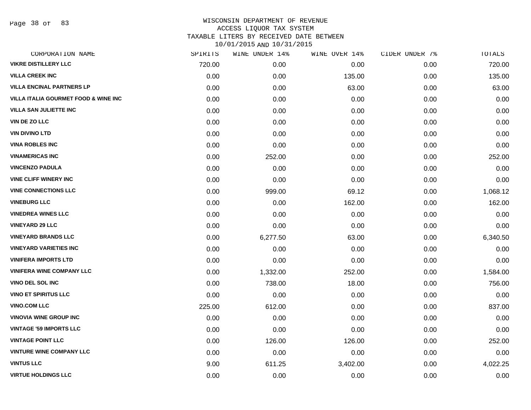Page 38 of 83

|        | WINE UNDER 14% |          | CIDER UNDER 7% | <b>TOTALS</b> |
|--------|----------------|----------|----------------|---------------|
| 720.00 | 0.00           | 0.00     | 0.00           | 720.00        |
| 0.00   | 0.00           | 135.00   | 0.00           | 135.00        |
| 0.00   | 0.00           | 63.00    | 0.00           | 63.00         |
| 0.00   | 0.00           | 0.00     | 0.00           | 0.00          |
| 0.00   | 0.00           | 0.00     | 0.00           | 0.00          |
| 0.00   | 0.00           | 0.00     | 0.00           | 0.00          |
| 0.00   | 0.00           | 0.00     | 0.00           | 0.00          |
| 0.00   | 0.00           | 0.00     | 0.00           | 0.00          |
| 0.00   | 252.00         | 0.00     | 0.00           | 252.00        |
| 0.00   | 0.00           | 0.00     | 0.00           | 0.00          |
| 0.00   | 0.00           | 0.00     | 0.00           | 0.00          |
| 0.00   | 999.00         | 69.12    | 0.00           | 1,068.12      |
| 0.00   | 0.00           | 162.00   | 0.00           | 162.00        |
| 0.00   | 0.00           | 0.00     | 0.00           | 0.00          |
| 0.00   | 0.00           | 0.00     | 0.00           | 0.00          |
| 0.00   | 6,277.50       | 63.00    | 0.00           | 6,340.50      |
| 0.00   | 0.00           | 0.00     | 0.00           | 0.00          |
| 0.00   | 0.00           | 0.00     | 0.00           | 0.00          |
| 0.00   | 1,332.00       | 252.00   | 0.00           | 1,584.00      |
| 0.00   | 738.00         | 18.00    | 0.00           | 756.00        |
| 0.00   | 0.00           | 0.00     | 0.00           | 0.00          |
| 225.00 | 612.00         | 0.00     | 0.00           | 837.00        |
| 0.00   | 0.00           | 0.00     | 0.00           | 0.00          |
| 0.00   | 0.00           | 0.00     | 0.00           | 0.00          |
| 0.00   | 126.00         | 126.00   | 0.00           | 252.00        |
| 0.00   | 0.00           | 0.00     | 0.00           | 0.00          |
| 9.00   | 611.25         | 3,402.00 | 0.00           | 4,022.25      |
| 0.00   | 0.00           | 0.00     | 0.00           | 0.00          |
|        | SPIRITS        |          | WINE OVER 14%  |               |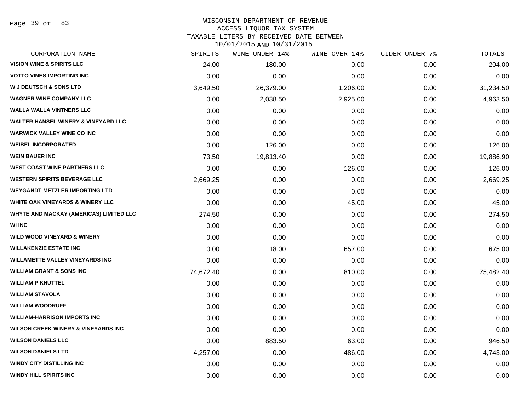Page 39 of 83

## WISCONSIN DEPARTMENT OF REVENUE ACCESS LIQUOR TAX SYSTEM

TAXABLE LITERS BY RECEIVED DATE BETWEEN

| CORPORATION NAME                               | SPIRITS   | WINE UNDER 14% | WINE OVER 14% | CIDER UNDER 7% | TOTALS    |
|------------------------------------------------|-----------|----------------|---------------|----------------|-----------|
| <b>VISION WINE &amp; SPIRITS LLC</b>           | 24.00     | 180.00         | 0.00          | 0.00           | 204.00    |
| <b>VOTTO VINES IMPORTING INC</b>               | 0.00      | 0.00           | 0.00          | 0.00           | 0.00      |
| <b>W J DEUTSCH &amp; SONS LTD</b>              | 3,649.50  | 26,379.00      | 1,206.00      | 0.00           | 31,234.50 |
| <b>WAGNER WINE COMPANY LLC</b>                 | 0.00      | 2,038.50       | 2,925.00      | 0.00           | 4,963.50  |
| <b>WALLA WALLA VINTNERS LLC</b>                | 0.00      | 0.00           | 0.00          | 0.00           | 0.00      |
| <b>WALTER HANSEL WINERY &amp; VINEYARD LLC</b> | 0.00      | 0.00           | 0.00          | 0.00           | 0.00      |
| <b>WARWICK VALLEY WINE CO INC</b>              | 0.00      | 0.00           | 0.00          | 0.00           | 0.00      |
| <b>WEIBEL INCORPORATED</b>                     | 0.00      | 126.00         | 0.00          | 0.00           | 126.00    |
| <b>WEIN BAUER INC</b>                          | 73.50     | 19,813.40      | 0.00          | 0.00           | 19,886.90 |
| <b>WEST COAST WINE PARTNERS LLC</b>            | 0.00      | 0.00           | 126.00        | 0.00           | 126.00    |
| <b>WESTERN SPIRITS BEVERAGE LLC</b>            | 2,669.25  | 0.00           | 0.00          | 0.00           | 2,669.25  |
| <b>WEYGANDT-METZLER IMPORTING LTD</b>          | 0.00      | 0.00           | 0.00          | 0.00           | 0.00      |
| <b>WHITE OAK VINEYARDS &amp; WINERY LLC</b>    | 0.00      | 0.00           | 45.00         | 0.00           | 45.00     |
| <b>WHYTE AND MACKAY (AMERICAS) LIMITED LLC</b> | 274.50    | 0.00           | 0.00          | 0.00           | 274.50    |
| <b>WI INC</b>                                  | 0.00      | 0.00           | 0.00          | 0.00           | 0.00      |
| <b>WILD WOOD VINEYARD &amp; WINERY</b>         | 0.00      | 0.00           | 0.00          | 0.00           | 0.00      |
| <b>WILLAKENZIE ESTATE INC</b>                  | 0.00      | 18.00          | 657.00        | 0.00           | 675.00    |
| <b>WILLAMETTE VALLEY VINEYARDS INC</b>         | 0.00      | 0.00           | 0.00          | 0.00           | 0.00      |
| <b>WILLIAM GRANT &amp; SONS INC</b>            | 74,672.40 | 0.00           | 810.00        | 0.00           | 75,482.40 |
| <b>WILLIAM P KNUTTEL</b>                       | 0.00      | 0.00           | 0.00          | 0.00           | 0.00      |
| <b>WILLIAM STAVOLA</b>                         | 0.00      | 0.00           | 0.00          | 0.00           | 0.00      |
| <b>WILLIAM WOODRUFF</b>                        | 0.00      | 0.00           | 0.00          | 0.00           | 0.00      |
| <b>WILLIAM-HARRISON IMPORTS INC</b>            | 0.00      | 0.00           | 0.00          | 0.00           | 0.00      |
| <b>WILSON CREEK WINERY &amp; VINEYARDS INC</b> | 0.00      | 0.00           | 0.00          | 0.00           | 0.00      |
| <b>WILSON DANIELS LLC</b>                      | 0.00      | 883.50         | 63.00         | 0.00           | 946.50    |
| <b>WILSON DANIELS LTD</b>                      | 4,257.00  | 0.00           | 486.00        | 0.00           | 4,743.00  |
| <b>WINDY CITY DISTILLING INC</b>               | 0.00      | 0.00           | 0.00          | 0.00           | 0.00      |
| WINDY HILL SPIRITS INC                         | 0.00      | 0.00           | 0.00          | 0.00           | 0.00      |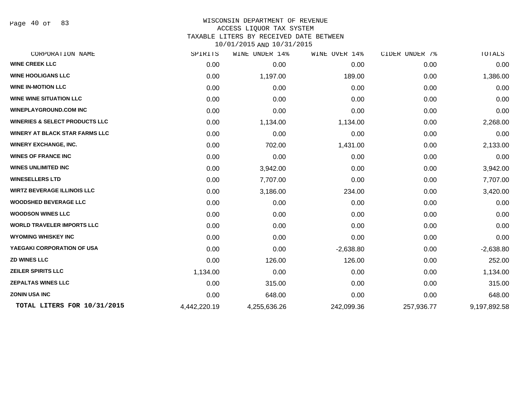Page 40 of 83

#### WISCONSIN DEPARTMENT OF REVENUE ACCESS LIQUOR TAX SYSTEM TAXABLE LITERS BY RECEIVED DATE BETWEEN

| CORPORATION NAME                          | SPIRITS      | <b>WINE UNDER 14%</b> | WINE OVER 14% | CIDER UNDER 7% | TOTALS       |
|-------------------------------------------|--------------|-----------------------|---------------|----------------|--------------|
| <b>WINE CREEK LLC</b>                     | 0.00         | 0.00                  | 0.00          | 0.00           | 0.00         |
| <b>WINE HOOLIGANS LLC</b>                 | 0.00         | 1,197.00              | 189.00        | 0.00           | 1,386.00     |
| <b>WINE IN-MOTION LLC</b>                 | 0.00         | 0.00                  | 0.00          | 0.00           | 0.00         |
| <b>WINE WINE SITUATION LLC</b>            | 0.00         | 0.00                  | 0.00          | 0.00           | 0.00         |
| <b>WINEPLAYGROUND.COM INC</b>             | 0.00         | 0.00                  | 0.00          | 0.00           | 0.00         |
| <b>WINERIES &amp; SELECT PRODUCTS LLC</b> | 0.00         | 1,134.00              | 1,134.00      | 0.00           | 2,268.00     |
| <b>WINERY AT BLACK STAR FARMS LLC</b>     | 0.00         | 0.00                  | 0.00          | 0.00           | 0.00         |
| <b>WINERY EXCHANGE, INC.</b>              | 0.00         | 702.00                | 1,431.00      | 0.00           | 2,133.00     |
| <b>WINES OF FRANCE INC</b>                | 0.00         | 0.00                  | 0.00          | 0.00           | 0.00         |
| <b>WINES UNLIMITED INC</b>                | 0.00         | 3,942.00              | 0.00          | 0.00           | 3,942.00     |
| <b>WINESELLERS LTD</b>                    | 0.00         | 7,707.00              | 0.00          | 0.00           | 7,707.00     |
| <b>WIRTZ BEVERAGE ILLINOIS LLC</b>        | 0.00         | 3,186.00              | 234.00        | 0.00           | 3,420.00     |
| <b>WOODSHED BEVERAGE LLC</b>              | 0.00         | 0.00                  | 0.00          | 0.00           | 0.00         |
| <b>WOODSON WINES LLC</b>                  | 0.00         | 0.00                  | 0.00          | 0.00           | 0.00         |
| <b>WORLD TRAVELER IMPORTS LLC</b>         | 0.00         | 0.00                  | 0.00          | 0.00           | 0.00         |
| <b>WYOMING WHISKEY INC</b>                | 0.00         | 0.00                  | 0.00          | 0.00           | 0.00         |
| YAEGAKI CORPORATION OF USA                | 0.00         | 0.00                  | $-2,638.80$   | 0.00           | $-2,638.80$  |
| <b>ZD WINES LLC</b>                       | 0.00         | 126.00                | 126.00        | 0.00           | 252.00       |
| <b>ZEILER SPIRITS LLC</b>                 | 1,134.00     | 0.00                  | 0.00          | 0.00           | 1,134.00     |
| <b>ZEPALTAS WINES LLC</b>                 | 0.00         | 315.00                | 0.00          | 0.00           | 315.00       |
| <b>ZONIN USA INC</b>                      | 0.00         | 648.00                | 0.00          | 0.00           | 648.00       |
| TOTAL LITERS FOR 10/31/2015               | 4,442,220.19 | 4,255,636.26          | 242,099.36    | 257,936.77     | 9,197,892.58 |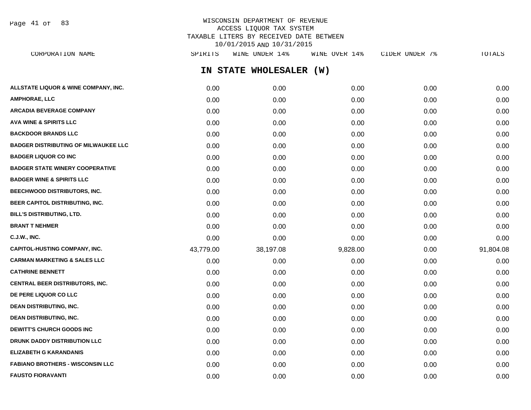Page 41 of 83

### WISCONSIN DEPARTMENT OF REVENUE ACCESS LIQUOR TAX SYSTEM TAXABLE LITERS BY RECEIVED DATE BETWEEN 10/01/2015 AND 10/31/2015

| CORPORATION NAME                            | SPIRITS   | WINE UNDER 14%          | WINE OVER 14% | CIDER UNDER 7% | TOTALS    |
|---------------------------------------------|-----------|-------------------------|---------------|----------------|-----------|
|                                             |           | IN STATE WHOLESALER (W) |               |                |           |
| ALLSTATE LIQUOR & WINE COMPANY, INC.        | 0.00      | 0.00                    | 0.00          | 0.00           | 0.00      |
| AMPHORAE, LLC                               | 0.00      | 0.00                    | 0.00          | 0.00           | 0.00      |
| ARCADIA BEVERAGE COMPANY                    | 0.00      | 0.00                    | 0.00          | 0.00           | 0.00      |
| <b>AVA WINE &amp; SPIRITS LLC</b>           | 0.00      | 0.00                    | 0.00          | 0.00           | 0.00      |
| <b>BACKDOOR BRANDS LLC</b>                  | 0.00      | 0.00                    | 0.00          | 0.00           | 0.00      |
| <b>BADGER DISTRIBUTING OF MILWAUKEE LLC</b> | 0.00      | 0.00                    | 0.00          | 0.00           | 0.00      |
| <b>BADGER LIQUOR CO INC</b>                 | 0.00      | 0.00                    | 0.00          | 0.00           | 0.00      |
| <b>BADGER STATE WINERY COOPERATIVE</b>      | 0.00      | 0.00                    | 0.00          | 0.00           | 0.00      |
| <b>BADGER WINE &amp; SPIRITS LLC</b>        | 0.00      | 0.00                    | 0.00          | 0.00           | 0.00      |
| <b>BEECHWOOD DISTRIBUTORS, INC.</b>         | 0.00      | 0.00                    | 0.00          | 0.00           | 0.00      |
| BEER CAPITOL DISTRIBUTING, INC.             | 0.00      | 0.00                    | 0.00          | 0.00           | 0.00      |
| BILL'S DISTRIBUTING, LTD.                   | 0.00      | 0.00                    | 0.00          | 0.00           | 0.00      |
| <b>BRANT T NEHMER</b>                       | 0.00      | 0.00                    | 0.00          | 0.00           | 0.00      |
| C.J.W., INC.                                | 0.00      | 0.00                    | 0.00          | 0.00           | 0.00      |
| <b>CAPITOL-HUSTING COMPANY, INC.</b>        | 43,779.00 | 38,197.08               | 9,828.00      | 0.00           | 91,804.08 |
| CARMAN MARKETING & SALES LLC                | 0.00      | 0.00                    | 0.00          | 0.00           | 0.00      |
| <b>CATHRINE BENNETT</b>                     | 0.00      | 0.00                    | 0.00          | 0.00           | 0.00      |
| <b>CENTRAL BEER DISTRIBUTORS, INC.</b>      | 0.00      | 0.00                    | 0.00          | 0.00           | 0.00      |
| <b>DE PERE LIQUOR CO LLC</b>                | 0.00      | 0.00                    | 0.00          | 0.00           | 0.00      |
| <b>DEAN DISTRIBUTING, INC.</b>              | 0.00      | 0.00                    | 0.00          | 0.00           | 0.00      |
| <b>DEAN DISTRIBUTING, INC.</b>              | 0.00      | 0.00                    | 0.00          | 0.00           | 0.00      |
| <b>DEWITT'S CHURCH GOODS INC</b>            | 0.00      | 0.00                    | 0.00          | 0.00           | 0.00      |
| <b>DRUNK DADDY DISTRIBUTION LLC</b>         | 0.00      | 0.00                    | 0.00          | 0.00           | 0.00      |
| <b>ELIZABETH G KARANDANIS</b>               | 0.00      | 0.00                    | 0.00          | 0.00           | 0.00      |
| <b>FABIANO BROTHERS - WISCONSIN LLC</b>     | 0.00      | 0.00                    | 0.00          | 0.00           | 0.00      |
|                                             |           |                         |               |                |           |

**FAUSTO FIORAVANTI** 0.00 0.00 0.00 0.00 0.00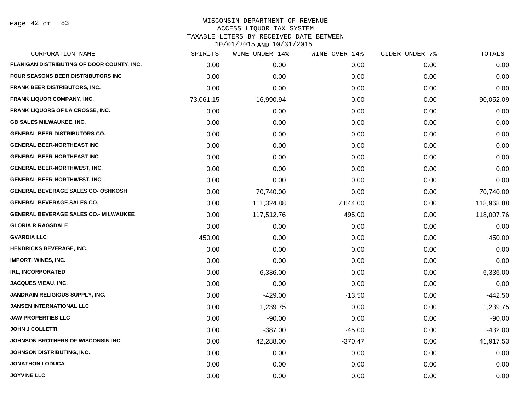Page 42 of 83

| CORPORATION NAME                             | SPIRITS   | WINE UNDER 14% | WINE OVER 14% | CIDER UNDER 7% | TOTALS     |
|----------------------------------------------|-----------|----------------|---------------|----------------|------------|
| FLANIGAN DISTRIBUTING OF DOOR COUNTY, INC.   | 0.00      | 0.00           | 0.00          | 0.00           | 0.00       |
| FOUR SEASONS BEER DISTRIBUTORS INC           | 0.00      | 0.00           | 0.00          | 0.00           | 0.00       |
| FRANK BEER DISTRIBUTORS, INC.                | 0.00      | 0.00           | 0.00          | 0.00           | 0.00       |
| <b>FRANK LIQUOR COMPANY, INC.</b>            | 73,061.15 | 16,990.94      | 0.00          | 0.00           | 90,052.09  |
| <b>FRANK LIQUORS OF LA CROSSE, INC.</b>      | 0.00      | 0.00           | 0.00          | 0.00           | 0.00       |
| <b>GB SALES MILWAUKEE, INC.</b>              | 0.00      | 0.00           | 0.00          | 0.00           | 0.00       |
| <b>GENERAL BEER DISTRIBUTORS CO.</b>         | 0.00      | 0.00           | 0.00          | 0.00           | 0.00       |
| <b>GENERAL BEER-NORTHEAST INC</b>            | 0.00      | 0.00           | 0.00          | 0.00           | 0.00       |
| <b>GENERAL BEER-NORTHEAST INC</b>            | 0.00      | 0.00           | 0.00          | 0.00           | 0.00       |
| <b>GENERAL BEER-NORTHWEST, INC.</b>          | 0.00      | 0.00           | 0.00          | 0.00           | 0.00       |
| <b>GENERAL BEER-NORTHWEST, INC.</b>          | 0.00      | 0.00           | 0.00          | 0.00           | 0.00       |
| <b>GENERAL BEVERAGE SALES CO- OSHKOSH</b>    | 0.00      | 70,740.00      | 0.00          | 0.00           | 70,740.00  |
| <b>GENERAL BEVERAGE SALES CO.</b>            | 0.00      | 111,324.88     | 7,644.00      | 0.00           | 118,968.88 |
| <b>GENERAL BEVERAGE SALES CO.- MILWAUKEE</b> | 0.00      | 117,512.76     | 495.00        | 0.00           | 118,007.76 |
| <b>GLORIA R RAGSDALE</b>                     | 0.00      | 0.00           | 0.00          | 0.00           | 0.00       |
| <b>GVARDIA LLC</b>                           | 450.00    | 0.00           | 0.00          | 0.00           | 450.00     |
| <b>HENDRICKS BEVERAGE, INC.</b>              | 0.00      | 0.00           | 0.00          | 0.00           | 0.00       |
| <b>IMPORT! WINES, INC.</b>                   | 0.00      | 0.00           | 0.00          | 0.00           | 0.00       |
| <b>IRL, INCORPORATED</b>                     | 0.00      | 6,336.00       | 0.00          | 0.00           | 6,336.00   |
| JACQUES VIEAU, INC.                          | 0.00      | 0.00           | 0.00          | 0.00           | 0.00       |
| JANDRAIN RELIGIOUS SUPPLY, INC.              | 0.00      | $-429.00$      | $-13.50$      | 0.00           | $-442.50$  |
| <b>JANSEN INTERNATIONAL LLC</b>              | 0.00      | 1,239.75       | 0.00          | 0.00           | 1,239.75   |
| <b>JAW PROPERTIES LLC</b>                    | 0.00      | $-90.00$       | 0.00          | 0.00           | $-90.00$   |
| <b>JOHN J COLLETTI</b>                       | 0.00      | $-387.00$      | $-45.00$      | 0.00           | $-432.00$  |
| JOHNSON BROTHERS OF WISCONSIN INC            | 0.00      | 42,288.00      | $-370.47$     | 0.00           | 41,917.53  |
| JOHNSON DISTRIBUTING, INC.                   | 0.00      | 0.00           | 0.00          | 0.00           | 0.00       |
| <b>JONATHON LODUCA</b>                       | 0.00      | 0.00           | 0.00          | 0.00           | 0.00       |
| <b>JOYVINE LLC</b>                           | 0.00      | 0.00           | 0.00          | 0.00           | 0.00       |
|                                              |           |                |               |                |            |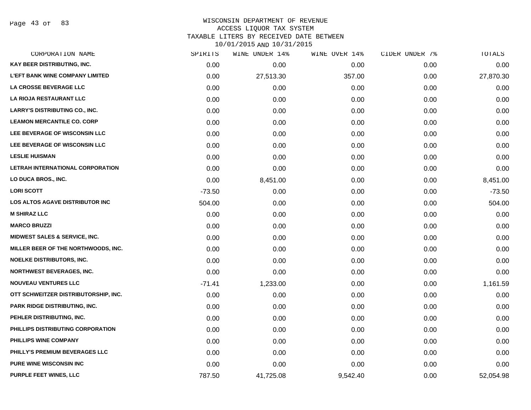Page 43 of 83

## WISCONSIN DEPARTMENT OF REVENUE ACCESS LIQUOR TAX SYSTEM

TAXABLE LITERS BY RECEIVED DATE BETWEEN

| CORPORATION NAME                         | SPIRITS  | WINE UNDER 14% | WINE OVER 14% | CIDER UNDER 7% | TOTALS    |
|------------------------------------------|----------|----------------|---------------|----------------|-----------|
| KAY BEER DISTRIBUTING, INC.              | 0.00     | 0.00           | 0.00          | 0.00           | 0.00      |
| <b>L'EFT BANK WINE COMPANY LIMITED</b>   | 0.00     | 27,513.30      | 357.00        | 0.00           | 27,870.30 |
| LA CROSSE BEVERAGE LLC                   | 0.00     | 0.00           | 0.00          | 0.00           | 0.00      |
| LA RIOJA RESTAURANT LLC                  | 0.00     | 0.00           | 0.00          | 0.00           | 0.00      |
| <b>LARRY'S DISTRIBUTING CO., INC.</b>    | 0.00     | 0.00           | 0.00          | 0.00           | 0.00      |
| <b>LEAMON MERCANTILE CO. CORP</b>        | 0.00     | 0.00           | 0.00          | 0.00           | 0.00      |
| LEE BEVERAGE OF WISCONSIN LLC            | 0.00     | 0.00           | 0.00          | 0.00           | 0.00      |
| LEE BEVERAGE OF WISCONSIN LLC            | 0.00     | 0.00           | 0.00          | 0.00           | 0.00      |
| <b>LESLIE HUISMAN</b>                    | 0.00     | 0.00           | 0.00          | 0.00           | 0.00      |
| LETRAH INTERNATIONAL CORPORATION         | 0.00     | 0.00           | 0.00          | 0.00           | 0.00      |
| LO DUCA BROS., INC.                      | 0.00     | 8,451.00       | 0.00          | 0.00           | 8,451.00  |
| <b>LORI SCOTT</b>                        | $-73.50$ | 0.00           | 0.00          | 0.00           | $-73.50$  |
| LOS ALTOS AGAVE DISTRIBUTOR INC          | 504.00   | 0.00           | 0.00          | 0.00           | 504.00    |
| <b>M SHIRAZ LLC</b>                      | 0.00     | 0.00           | 0.00          | 0.00           | 0.00      |
| <b>MARCO BRUZZI</b>                      | 0.00     | 0.00           | 0.00          | 0.00           | 0.00      |
| <b>MIDWEST SALES &amp; SERVICE, INC.</b> | 0.00     | 0.00           | 0.00          | 0.00           | 0.00      |
| MILLER BEER OF THE NORTHWOODS, INC.      | 0.00     | 0.00           | 0.00          | 0.00           | 0.00      |
| <b>NOELKE DISTRIBUTORS, INC.</b>         | 0.00     | 0.00           | 0.00          | 0.00           | 0.00      |
| <b>NORTHWEST BEVERAGES, INC.</b>         | 0.00     | 0.00           | 0.00          | 0.00           | 0.00      |
| <b>NOUVEAU VENTURES LLC</b>              | $-71.41$ | 1,233.00       | 0.00          | 0.00           | 1,161.59  |
| OTT SCHWEITZER DISTRIBUTORSHIP, INC.     | 0.00     | 0.00           | 0.00          | 0.00           | 0.00      |
| <b>PARK RIDGE DISTRIBUTING, INC.</b>     | 0.00     | 0.00           | 0.00          | 0.00           | 0.00      |
| PEHLER DISTRIBUTING, INC.                | 0.00     | 0.00           | 0.00          | 0.00           | 0.00      |
| PHILLIPS DISTRIBUTING CORPORATION        | 0.00     | 0.00           | 0.00          | 0.00           | 0.00      |
| PHILLIPS WINE COMPANY                    | 0.00     | 0.00           | 0.00          | 0.00           | 0.00      |
| PHILLY'S PREMIUM BEVERAGES LLC           | 0.00     | 0.00           | 0.00          | 0.00           | 0.00      |
| <b>PURE WINE WISCONSIN INC</b>           | 0.00     | 0.00           | 0.00          | 0.00           | 0.00      |
| PURPLE FEET WINES, LLC                   | 787.50   | 41,725.08      | 9,542.40      | 0.00           | 52,054.98 |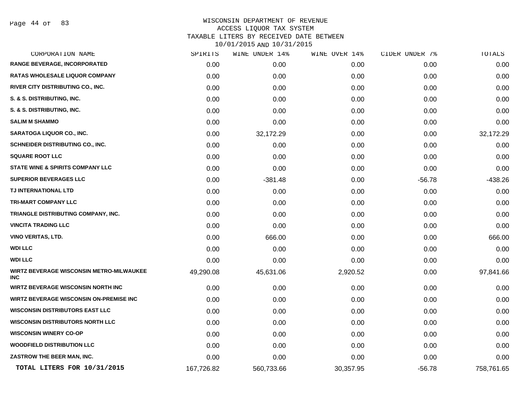Page 44 of 83

| CORPORATION NAME                                              | SPIRITS    | WINE UNDER 14% | WINE OVER 14% | CIDER UNDER 7% | TOTALS     |
|---------------------------------------------------------------|------------|----------------|---------------|----------------|------------|
| <b>RANGE BEVERAGE, INCORPORATED</b>                           | 0.00       | 0.00           | 0.00          | 0.00           | 0.00       |
| RATAS WHOLESALE LIQUOR COMPANY                                | 0.00       | 0.00           | 0.00          | 0.00           | 0.00       |
| RIVER CITY DISTRIBUTING CO., INC.                             | 0.00       | 0.00           | 0.00          | 0.00           | 0.00       |
| S. & S. DISTRIBUTING, INC.                                    | 0.00       | 0.00           | 0.00          | 0.00           | 0.00       |
| S. & S. DISTRIBUTING, INC.                                    | 0.00       | 0.00           | 0.00          | 0.00           | 0.00       |
| <b>SALIM M SHAMMO</b>                                         | 0.00       | 0.00           | 0.00          | 0.00           | 0.00       |
| <b>SARATOGA LIQUOR CO., INC.</b>                              | 0.00       | 32,172.29      | 0.00          | 0.00           | 32,172.29  |
| SCHNEIDER DISTRIBUTING CO., INC.                              | 0.00       | 0.00           | 0.00          | 0.00           | 0.00       |
| <b>SQUARE ROOT LLC</b>                                        | 0.00       | 0.00           | 0.00          | 0.00           | 0.00       |
| <b>STATE WINE &amp; SPIRITS COMPANY LLC</b>                   | 0.00       | 0.00           | 0.00          | 0.00           | 0.00       |
| <b>SUPERIOR BEVERAGES LLC</b>                                 | 0.00       | $-381.48$      | 0.00          | $-56.78$       | $-438.26$  |
| TJ INTERNATIONAL LTD                                          | 0.00       | 0.00           | 0.00          | 0.00           | 0.00       |
| TRI-MART COMPANY LLC                                          | 0.00       | 0.00           | 0.00          | 0.00           | 0.00       |
| TRIANGLE DISTRIBUTING COMPANY, INC.                           | 0.00       | 0.00           | 0.00          | 0.00           | 0.00       |
| <b>VINCITA TRADING LLC</b>                                    | 0.00       | 0.00           | 0.00          | 0.00           | 0.00       |
| VINO VERITAS, LTD.                                            | 0.00       | 666.00         | 0.00          | 0.00           | 666.00     |
| WDI LLC                                                       | 0.00       | 0.00           | 0.00          | 0.00           | 0.00       |
| <b>WDI LLC</b>                                                | 0.00       | 0.00           | 0.00          | 0.00           | 0.00       |
| <b>WIRTZ BEVERAGE WISCONSIN METRO-MILWAUKEE</b><br><b>INC</b> | 49,290.08  | 45,631.06      | 2,920.52      | 0.00           | 97,841.66  |
| <b>WIRTZ BEVERAGE WISCONSIN NORTH INC</b>                     | 0.00       | 0.00           | 0.00          | 0.00           | 0.00       |
| <b>WIRTZ BEVERAGE WISCONSIN ON-PREMISE INC</b>                | 0.00       | 0.00           | 0.00          | 0.00           | 0.00       |
| <b>WISCONSIN DISTRIBUTORS EAST LLC</b>                        | 0.00       | 0.00           | 0.00          | 0.00           | 0.00       |
| <b>WISCONSIN DISTRIBUTORS NORTH LLC</b>                       | 0.00       | 0.00           | 0.00          | 0.00           | 0.00       |
| <b>WISCONSIN WINERY CO-OP</b>                                 | 0.00       | 0.00           | 0.00          | 0.00           | 0.00       |
| <b>WOODFIELD DISTRIBUTION LLC</b>                             | 0.00       | 0.00           | 0.00          | 0.00           | 0.00       |
| ZASTROW THE BEER MAN, INC.                                    | 0.00       | 0.00           | 0.00          | 0.00           | 0.00       |
| TOTAL LITERS FOR 10/31/2015                                   | 167,726.82 | 560,733.66     | 30,357.95     | $-56.78$       | 758,761.65 |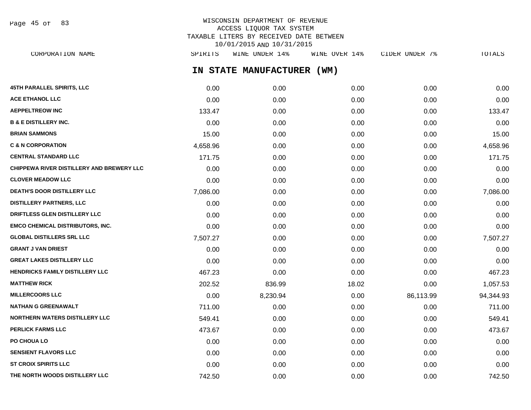Page 45 of 83

## WISCONSIN DEPARTMENT OF REVENUE ACCESS LIQUOR TAX SYSTEM TAXABLE LITERS BY RECEIVED DATE BETWEEN 10/01/2015 AND 10/31/2015

**IN STATE MANUFACTURER (WM) 45TH PARALLEL SPIRITS, LLC** 0.00 0.00 0.00 0.00 0.00 **ACE ETHANOL LLC** 0.00 0.00 0.00 0.00 0.00 **AEPPELTREOW INC** 133.47 0.00 0.00 0.00 133.47 **B & E DISTILLERY INC.** 0.00 0.00 0.00 0.00 0.00 **BRIAN SAMMONS** 15.00 0.00 0.00 0.00 15.00 **C & N CORPORATION** 4,658.96 0.00 0.00 0.00 4,658.96 **CENTRAL STANDARD LLC** 171.75 0.00 0.00 0.00 171.75 **CHIPPEWA RIVER DISTILLERY AND BREWERY LLC** 0.00 0.00 0.00 0.00 0.00 **CLOVER MEADOW LLC** 0.00 0.00 0.00 0.00 0.00 **DEATH'S DOOR DISTILLERY LLC** 7,086.00 0.00 0.00 0.00 7,086.00 **DISTILLERY PARTNERS, LLC** 0.00 0.00 0.00 0.00 0.00 **DRIFTLESS GLEN DISTILLERY LLC** 0.00 0.00 0.00 0.00 0.00 **EMCO CHEMICAL DISTRIBUTORS, INC.** 0.00 0.00 0.00 0.00 0.00 **GLOBAL DISTILLERS SRL LLC** 7,507.27 0.00 0.00 0.00 7,507.27 **GRANT J VAN DRIEST** 0.00 0.00 0.00 0.00 0.00 **GREAT LAKES DISTILLERY LLC** 0.00 0.00 0.00 0.00 0.00 **HENDRICKS FAMILY DISTILLERY LLC** 467.23 0.00 0.00 0.00 0.00 0.00 0.00 467.23 **MATTHEW RICK** 202.52 836.99 18.02 0.00 1,057.53 **MILLERCOORS LLC** 0.00 8,230.94 0.00 86,113.99 94,344.93 **NATHAN G GREENAWALT** 711.00 0.00 0.00 0.00 711.00 **NORTHERN WATERS DISTILLERY LLC**  $549.41$   $549.41$   $0.00$   $0.00$   $0.00$   $0.00$   $549.41$ **PERLICK FARMS LLC** 473.67 0.00 0.00 0.00 473.67 **PO CHOUA LO** 0.00 0.00 0.00 0.00 0.00 **SENSIENT FLAVORS LLC** 0.00 0.00 0.00 0.00 0.00 CORPORATION NAME SPIRITS WINE UNDER 14% WINE OVER 14% CIDER UNDER 7% TOTALS

**ST CROIX SPIRITS LLC** 0.00 0.00 0.00 0.00 0.00 **THE NORTH WOODS DISTILLERY LLC**  $\begin{array}{cccc} 742.50 & 0.00 & 0.00 & 0.00 & 0.00 & 0.742.50 \end{array}$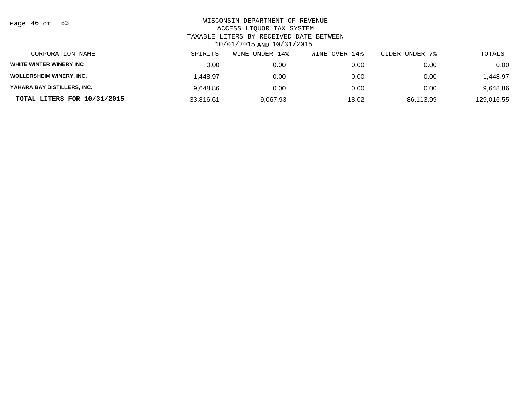| Page 46 of |  |  | 83 |
|------------|--|--|----|
|------------|--|--|----|

| CORPORATION NAME                | SPIRITS   | UNDER 14%<br>WINE | WINE OVER 14% | CIDER UNDER 7% | TOTALS     |
|---------------------------------|-----------|-------------------|---------------|----------------|------------|
| WHITE WINTER WINERY INC         | 0.00      | 0.00              | 0.00          | 0.00           | 0.00       |
| <b>WOLLERSHEIM WINERY, INC.</b> | 1.448.97  | 0.00              | 0.00          | 0.00           | .448.97    |
| YAHARA BAY DISTILLERS, INC.     | 9.648.86  | 0.00              | 0.00          | 0.00           | 9,648.86   |
| TOTAL LITERS FOR 10/31/2015     | 33,816.61 | 9,067.93          | 18.02         | 86,113.99      | 129,016.55 |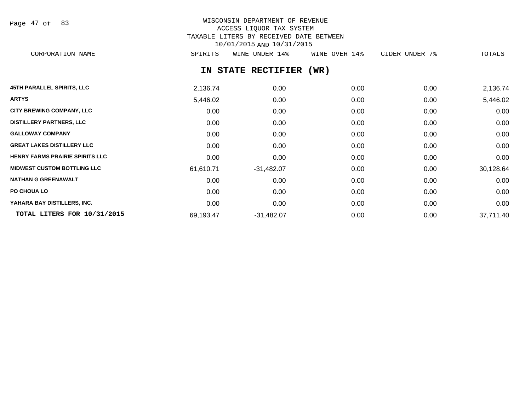Page 47 of 83

# WISCONSIN DEPARTMENT OF REVENUE ACCESS LIQUOR TAX SYSTEM TAXABLE LITERS BY RECEIVED DATE BETWEEN 10/01/2015 AND 10/31/2015

CORPORATION NAME SPIRITS WINE UNDER 14% WINE OVER 14% CIDER UNDER 7% TOTALS

### **IN STATE RECTIFIER (WR)**

| <b>45TH PARALLEL SPIRITS, LLC</b>      | 2,136.74  | 0.00         | 0.00 | 0.00 | 2,136.74  |
|----------------------------------------|-----------|--------------|------|------|-----------|
| <b>ARTYS</b>                           | 5,446.02  | 0.00         | 0.00 | 0.00 | 5,446.02  |
| <b>CITY BREWING COMPANY, LLC</b>       | 0.00      | 0.00         | 0.00 | 0.00 | 0.00      |
| <b>DISTILLERY PARTNERS, LLC</b>        | 0.00      | 0.00         | 0.00 | 0.00 | 0.00      |
| <b>GALLOWAY COMPANY</b>                | 0.00      | 0.00         | 0.00 | 0.00 | 0.00      |
| <b>GREAT LAKES DISTILLERY LLC</b>      | 0.00      | 0.00         | 0.00 | 0.00 | 0.00      |
| <b>HENRY FARMS PRAIRIE SPIRITS LLC</b> | 0.00      | 0.00         | 0.00 | 0.00 | 0.00      |
| <b>MIDWEST CUSTOM BOTTLING LLC</b>     | 61,610.71 | $-31,482.07$ | 0.00 | 0.00 | 30,128.64 |
| <b>NATHAN G GREENAWALT</b>             | 0.00      | 0.00         | 0.00 | 0.00 | 0.00      |
| PO CHOUA LO                            | 0.00      | 0.00         | 0.00 | 0.00 | 0.00      |
| YAHARA BAY DISTILLERS, INC.            | 0.00      | 0.00         | 0.00 | 0.00 | 0.00      |
| TOTAL LITERS FOR 10/31/2015            | 69,193.47 | $-31,482.07$ | 0.00 | 0.00 | 37,711.40 |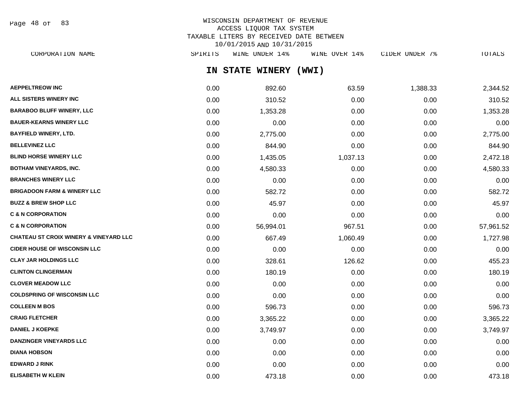Page 48 of 83

## WISCONSIN DEPARTMENT OF REVENUE ACCESS LIQUOR TAX SYSTEM TAXABLE LITERS BY RECEIVED DATE BETWEEN 10/01/2015 AND 10/31/2015

| CORPORATION NAME                                  | SPIRITS | WINE UNDER 14%        | WINE OVER 14% | CIDER UNDER 7% | TOTALS    |
|---------------------------------------------------|---------|-----------------------|---------------|----------------|-----------|
|                                                   |         | IN STATE WINERY (WWI) |               |                |           |
| <b>AEPPELTREOW INC</b>                            | 0.00    | 892.60                | 63.59         | 1,388.33       | 2,344.52  |
| <b>ALL SISTERS WINERY INC</b>                     | 0.00    | 310.52                | 0.00          | 0.00           | 310.52    |
| <b>BARABOO BLUFF WINERY, LLC</b>                  | 0.00    | 1,353.28              | 0.00          | 0.00           | 1,353.28  |
| <b>BAUER-KEARNS WINERY LLC</b>                    | 0.00    | 0.00                  | 0.00          | 0.00           | 0.00      |
| BAYFIELD WINERY, LTD.                             | 0.00    | 2,775.00              | 0.00          | 0.00           | 2,775.00  |
| <b>BELLEVINEZ LLC</b>                             | 0.00    | 844.90                | 0.00          | 0.00           | 844.90    |
| <b>BLIND HORSE WINERY LLC</b>                     | 0.00    | 1,435.05              | 1,037.13      | 0.00           | 2,472.18  |
| BOTHAM VINEYARDS, INC.                            | 0.00    | 4,580.33              | 0.00          | 0.00           | 4,580.33  |
| <b>BRANCHES WINERY LLC</b>                        | 0.00    | 0.00                  | 0.00          | 0.00           | 0.00      |
| <b>BRIGADOON FARM &amp; WINERY LLC</b>            | 0.00    | 582.72                | 0.00          | 0.00           | 582.72    |
| <b>BUZZ &amp; BREW SHOP LLC</b>                   | 0.00    | 45.97                 | 0.00          | 0.00           | 45.97     |
| <b>C &amp; N CORPORATION</b>                      | 0.00    | 0.00                  | 0.00          | 0.00           | 0.00      |
| <b>C &amp; N CORPORATION</b>                      | 0.00    | 56,994.01             | 967.51        | 0.00           | 57,961.52 |
| <b>CHATEAU ST CROIX WINERY &amp; VINEYARD LLC</b> | 0.00    | 667.49                | 1,060.49      | 0.00           | 1,727.98  |
| <b>CIDER HOUSE OF WISCONSIN LLC</b>               | 0.00    | 0.00                  | 0.00          | 0.00           | 0.00      |
| <b>CLAY JAR HOLDINGS LLC</b>                      | 0.00    | 328.61                | 126.62        | 0.00           | 455.23    |
| <b>CLINTON CLINGERMAN</b>                         | 0.00    | 180.19                | 0.00          | 0.00           | 180.19    |
| <b>CLOVER MEADOW LLC</b>                          | 0.00    | 0.00                  | 0.00          | 0.00           | 0.00      |
| <b>COLDSPRING OF WISCONSIN LLC</b>                | 0.00    | 0.00                  | 0.00          | 0.00           | 0.00      |
| <b>COLLEEN M BOS</b>                              | 0.00    | 596.73                | 0.00          | 0.00           | 596.73    |

**CRAIG FLETCHER** 0.00 3,365.22 0.00 0.00 3,365.22 **DANIEL J KOEPKE** 0.00 3,749.97 0.00 0.00 3,749.97 **DANZINGER VINEYARDS LLC** 0.00 0.00 0.00 0.00 0.00 **DIANA HOBSON** 0.00 0.00 0.00 0.00 0.00 **EDWARD J RINK** 0.00 0.00 0.00 0.00 0.00 **ELISABETH W KLEIN** 0.00 473.18 0.00 0.00 473.18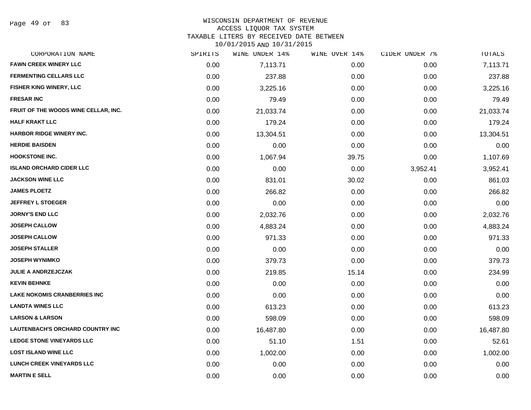#### WISCONSIN DEPARTMENT OF REVENUE ACCESS LIQUOR TAX SYSTEM

TAXABLE LITERS BY RECEIVED DATE BETWEEN

| CORPORATION NAME                        | SPIRITS | WINE UNDER 14% | WINE OVER 14% | CIDER UNDER 7% | TOTALS    |
|-----------------------------------------|---------|----------------|---------------|----------------|-----------|
| <b>FAWN CREEK WINERY LLC</b>            | 0.00    | 7,113.71       | 0.00          | 0.00           | 7,113.71  |
| <b>FERMENTING CELLARS LLC</b>           | 0.00    | 237.88         | 0.00          | 0.00           | 237.88    |
| FISHER KING WINERY, LLC                 | 0.00    | 3,225.16       | 0.00          | 0.00           | 3,225.16  |
| <b>FRESAR INC</b>                       | 0.00    | 79.49          | 0.00          | 0.00           | 79.49     |
| FRUIT OF THE WOODS WINE CELLAR, INC.    | 0.00    | 21,033.74      | 0.00          | 0.00           | 21,033.74 |
| <b>HALF KRAKT LLC</b>                   | 0.00    | 179.24         | 0.00          | 0.00           | 179.24    |
| HARBOR RIDGE WINERY INC.                | 0.00    | 13,304.51      | 0.00          | 0.00           | 13,304.51 |
| <b>HERDIE BAISDEN</b>                   | 0.00    | 0.00           | 0.00          | 0.00           | 0.00      |
| <b>HOOKSTONE INC.</b>                   | 0.00    | 1,067.94       | 39.75         | 0.00           | 1,107.69  |
| <b>ISLAND ORCHARD CIDER LLC</b>         | 0.00    | 0.00           | 0.00          | 3,952.41       | 3,952.41  |
| <b>JACKSON WINE LLC</b>                 | 0.00    | 831.01         | 30.02         | 0.00           | 861.03    |
| <b>JAMES PLOETZ</b>                     | 0.00    | 266.82         | 0.00          | 0.00           | 266.82    |
| <b>JEFFREY L STOEGER</b>                | 0.00    | 0.00           | 0.00          | 0.00           | 0.00      |
| <b>JORNY'S END LLC</b>                  | 0.00    | 2,032.76       | 0.00          | 0.00           | 2,032.76  |
| <b>JOSEPH CALLOW</b>                    | 0.00    | 4,883.24       | 0.00          | 0.00           | 4,883.24  |
| <b>JOSEPH CALLOW</b>                    | 0.00    | 971.33         | 0.00          | 0.00           | 971.33    |
| <b>JOSEPH STALLER</b>                   | 0.00    | 0.00           | 0.00          | 0.00           | 0.00      |
| <b>JOSEPH WYNIMKO</b>                   | 0.00    | 379.73         | 0.00          | 0.00           | 379.73    |
| <b>JULIE A ANDRZEJCZAK</b>              | 0.00    | 219.85         | 15.14         | 0.00           | 234.99    |
| <b>KEVIN BEHNKE</b>                     | 0.00    | 0.00           | 0.00          | 0.00           | 0.00      |
| <b>LAKE NOKOMIS CRANBERRIES INC</b>     | 0.00    | 0.00           | 0.00          | 0.00           | 0.00      |
| <b>LANDTA WINES LLC</b>                 | 0.00    | 613.23         | 0.00          | 0.00           | 613.23    |
| <b>LARSON &amp; LARSON</b>              | 0.00    | 598.09         | 0.00          | 0.00           | 598.09    |
| <b>LAUTENBACH'S ORCHARD COUNTRY INC</b> | 0.00    | 16,487.80      | 0.00          | 0.00           | 16,487.80 |
| <b>LEDGE STONE VINEYARDS LLC</b>        | 0.00    | 51.10          | 1.51          | 0.00           | 52.61     |
| <b>LOST ISLAND WINE LLC</b>             | 0.00    | 1,002.00       | 0.00          | 0.00           | 1,002.00  |
| LUNCH CREEK VINEYARDS LLC               | 0.00    | 0.00           | 0.00          | 0.00           | 0.00      |
| <b>MARTIN E SELL</b>                    | 0.00    | 0.00           | 0.00          | 0.00           | 0.00      |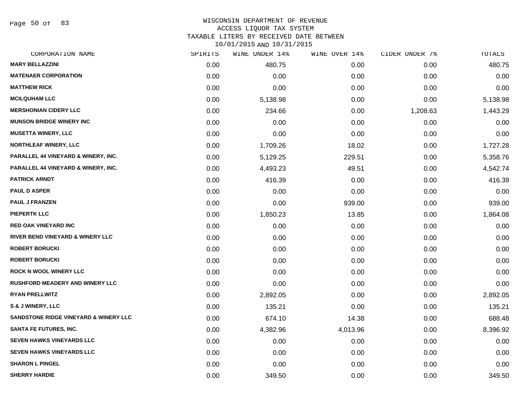Page 50 of 83

#### WISCONSIN DEPARTMENT OF REVENUE ACCESS LIQUOR TAX SYSTEM

TAXABLE LITERS BY RECEIVED DATE BETWEEN

| CORPORATION NAME                               | SPIRITS | WINE UNDER 14% | WINE OVER 14% | CIDER UNDER 7% | TOTALS   |
|------------------------------------------------|---------|----------------|---------------|----------------|----------|
| <b>MARY BELLAZZINI</b>                         | 0.00    | 480.75         | 0.00          | 0.00           | 480.75   |
| <b>MATENAER CORPORATION</b>                    | 0.00    | 0.00           | 0.00          | 0.00           | 0.00     |
| <b>MATTHEW RICK</b>                            | 0.00    | 0.00           | 0.00          | 0.00           | 0.00     |
| <b>MCILQUHAM LLC</b>                           | 0.00    | 5,138.98       | 0.00          | 0.00           | 5,138.98 |
| <b>MERSHONIAN CIDERY LLC</b>                   | 0.00    | 234.66         | 0.00          | 1,208.63       | 1,443.29 |
| <b>MUNSON BRIDGE WINERY INC</b>                | 0.00    | 0.00           | 0.00          | 0.00           | 0.00     |
| <b>MUSETTA WINERY, LLC</b>                     | 0.00    | 0.00           | 0.00          | 0.00           | 0.00     |
| <b>NORTHLEAF WINERY, LLC</b>                   | 0.00    | 1,709.26       | 18.02         | 0.00           | 1,727.28 |
| <b>PARALLEL 44 VINEYARD &amp; WINERY, INC.</b> | 0.00    | 5,129.25       | 229.51        | 0.00           | 5,358.76 |
| <b>PARALLEL 44 VINEYARD &amp; WINERY, INC.</b> | 0.00    | 4,493.23       | 49.51         | 0.00           | 4,542.74 |
| <b>PATRICK ARNDT</b>                           | 0.00    | 416.39         | 0.00          | 0.00           | 416.39   |
| <b>PAUL D ASPER</b>                            | 0.00    | 0.00           | 0.00          | 0.00           | 0.00     |
| <b>PAUL J FRANZEN</b>                          | 0.00    | 0.00           | 939.00        | 0.00           | 939.00   |
| <b>PIEPERTK LLC</b>                            | 0.00    | 1,850.23       | 13.85         | 0.00           | 1,864.08 |
| <b>RED OAK VINEYARD INC</b>                    | 0.00    | 0.00           | 0.00          | 0.00           | 0.00     |
| RIVER BEND VINEYARD & WINERY LLC               | 0.00    | 0.00           | 0.00          | 0.00           | 0.00     |
| <b>ROBERT BORUCKI</b>                          | 0.00    | 0.00           | 0.00          | 0.00           | 0.00     |
| <b>ROBERT BORUCKI</b>                          | 0.00    | 0.00           | 0.00          | 0.00           | 0.00     |
| <b>ROCK N WOOL WINERY LLC</b>                  | 0.00    | 0.00           | 0.00          | 0.00           | 0.00     |
| <b>RUSHFORD MEADERY AND WINERY LLC</b>         | 0.00    | 0.00           | 0.00          | 0.00           | 0.00     |
| <b>RYAN PRELLWITZ</b>                          | 0.00    | 2,892.05       | 0.00          | 0.00           | 2,892.05 |
| S & J WINERY, LLC                              | 0.00    | 135.21         | 0.00          | 0.00           | 135.21   |
| SANDSTONE RIDGE VINEYARD & WINERY LLC          | 0.00    | 674.10         | 14.38         | 0.00           | 688.48   |
| <b>SANTA FE FUTURES, INC.</b>                  | 0.00    | 4,382.96       | 4,013.96      | 0.00           | 8,396.92 |
| <b>SEVEN HAWKS VINEYARDS LLC</b>               | 0.00    | 0.00           | 0.00          | 0.00           | 0.00     |
| <b>SEVEN HAWKS VINEYARDS LLC</b>               | 0.00    | 0.00           | 0.00          | 0.00           | 0.00     |
| <b>SHARON L PINGEL</b>                         | 0.00    | 0.00           | 0.00          | 0.00           | 0.00     |
| <b>SHERRY HARDIE</b>                           | 0.00    | 349.50         | 0.00          | 0.00           | 349.50   |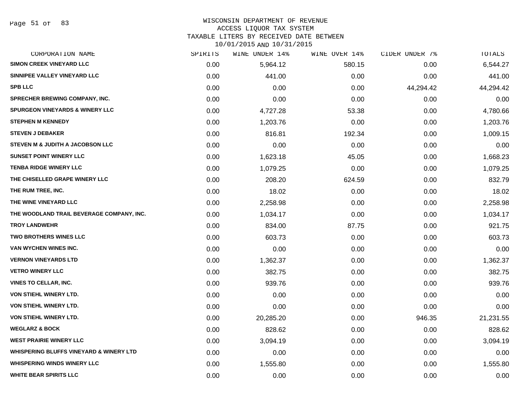### WISCONSIN DEPARTMENT OF REVENUE

#### ACCESS LIQUOR TAX SYSTEM

TAXABLE LITERS BY RECEIVED DATE BETWEEN

| CORPORATION NAME                                   | SPIRITS | WINE UNDER 14% | WINE OVER 14% | CIDER UNDER 7% | TOTALS    |
|----------------------------------------------------|---------|----------------|---------------|----------------|-----------|
| <b>SIMON CREEK VINEYARD LLC</b>                    | 0.00    | 5,964.12       | 580.15        | 0.00           | 6,544.27  |
| SINNIPEE VALLEY VINEYARD LLC                       | 0.00    | 441.00         | 0.00          | 0.00           | 441.00    |
| <b>SPB LLC</b>                                     | 0.00    | 0.00           | 0.00          | 44,294.42      | 44,294.42 |
| <b>SPRECHER BREWING COMPANY, INC.</b>              | 0.00    | 0.00           | 0.00          | 0.00           | 0.00      |
| <b>SPURGEON VINEYARDS &amp; WINERY LLC</b>         | 0.00    | 4,727.28       | 53.38         | 0.00           | 4,780.66  |
| <b>STEPHEN M KENNEDY</b>                           | 0.00    | 1,203.76       | 0.00          | 0.00           | 1,203.76  |
| <b>STEVEN J DEBAKER</b>                            | 0.00    | 816.81         | 192.34        | 0.00           | 1,009.15  |
| STEVEN M & JUDITH A JACOBSON LLC                   | 0.00    | 0.00           | 0.00          | 0.00           | 0.00      |
| <b>SUNSET POINT WINERY LLC</b>                     | 0.00    | 1,623.18       | 45.05         | 0.00           | 1,668.23  |
| <b>TENBA RIDGE WINERY LLC</b>                      | 0.00    | 1,079.25       | 0.00          | 0.00           | 1,079.25  |
| THE CHISELLED GRAPE WINERY LLC                     | 0.00    | 208.20         | 624.59        | 0.00           | 832.79    |
| THE RUM TREE, INC.                                 | 0.00    | 18.02          | 0.00          | 0.00           | 18.02     |
| THE WINE VINEYARD LLC                              | 0.00    | 2,258.98       | 0.00          | 0.00           | 2,258.98  |
| THE WOODLAND TRAIL BEVERAGE COMPANY, INC.          | 0.00    | 1,034.17       | 0.00          | 0.00           | 1,034.17  |
| <b>TROY LANDWEHR</b>                               | 0.00    | 834.00         | 87.75         | 0.00           | 921.75    |
| <b>TWO BROTHERS WINES LLC</b>                      | 0.00    | 603.73         | 0.00          | 0.00           | 603.73    |
| <b>VAN WYCHEN WINES INC.</b>                       | 0.00    | 0.00           | 0.00          | 0.00           | 0.00      |
| <b>VERNON VINEYARDS LTD</b>                        | 0.00    | 1,362.37       | 0.00          | 0.00           | 1,362.37  |
| <b>VETRO WINERY LLC</b>                            | 0.00    | 382.75         | 0.00          | 0.00           | 382.75    |
| <b>VINES TO CELLAR, INC.</b>                       | 0.00    | 939.76         | 0.00          | 0.00           | 939.76    |
| VON STIEHL WINERY LTD.                             | 0.00    | 0.00           | 0.00          | 0.00           | 0.00      |
| VON STIEHL WINERY LTD.                             | 0.00    | 0.00           | 0.00          | 0.00           | 0.00      |
| VON STIEHL WINERY LTD.                             | 0.00    | 20,285.20      | 0.00          | 946.35         | 21,231.55 |
| <b>WEGLARZ &amp; BOCK</b>                          | 0.00    | 828.62         | 0.00          | 0.00           | 828.62    |
| <b>WEST PRAIRIE WINERY LLC</b>                     | 0.00    | 3,094.19       | 0.00          | 0.00           | 3,094.19  |
| <b>WHISPERING BLUFFS VINEYARD &amp; WINERY LTD</b> | 0.00    | 0.00           | 0.00          | 0.00           | 0.00      |
| <b>WHISPERING WINDS WINERY LLC</b>                 | 0.00    | 1,555.80       | 0.00          | 0.00           | 1,555.80  |
| <b>WHITE BEAR SPIRITS LLC</b>                      | 0.00    | 0.00           | 0.00          | 0.00           | 0.00      |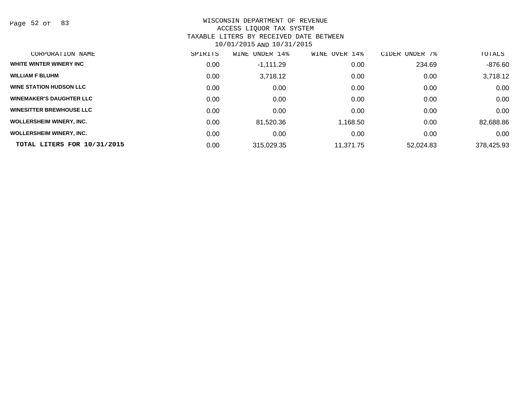Page 52 of 83

## WISCONSIN DEPARTMENT OF REVENUE ACCESS LIQUOR TAX SYSTEM TAXABLE LITERS BY RECEIVED DATE BETWEEN

| CORPORATION NAME                | SPIRITS | UNDER 14%<br>WINE | WINE OVER 14% | CIDER UNDER<br>7% | TOTALS     |
|---------------------------------|---------|-------------------|---------------|-------------------|------------|
| WHITE WINTER WINERY INC         | 0.00    | $-1,111.29$       | 0.00          | 234.69            | $-876.60$  |
| <b>WILLIAM F BLUHM</b>          | 0.00    | 3,718.12          | 0.00          | 0.00              | 3,718.12   |
| <b>WINE STATION HUDSON LLC</b>  | 0.00    | 0.00              | 0.00          | 0.00              | 0.00       |
| <b>WINEMAKER'S DAUGHTER LLC</b> | 0.00    | 0.00              | 0.00          | 0.00              | 0.00       |
| <b>WINESITTER BREWHOUSE LLC</b> | 0.00    | 0.00              | 0.00          | 0.00              | 0.00       |
| <b>WOLLERSHEIM WINERY, INC.</b> | 0.00    | 81,520.36         | 1,168.50      | 0.00              | 82,688.86  |
| <b>WOLLERSHEIM WINERY, INC.</b> | 0.00    | 0.00              | 0.00          | 0.00              | 0.00       |
| TOTAL LITERS FOR 10/31/2015     | 0.00    | 315,029.35        | 11.371.75     | 52,024.83         | 378,425.93 |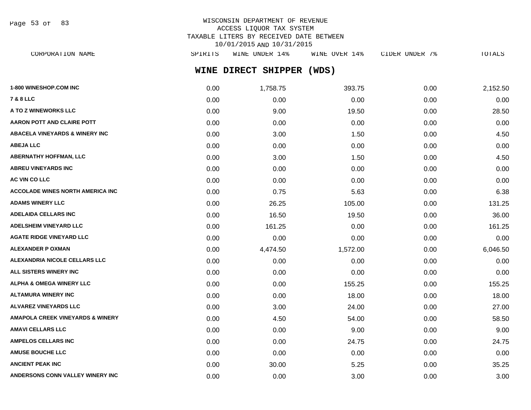Page 53 of 83

| CORPORATION NAME | SPIRITS             | WINE UNDER 14% | WINE OVER 14% |  | CIDER UNDER , |  | TOTALS |
|------------------|---------------------|----------------|---------------|--|---------------|--|--------|
|                  | WINE DIRECT SHIPPER |                | (WDS)         |  |               |  |        |

| 1-800 WINESHOP.COM INC                      | 0.00 | 1,758.75 | 393.75   | 0.00 | 2,152.50 |
|---------------------------------------------|------|----------|----------|------|----------|
| 7 & 8 LLC                                   | 0.00 | 0.00     | 0.00     | 0.00 | 0.00     |
| <b>A TO Z WINEWORKS LLC</b>                 | 0.00 | 9.00     | 19.50    | 0.00 | 28.50    |
| <b>AARON POTT AND CLAIRE POTT</b>           | 0.00 | 0.00     | 0.00     | 0.00 | 0.00     |
| <b>ABACELA VINEYARDS &amp; WINERY INC</b>   | 0.00 | 3.00     | 1.50     | 0.00 | 4.50     |
| <b>ABEJA LLC</b>                            | 0.00 | 0.00     | 0.00     | 0.00 | 0.00     |
| <b>ABERNATHY HOFFMAN, LLC</b>               | 0.00 | 3.00     | 1.50     | 0.00 | 4.50     |
| <b>ABREU VINEYARDS INC</b>                  | 0.00 | 0.00     | 0.00     | 0.00 | 0.00     |
| <b>AC VIN CO LLC</b>                        | 0.00 | 0.00     | 0.00     | 0.00 | 0.00     |
| <b>ACCOLADE WINES NORTH AMERICA INC</b>     | 0.00 | 0.75     | 5.63     | 0.00 | 6.38     |
| <b>ADAMS WINERY LLC</b>                     | 0.00 | 26.25    | 105.00   | 0.00 | 131.25   |
| ADELAIDA CELLARS INC                        | 0.00 | 16.50    | 19.50    | 0.00 | 36.00    |
| <b>ADELSHEIM VINEYARD LLC</b>               | 0.00 | 161.25   | 0.00     | 0.00 | 161.25   |
| AGATE RIDGE VINEYARD LLC                    | 0.00 | 0.00     | 0.00     | 0.00 | 0.00     |
| <b>ALEXANDER P OXMAN</b>                    | 0.00 | 4,474.50 | 1,572.00 | 0.00 | 6,046.50 |
| ALEXANDRIA NICOLE CELLARS LLC               | 0.00 | 0.00     | 0.00     | 0.00 | 0.00     |
| <b>ALL SISTERS WINERY INC</b>               | 0.00 | 0.00     | 0.00     | 0.00 | 0.00     |
| <b>ALPHA &amp; OMEGA WINERY LLC</b>         | 0.00 | 0.00     | 155.25   | 0.00 | 155.25   |
| ALTAMURA WINERY INC                         | 0.00 | 0.00     | 18.00    | 0.00 | 18.00    |
| <b>ALVAREZ VINEYARDS LLC</b>                | 0.00 | 3.00     | 24.00    | 0.00 | 27.00    |
| <b>AMAPOLA CREEK VINEYARDS &amp; WINERY</b> | 0.00 | 4.50     | 54.00    | 0.00 | 58.50    |
| AMAVI CELLARS LLC                           | 0.00 | 0.00     | 9.00     | 0.00 | 9.00     |
| <b>AMPELOS CELLARS INC</b>                  | 0.00 | 0.00     | 24.75    | 0.00 | 24.75    |
| <b>AMUSE BOUCHE LLC</b>                     | 0.00 | 0.00     | 0.00     | 0.00 | 0.00     |
| ANCIENT PEAK INC                            | 0.00 | 30.00    | 5.25     | 0.00 | 35.25    |
| <b>ANDERSONS CONN VALLEY WINERY INC</b>     | 0.00 | 0.00     | 3.00     | 0.00 | 3.00     |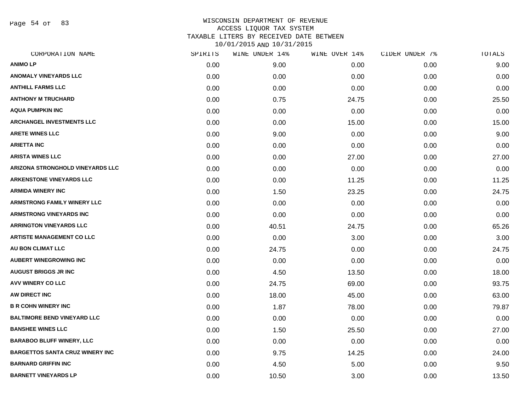Page 54 of 83

| CORPORATION NAME                       | SPIRITS | WINE UNDER 14% | WINE OVER 14% | CIDER UNDER 7% | TOTALS |
|----------------------------------------|---------|----------------|---------------|----------------|--------|
| <b>ANIMO LP</b>                        | 0.00    | 9.00           | 0.00          | 0.00           | 9.00   |
| <b>ANOMALY VINEYARDS LLC</b>           | 0.00    | 0.00           | 0.00          | 0.00           | 0.00   |
| <b>ANTHILL FARMS LLC</b>               | 0.00    | 0.00           | 0.00          | 0.00           | 0.00   |
| <b>ANTHONY M TRUCHARD</b>              | 0.00    | 0.75           | 24.75         | 0.00           | 25.50  |
| <b>AQUA PUMPKIN INC</b>                | 0.00    | 0.00           | 0.00          | 0.00           | 0.00   |
| <b>ARCHANGEL INVESTMENTS LLC</b>       | 0.00    | 0.00           | 15.00         | 0.00           | 15.00  |
| <b>ARETE WINES LLC</b>                 | 0.00    | 9.00           | 0.00          | 0.00           | 9.00   |
| <b>ARIETTA INC</b>                     | 0.00    | 0.00           | 0.00          | 0.00           | 0.00   |
| <b>ARISTA WINES LLC</b>                | 0.00    | 0.00           | 27.00         | 0.00           | 27.00  |
| ARIZONA STRONGHOLD VINEYARDS LLC       | 0.00    | 0.00           | 0.00          | 0.00           | 0.00   |
| <b>ARKENSTONE VINEYARDS LLC</b>        | 0.00    | 0.00           | 11.25         | 0.00           | 11.25  |
| <b>ARMIDA WINERY INC</b>               | 0.00    | 1.50           | 23.25         | 0.00           | 24.75  |
| <b>ARMSTRONG FAMILY WINERY LLC</b>     | 0.00    | 0.00           | 0.00          | 0.00           | 0.00   |
| <b>ARMSTRONG VINEYARDS INC</b>         | 0.00    | 0.00           | 0.00          | 0.00           | 0.00   |
| <b>ARRINGTON VINEYARDS LLC</b>         | 0.00    | 40.51          | 24.75         | 0.00           | 65.26  |
| <b>ARTISTE MANAGEMENT CO LLC</b>       | 0.00    | 0.00           | 3.00          | 0.00           | 3.00   |
| AU BON CLIMAT LLC                      | 0.00    | 24.75          | 0.00          | 0.00           | 24.75  |
| <b>AUBERT WINEGROWING INC</b>          | 0.00    | 0.00           | 0.00          | 0.00           | 0.00   |
| <b>AUGUST BRIGGS JR INC</b>            | 0.00    | 4.50           | 13.50         | 0.00           | 18.00  |
| <b>AVV WINERY CO LLC</b>               | 0.00    | 24.75          | 69.00         | 0.00           | 93.75  |
| AW DIRECT INC                          | 0.00    | 18.00          | 45.00         | 0.00           | 63.00  |
| <b>B R COHN WINERY INC</b>             | 0.00    | 1.87           | 78.00         | 0.00           | 79.87  |
| <b>BALTIMORE BEND VINEYARD LLC</b>     | 0.00    | 0.00           | 0.00          | 0.00           | 0.00   |
| <b>BANSHEE WINES LLC</b>               | 0.00    | 1.50           | 25.50         | 0.00           | 27.00  |
| <b>BARABOO BLUFF WINERY, LLC</b>       | 0.00    | 0.00           | 0.00          | 0.00           | 0.00   |
| <b>BARGETTOS SANTA CRUZ WINERY INC</b> | 0.00    | 9.75           | 14.25         | 0.00           | 24.00  |
| <b>BARNARD GRIFFIN INC</b>             | 0.00    | 4.50           | 5.00          | 0.00           | 9.50   |
| <b>BARNETT VINEYARDS LP</b>            | 0.00    | 10.50          | 3.00          | 0.00           | 13.50  |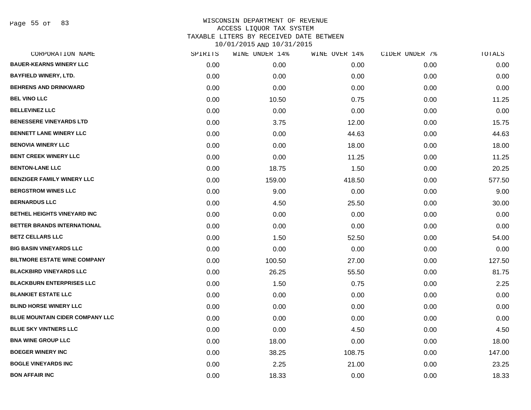Page 55 of 83

| CORPORATION NAME                    | SPIRITS | WINE UNDER 14% | WINE OVER 14% | CIDER UNDER 7% | TOTALS |
|-------------------------------------|---------|----------------|---------------|----------------|--------|
| <b>BAUER-KEARNS WINERY LLC</b>      | 0.00    | 0.00           | 0.00          | 0.00           | 0.00   |
| <b>BAYFIELD WINERY, LTD.</b>        | 0.00    | 0.00           | 0.00          | 0.00           | 0.00   |
| <b>BEHRENS AND DRINKWARD</b>        | 0.00    | 0.00           | 0.00          | 0.00           | 0.00   |
| <b>BEL VINO LLC</b>                 | 0.00    | 10.50          | 0.75          | 0.00           | 11.25  |
| <b>BELLEVINEZ LLC</b>               | 0.00    | 0.00           | 0.00          | 0.00           | 0.00   |
| <b>BENESSERE VINEYARDS LTD</b>      | 0.00    | 3.75           | 12.00         | 0.00           | 15.75  |
| <b>BENNETT LANE WINERY LLC</b>      | 0.00    | 0.00           | 44.63         | 0.00           | 44.63  |
| <b>BENOVIA WINERY LLC</b>           | 0.00    | 0.00           | 18.00         | 0.00           | 18.00  |
| <b>BENT CREEK WINERY LLC</b>        | 0.00    | 0.00           | 11.25         | 0.00           | 11.25  |
| <b>BENTON-LANE LLC</b>              | 0.00    | 18.75          | 1.50          | 0.00           | 20.25  |
| <b>BENZIGER FAMILY WINERY LLC</b>   | 0.00    | 159.00         | 418.50        | 0.00           | 577.50 |
| <b>BERGSTROM WINES LLC</b>          | 0.00    | 9.00           | 0.00          | 0.00           | 9.00   |
| <b>BERNARDUS LLC</b>                | 0.00    | 4.50           | 25.50         | 0.00           | 30.00  |
| <b>BETHEL HEIGHTS VINEYARD INC</b>  | 0.00    | 0.00           | 0.00          | 0.00           | 0.00   |
| BETTER BRANDS INTERNATIONAL         | 0.00    | 0.00           | 0.00          | 0.00           | 0.00   |
| <b>BETZ CELLARS LLC</b>             | 0.00    | 1.50           | 52.50         | 0.00           | 54.00  |
| <b>BIG BASIN VINEYARDS LLC</b>      | 0.00    | 0.00           | 0.00          | 0.00           | 0.00   |
| <b>BILTMORE ESTATE WINE COMPANY</b> | 0.00    | 100.50         | 27.00         | 0.00           | 127.50 |
| <b>BLACKBIRD VINEYARDS LLC</b>      | 0.00    | 26.25          | 55.50         | 0.00           | 81.75  |
| <b>BLACKBURN ENTERPRISES LLC</b>    | 0.00    | 1.50           | 0.75          | 0.00           | 2.25   |
| <b>BLANKIET ESTATE LLC</b>          | 0.00    | 0.00           | 0.00          | 0.00           | 0.00   |
| <b>BLIND HORSE WINERY LLC</b>       | 0.00    | 0.00           | 0.00          | 0.00           | 0.00   |
| BLUE MOUNTAIN CIDER COMPANY LLC     | 0.00    | 0.00           | 0.00          | 0.00           | 0.00   |
| <b>BLUE SKY VINTNERS LLC</b>        | 0.00    | 0.00           | 4.50          | 0.00           | 4.50   |
| <b>BNA WINE GROUP LLC</b>           | 0.00    | 18.00          | 0.00          | 0.00           | 18.00  |
| <b>BOEGER WINERY INC</b>            | 0.00    | 38.25          | 108.75        | 0.00           | 147.00 |
| <b>BOGLE VINEYARDS INC</b>          | 0.00    | 2.25           | 21.00         | 0.00           | 23.25  |
| <b>BON AFFAIR INC</b>               | 0.00    | 18.33          | 0.00          | 0.00           | 18.33  |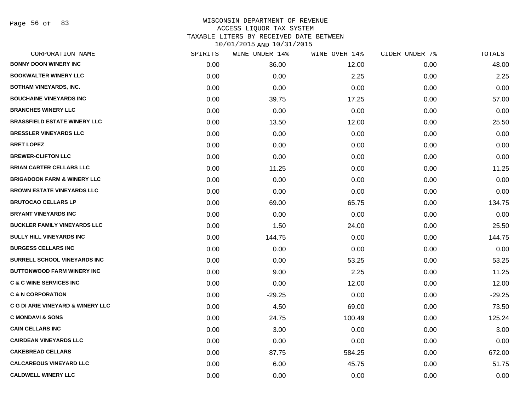Page 56 of 83

| CORPORATION NAME                       | SPIRITS | WINE UNDER 14% | WINE OVER 14% | CIDER UNDER 7% | <b>TOTALS</b> |
|----------------------------------------|---------|----------------|---------------|----------------|---------------|
| <b>BONNY DOON WINERY INC</b>           | 0.00    | 36.00          | 12.00         | 0.00           | 48.00         |
| <b>BOOKWALTER WINERY LLC</b>           | 0.00    | 0.00           | 2.25          | 0.00           | 2.25          |
| <b>BOTHAM VINEYARDS, INC.</b>          | 0.00    | 0.00           | 0.00          | 0.00           | 0.00          |
| <b>BOUCHAINE VINEYARDS INC</b>         | 0.00    | 39.75          | 17.25         | 0.00           | 57.00         |
| <b>BRANCHES WINERY LLC</b>             | 0.00    | 0.00           | 0.00          | 0.00           | 0.00          |
| <b>BRASSFIELD ESTATE WINERY LLC</b>    | 0.00    | 13.50          | 12.00         | 0.00           | 25.50         |
| <b>BRESSLER VINEYARDS LLC</b>          | 0.00    | 0.00           | 0.00          | 0.00           | 0.00          |
| <b>BRET LOPEZ</b>                      | 0.00    | 0.00           | 0.00          | 0.00           | 0.00          |
| <b>BREWER-CLIFTON LLC</b>              | 0.00    | 0.00           | 0.00          | 0.00           | 0.00          |
| <b>BRIAN CARTER CELLARS LLC</b>        | 0.00    | 11.25          | 0.00          | 0.00           | 11.25         |
| <b>BRIGADOON FARM &amp; WINERY LLC</b> | 0.00    | 0.00           | 0.00          | 0.00           | 0.00          |
| <b>BROWN ESTATE VINEYARDS LLC</b>      | 0.00    | 0.00           | 0.00          | 0.00           | 0.00          |
| <b>BRUTOCAO CELLARS LP</b>             | 0.00    | 69.00          | 65.75         | 0.00           | 134.75        |
| <b>BRYANT VINEYARDS INC</b>            | 0.00    | 0.00           | 0.00          | 0.00           | 0.00          |
| <b>BUCKLER FAMILY VINEYARDS LLC</b>    | 0.00    | 1.50           | 24.00         | 0.00           | 25.50         |
| <b>BULLY HILL VINEYARDS INC</b>        | 0.00    | 144.75         | 0.00          | 0.00           | 144.75        |
| <b>BURGESS CELLARS INC</b>             | 0.00    | 0.00           | 0.00          | 0.00           | 0.00          |
| <b>BURRELL SCHOOL VINEYARDS INC</b>    | 0.00    | 0.00           | 53.25         | 0.00           | 53.25         |
| <b>BUTTONWOOD FARM WINERY INC</b>      | 0.00    | 9.00           | 2.25          | 0.00           | 11.25         |
| <b>C &amp; C WINE SERVICES INC</b>     | 0.00    | 0.00           | 12.00         | 0.00           | 12.00         |
| <b>C &amp; N CORPORATION</b>           | 0.00    | $-29.25$       | 0.00          | 0.00           | $-29.25$      |
| C G DI ARIE VINEYARD & WINERY LLC      | 0.00    | 4.50           | 69.00         | 0.00           | 73.50         |
| <b>C MONDAVI &amp; SONS</b>            | 0.00    | 24.75          | 100.49        | 0.00           | 125.24        |
| <b>CAIN CELLARS INC</b>                | 0.00    | 3.00           | 0.00          | 0.00           | 3.00          |
| <b>CAIRDEAN VINEYARDS LLC</b>          | 0.00    | 0.00           | 0.00          | 0.00           | 0.00          |
| <b>CAKEBREAD CELLARS</b>               | 0.00    | 87.75          | 584.25        | 0.00           | 672.00        |
| <b>CALCAREOUS VINEYARD LLC</b>         | 0.00    | 6.00           | 45.75         | 0.00           | 51.75         |
| <b>CALDWELL WINERY LLC</b>             | 0.00    | 0.00           | 0.00          | 0.00           | 0.00          |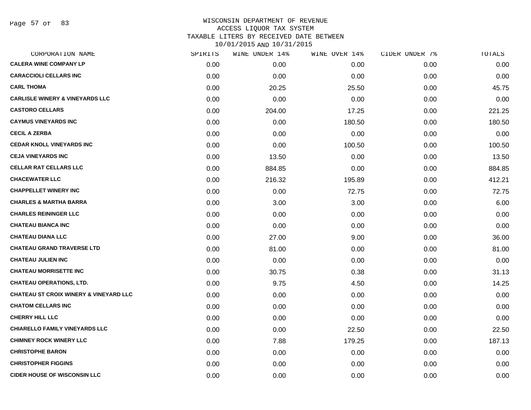| CORPORATION NAME                                  | SPIRITS | WINE UNDER 14% | WINE OVER 14% | CIDER UNDER 7% | <b>TOTALS</b> |
|---------------------------------------------------|---------|----------------|---------------|----------------|---------------|
| <b>CALERA WINE COMPANY LP</b>                     | 0.00    | 0.00           | 0.00          | 0.00           | 0.00          |
| <b>CARACCIOLI CELLARS INC</b>                     | 0.00    | 0.00           | 0.00          | 0.00           | 0.00          |
| <b>CARL THOMA</b>                                 | 0.00    | 20.25          | 25.50         | 0.00           | 45.75         |
| <b>CARLISLE WINERY &amp; VINEYARDS LLC</b>        | 0.00    | 0.00           | 0.00          | 0.00           | 0.00          |
| <b>CASTORO CELLARS</b>                            | 0.00    | 204.00         | 17.25         | 0.00           | 221.25        |
| <b>CAYMUS VINEYARDS INC</b>                       | 0.00    | 0.00           | 180.50        | 0.00           | 180.50        |
| <b>CECIL A ZERBA</b>                              | 0.00    | 0.00           | 0.00          | 0.00           | 0.00          |
| <b>CEDAR KNOLL VINEYARDS INC</b>                  | 0.00    | 0.00           | 100.50        | 0.00           | 100.50        |
| <b>CEJA VINEYARDS INC</b>                         | 0.00    | 13.50          | 0.00          | 0.00           | 13.50         |
| <b>CELLAR RAT CELLARS LLC</b>                     | 0.00    | 884.85         | 0.00          | 0.00           | 884.85        |
| <b>CHACEWATER LLC</b>                             | 0.00    | 216.32         | 195.89        | 0.00           | 412.21        |
| <b>CHAPPELLET WINERY INC</b>                      | 0.00    | 0.00           | 72.75         | 0.00           | 72.75         |
| <b>CHARLES &amp; MARTHA BARRA</b>                 | 0.00    | 3.00           | 3.00          | 0.00           | 6.00          |
| <b>CHARLES REININGER LLC</b>                      | 0.00    | 0.00           | 0.00          | 0.00           | 0.00          |
| <b>CHATEAU BIANCA INC</b>                         | 0.00    | 0.00           | 0.00          | 0.00           | 0.00          |
| <b>CHATEAU DIANA LLC</b>                          | 0.00    | 27.00          | 9.00          | 0.00           | 36.00         |
| <b>CHATEAU GRAND TRAVERSE LTD</b>                 | 0.00    | 81.00          | 0.00          | 0.00           | 81.00         |
| <b>CHATEAU JULIEN INC</b>                         | 0.00    | 0.00           | 0.00          | 0.00           | 0.00          |
| <b>CHATEAU MORRISETTE INC</b>                     | 0.00    | 30.75          | 0.38          | 0.00           | 31.13         |
| <b>CHATEAU OPERATIONS, LTD.</b>                   | 0.00    | 9.75           | 4.50          | 0.00           | 14.25         |
| <b>CHATEAU ST CROIX WINERY &amp; VINEYARD LLC</b> | 0.00    | 0.00           | 0.00          | 0.00           | 0.00          |
| <b>CHATOM CELLARS INC</b>                         | 0.00    | 0.00           | 0.00          | 0.00           | 0.00          |
| <b>CHERRY HILL LLC</b>                            | 0.00    | 0.00           | 0.00          | 0.00           | 0.00          |
| <b>CHIARELLO FAMILY VINEYARDS LLC</b>             | 0.00    | 0.00           | 22.50         | 0.00           | 22.50         |
| <b>CHIMNEY ROCK WINERY LLC</b>                    | 0.00    | 7.88           | 179.25        | 0.00           | 187.13        |
| <b>CHRISTOPHE BARON</b>                           | 0.00    | 0.00           | 0.00          | 0.00           | 0.00          |
| <b>CHRISTOPHER FIGGINS</b>                        | 0.00    | 0.00           | 0.00          | 0.00           | 0.00          |
| <b>CIDER HOUSE OF WISCONSIN LLC</b>               | 0.00    | 0.00           | 0.00          | 0.00           | 0.00          |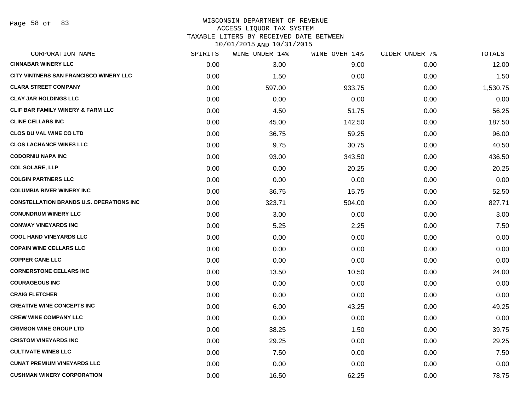Page 58 of 83

#### WISCONSIN DEPARTMENT OF REVENUE ACCESS LIQUOR TAX SYSTEM

TAXABLE LITERS BY RECEIVED DATE BETWEEN

| CORPORATION NAME                                | SPIRITS | WINE UNDER 14% | WINE OVER 14% | CIDER UNDER 7% | TOTALS   |
|-------------------------------------------------|---------|----------------|---------------|----------------|----------|
| <b>CINNABAR WINERY LLC</b>                      | 0.00    | 3.00           | 9.00          | 0.00           | 12.00    |
| CITY VINTNERS SAN FRANCISCO WINERY LLC          | 0.00    | 1.50           | 0.00          | 0.00           | 1.50     |
| <b>CLARA STREET COMPANY</b>                     | 0.00    | 597.00         | 933.75        | 0.00           | 1,530.75 |
| <b>CLAY JAR HOLDINGS LLC</b>                    | 0.00    | 0.00           | 0.00          | 0.00           | 0.00     |
| <b>CLIF BAR FAMILY WINERY &amp; FARM LLC</b>    | 0.00    | 4.50           | 51.75         | 0.00           | 56.25    |
| <b>CLINE CELLARS INC</b>                        | 0.00    | 45.00          | 142.50        | 0.00           | 187.50   |
| <b>CLOS DU VAL WINE CO LTD</b>                  | 0.00    | 36.75          | 59.25         | 0.00           | 96.00    |
| <b>CLOS LACHANCE WINES LLC</b>                  | 0.00    | 9.75           | 30.75         | 0.00           | 40.50    |
| <b>CODORNIU NAPA INC</b>                        | 0.00    | 93.00          | 343.50        | 0.00           | 436.50   |
| <b>COL SOLARE, LLP</b>                          | 0.00    | 0.00           | 20.25         | 0.00           | 20.25    |
| <b>COLGIN PARTNERS LLC</b>                      | 0.00    | 0.00           | 0.00          | 0.00           | 0.00     |
| <b>COLUMBIA RIVER WINERY INC</b>                | 0.00    | 36.75          | 15.75         | 0.00           | 52.50    |
| <b>CONSTELLATION BRANDS U.S. OPERATIONS INC</b> | 0.00    | 323.71         | 504.00        | 0.00           | 827.71   |
| <b>CONUNDRUM WINERY LLC</b>                     | 0.00    | 3.00           | 0.00          | 0.00           | 3.00     |
| <b>CONWAY VINEYARDS INC</b>                     | 0.00    | 5.25           | 2.25          | 0.00           | 7.50     |
| <b>COOL HAND VINEYARDS LLC</b>                  | 0.00    | 0.00           | 0.00          | 0.00           | 0.00     |
| <b>COPAIN WINE CELLARS LLC</b>                  | 0.00    | 0.00           | 0.00          | 0.00           | 0.00     |
| <b>COPPER CANE LLC</b>                          | 0.00    | 0.00           | 0.00          | 0.00           | 0.00     |
| <b>CORNERSTONE CELLARS INC</b>                  | 0.00    | 13.50          | 10.50         | 0.00           | 24.00    |
| <b>COURAGEOUS INC</b>                           | 0.00    | 0.00           | 0.00          | 0.00           | 0.00     |
| <b>CRAIG FLETCHER</b>                           | 0.00    | 0.00           | 0.00          | 0.00           | 0.00     |
| <b>CREATIVE WINE CONCEPTS INC</b>               | 0.00    | 6.00           | 43.25         | 0.00           | 49.25    |
| <b>CREW WINE COMPANY LLC</b>                    | 0.00    | 0.00           | 0.00          | 0.00           | 0.00     |
| <b>CRIMSON WINE GROUP LTD</b>                   | 0.00    | 38.25          | 1.50          | 0.00           | 39.75    |
| <b>CRISTOM VINEYARDS INC</b>                    | 0.00    | 29.25          | 0.00          | 0.00           | 29.25    |
| <b>CULTIVATE WINES LLC</b>                      | 0.00    | 7.50           | 0.00          | 0.00           | 7.50     |
| <b>CUNAT PREMIUM VINEYARDS LLC</b>              | 0.00    | 0.00           | 0.00          | 0.00           | 0.00     |
| <b>CUSHMAN WINERY CORPORATION</b>               | 0.00    | 16.50          | 62.25         | 0.00           | 78.75    |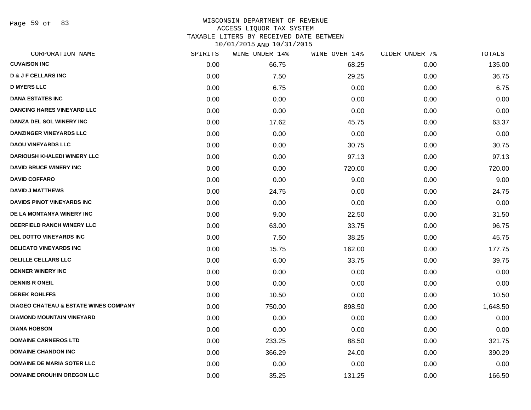Page 59 of 83

## WISCONSIN DEPARTMENT OF REVENUE ACCESS LIQUOR TAX SYSTEM TAXABLE LITERS BY RECEIVED DATE BETWEEN

| CORPORATION NAME                                 | SPIRITS | WINE UNDER 14% | WINE OVER 14% | CIDER UNDER 7% | TOTALS   |
|--------------------------------------------------|---------|----------------|---------------|----------------|----------|
| <b>CUVAISON INC</b>                              | 0.00    | 66.75          | 68.25         | 0.00           | 135.00   |
| <b>D &amp; J F CELLARS INC</b>                   | 0.00    | 7.50           | 29.25         | 0.00           | 36.75    |
| <b>D MYERS LLC</b>                               | 0.00    | 6.75           | 0.00          | 0.00           | 6.75     |
| <b>DANA ESTATES INC</b>                          | 0.00    | 0.00           | 0.00          | 0.00           | 0.00     |
| <b>DANCING HARES VINEYARD LLC</b>                | 0.00    | 0.00           | 0.00          | 0.00           | 0.00     |
| DANZA DEL SOL WINERY INC                         | 0.00    | 17.62          | 45.75         | 0.00           | 63.37    |
| DANZINGER VINEYARDS LLC                          | 0.00    | 0.00           | 0.00          | 0.00           | 0.00     |
| <b>DAOU VINEYARDS LLC</b>                        | 0.00    | 0.00           | 30.75         | 0.00           | 30.75    |
| <b>DARIOUSH KHALEDI WINERY LLC</b>               | 0.00    | 0.00           | 97.13         | 0.00           | 97.13    |
| <b>DAVID BRUCE WINERY INC</b>                    | 0.00    | 0.00           | 720.00        | 0.00           | 720.00   |
| <b>DAVID COFFARO</b>                             | 0.00    | 0.00           | 9.00          | 0.00           | 9.00     |
| <b>DAVID J MATTHEWS</b>                          | 0.00    | 24.75          | 0.00          | 0.00           | 24.75    |
| DAVIDS PINOT VINEYARDS INC                       | 0.00    | 0.00           | 0.00          | 0.00           | 0.00     |
| DE LA MONTANYA WINERY INC                        | 0.00    | 9.00           | 22.50         | 0.00           | 31.50    |
| DEERFIELD RANCH WINERY LLC                       | 0.00    | 63.00          | 33.75         | 0.00           | 96.75    |
| <b>DEL DOTTO VINEYARDS INC</b>                   | 0.00    | 7.50           | 38.25         | 0.00           | 45.75    |
| <b>DELICATO VINEYARDS INC</b>                    | 0.00    | 15.75          | 162.00        | 0.00           | 177.75   |
| <b>DELILLE CELLARS LLC</b>                       | 0.00    | 6.00           | 33.75         | 0.00           | 39.75    |
| <b>DENNER WINERY INC</b>                         | 0.00    | 0.00           | 0.00          | 0.00           | 0.00     |
| <b>DENNIS R ONEIL</b>                            | 0.00    | 0.00           | 0.00          | 0.00           | 0.00     |
| <b>DEREK ROHLFFS</b>                             | 0.00    | 10.50          | 0.00          | 0.00           | 10.50    |
| <b>DIAGEO CHATEAU &amp; ESTATE WINES COMPANY</b> | 0.00    | 750.00         | 898.50        | 0.00           | 1,648.50 |
| <b>DIAMOND MOUNTAIN VINEYARD</b>                 | 0.00    | 0.00           | 0.00          | 0.00           | 0.00     |
| <b>DIANA HOBSON</b>                              | 0.00    | 0.00           | 0.00          | 0.00           | 0.00     |
| <b>DOMAINE CARNEROS LTD</b>                      | 0.00    | 233.25         | 88.50         | 0.00           | 321.75   |
| <b>DOMAINE CHANDON INC</b>                       | 0.00    | 366.29         | 24.00         | 0.00           | 390.29   |
| <b>DOMAINE DE MARIA SOTER LLC</b>                | 0.00    | 0.00           | 0.00          | 0.00           | 0.00     |
| <b>DOMAINE DROUHIN OREGON LLC</b>                | 0.00    | 35.25          | 131.25        | 0.00           | 166.50   |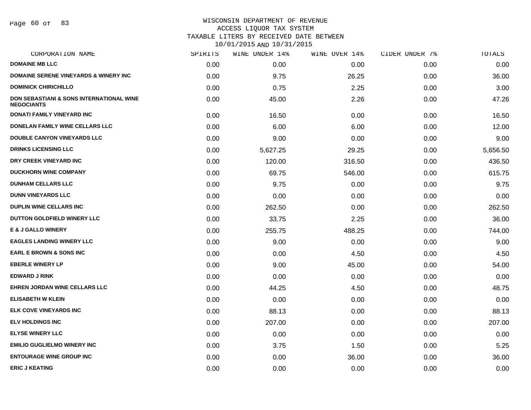Page 60 of 83

### WISCONSIN DEPARTMENT OF REVENUE ACCESS LIQUOR TAX SYSTEM

TAXABLE LITERS BY RECEIVED DATE BETWEEN

| CORPORATION NAME                                                         | SPIRITS | WINE UNDER 14% | WINE OVER 14% | CIDER UNDER 7% | TOTALS   |
|--------------------------------------------------------------------------|---------|----------------|---------------|----------------|----------|
| <b>DOMAINE MB LLC</b>                                                    | 0.00    | 0.00           | 0.00          | 0.00           | 0.00     |
| <b>DOMAINE SERENE VINEYARDS &amp; WINERY INC.</b>                        | 0.00    | 9.75           | 26.25         | 0.00           | 36.00    |
| <b>DOMINICK CHIRICHILLO</b>                                              | 0.00    | 0.75           | 2.25          | 0.00           | 3.00     |
| <b>DON SEBASTIANI &amp; SONS INTERNATIONAL WINE</b><br><b>NEGOCIANTS</b> | 0.00    | 45.00          | 2.26          | 0.00           | 47.26    |
| <b>DONATI FAMILY VINEYARD INC</b>                                        | 0.00    | 16.50          | 0.00          | 0.00           | 16.50    |
| DONELAN FAMILY WINE CELLARS LLC                                          | 0.00    | 6.00           | 6.00          | 0.00           | 12.00    |
| <b>DOUBLE CANYON VINEYARDS LLC</b>                                       | 0.00    | 9.00           | 0.00          | 0.00           | 9.00     |
| <b>DRINKS LICENSING LLC</b>                                              | 0.00    | 5,627.25       | 29.25         | 0.00           | 5,656.50 |
| DRY CREEK VINEYARD INC                                                   | 0.00    | 120.00         | 316.50        | 0.00           | 436.50   |
| <b>DUCKHORN WINE COMPANY</b>                                             | 0.00    | 69.75          | 546.00        | 0.00           | 615.75   |
| <b>DUNHAM CELLARS LLC</b>                                                | 0.00    | 9.75           | 0.00          | 0.00           | 9.75     |
| <b>DUNN VINEYARDS LLC</b>                                                | 0.00    | 0.00           | 0.00          | 0.00           | 0.00     |
| <b>DUPLIN WINE CELLARS INC</b>                                           | 0.00    | 262.50         | 0.00          | 0.00           | 262.50   |
| DUTTON GOLDFIELD WINERY LLC                                              | 0.00    | 33.75          | 2.25          | 0.00           | 36.00    |
| <b>E &amp; J GALLO WINERY</b>                                            | 0.00    | 255.75         | 488.25        | 0.00           | 744.00   |
| <b>EAGLES LANDING WINERY LLC</b>                                         | 0.00    | 9.00           | 0.00          | 0.00           | 9.00     |
| <b>EARL E BROWN &amp; SONS INC</b>                                       | 0.00    | 0.00           | 4.50          | 0.00           | 4.50     |
| <b>EBERLE WINERY LP</b>                                                  | 0.00    | 9.00           | 45.00         | 0.00           | 54.00    |
| <b>EDWARD J RINK</b>                                                     | 0.00    | 0.00           | 0.00          | 0.00           | 0.00     |
| <b>EHREN JORDAN WINE CELLARS LLC</b>                                     | 0.00    | 44.25          | 4.50          | 0.00           | 48.75    |
| <b>ELISABETH W KLEIN</b>                                                 | 0.00    | 0.00           | 0.00          | 0.00           | 0.00     |
| <b>ELK COVE VINEYARDS INC</b>                                            | 0.00    | 88.13          | 0.00          | 0.00           | 88.13    |
| <b>ELV HOLDINGS INC</b>                                                  | 0.00    | 207.00         | 0.00          | 0.00           | 207.00   |
| <b>ELYSE WINERY LLC</b>                                                  | 0.00    | 0.00           | 0.00          | 0.00           | 0.00     |
| <b>EMILIO GUGLIELMO WINERY INC</b>                                       | 0.00    | 3.75           | 1.50          | 0.00           | 5.25     |
| <b>ENTOURAGE WINE GROUP INC</b>                                          | 0.00    | 0.00           | 36.00         | 0.00           | 36.00    |
| <b>ERIC J KEATING</b>                                                    | 0.00    | 0.00           | 0.00          | 0.00           | 0.00     |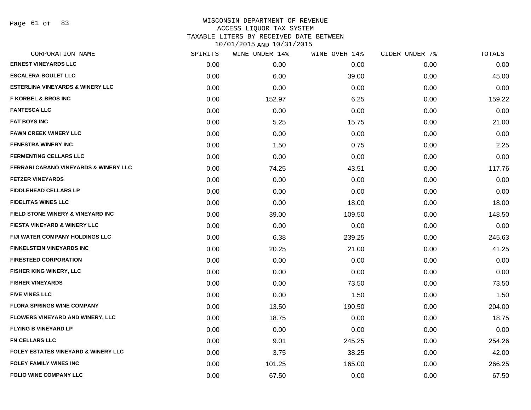Page 61 of 83

| CORPORATION NAME                                 | SPIRITS | WINE UNDER 14% | WINE OVER 14% | CIDER UNDER 7% | TOTALS |
|--------------------------------------------------|---------|----------------|---------------|----------------|--------|
| <b>ERNEST VINEYARDS LLC</b>                      | 0.00    | 0.00           | 0.00          | 0.00           | 0.00   |
| <b>ESCALERA-BOULET LLC</b>                       | 0.00    | 6.00           | 39.00         | 0.00           | 45.00  |
| <b>ESTERLINA VINEYARDS &amp; WINERY LLC</b>      | 0.00    | 0.00           | 0.00          | 0.00           | 0.00   |
| <b>F KORBEL &amp; BROS INC</b>                   | 0.00    | 152.97         | 6.25          | 0.00           | 159.22 |
| <b>FANTESCA LLC</b>                              | 0.00    | 0.00           | 0.00          | 0.00           | 0.00   |
| <b>FAT BOYS INC</b>                              | 0.00    | 5.25           | 15.75         | 0.00           | 21.00  |
| <b>FAWN CREEK WINERY LLC</b>                     | 0.00    | 0.00           | 0.00          | 0.00           | 0.00   |
| <b>FENESTRA WINERY INC</b>                       | 0.00    | 1.50           | 0.75          | 0.00           | 2.25   |
| <b>FERMENTING CELLARS LLC</b>                    | 0.00    | 0.00           | 0.00          | 0.00           | 0.00   |
| <b>FERRARI CARANO VINEYARDS &amp; WINERY LLC</b> | 0.00    | 74.25          | 43.51         | 0.00           | 117.76 |
| <b>FETZER VINEYARDS</b>                          | 0.00    | 0.00           | 0.00          | 0.00           | 0.00   |
| <b>FIDDLEHEAD CELLARS LP</b>                     | 0.00    | 0.00           | 0.00          | 0.00           | 0.00   |
| <b>FIDELITAS WINES LLC</b>                       | 0.00    | 0.00           | 18.00         | 0.00           | 18.00  |
| FIELD STONE WINERY & VINEYARD INC                | 0.00    | 39.00          | 109.50        | 0.00           | 148.50 |
| FIESTA VINEYARD & WINERY LLC                     | 0.00    | 0.00           | 0.00          | 0.00           | 0.00   |
| FIJI WATER COMPANY HOLDINGS LLC                  | 0.00    | 6.38           | 239.25        | 0.00           | 245.63 |
| <b>FINKELSTEIN VINEYARDS INC</b>                 | 0.00    | 20.25          | 21.00         | 0.00           | 41.25  |
| <b>FIRESTEED CORPORATION</b>                     | 0.00    | 0.00           | 0.00          | 0.00           | 0.00   |
| FISHER KING WINERY, LLC                          | 0.00    | 0.00           | 0.00          | 0.00           | 0.00   |
| <b>FISHER VINEYARDS</b>                          | 0.00    | 0.00           | 73.50         | 0.00           | 73.50  |
| <b>FIVE VINES LLC</b>                            | 0.00    | 0.00           | 1.50          | 0.00           | 1.50   |
| <b>FLORA SPRINGS WINE COMPANY</b>                | 0.00    | 13.50          | 190.50        | 0.00           | 204.00 |
| <b>FLOWERS VINEYARD AND WINERY, LLC</b>          | 0.00    | 18.75          | 0.00          | 0.00           | 18.75  |
| <b>FLYING B VINEYARD LP</b>                      | 0.00    | 0.00           | 0.00          | 0.00           | 0.00   |
| <b>FN CELLARS LLC</b>                            | 0.00    | 9.01           | 245.25        | 0.00           | 254.26 |
| <b>FOLEY ESTATES VINEYARD &amp; WINERY LLC</b>   | 0.00    | 3.75           | 38.25         | 0.00           | 42.00  |
| <b>FOLEY FAMILY WINES INC</b>                    | 0.00    | 101.25         | 165.00        | 0.00           | 266.25 |
| <b>FOLIO WINE COMPANY LLC</b>                    | 0.00    | 67.50          | 0.00          | 0.00           | 67.50  |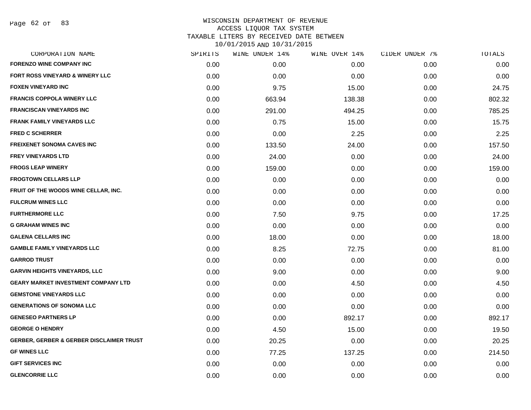| CORPORATION NAME                                    | SPIRITS | WINE UNDER 14% | WINE OVER 14% | CIDER UNDER 7% | TOTALS |
|-----------------------------------------------------|---------|----------------|---------------|----------------|--------|
| <b>FORENZO WINE COMPANY INC</b>                     | 0.00    | 0.00           | 0.00          | 0.00           | 0.00   |
| FORT ROSS VINEYARD & WINERY LLC                     | 0.00    | 0.00           | 0.00          | 0.00           | 0.00   |
| <b>FOXEN VINEYARD INC</b>                           | 0.00    | 9.75           | 15.00         | 0.00           | 24.75  |
| <b>FRANCIS COPPOLA WINERY LLC</b>                   | 0.00    | 663.94         | 138.38        | 0.00           | 802.32 |
| <b>FRANCISCAN VINEYARDS INC</b>                     | 0.00    | 291.00         | 494.25        | 0.00           | 785.25 |
| <b>FRANK FAMILY VINEYARDS LLC</b>                   | 0.00    | 0.75           | 15.00         | 0.00           | 15.75  |
| <b>FRED C SCHERRER</b>                              | 0.00    | 0.00           | 2.25          | 0.00           | 2.25   |
| <b>FREIXENET SONOMA CAVES INC</b>                   | 0.00    | 133.50         | 24.00         | 0.00           | 157.50 |
| <b>FREY VINEYARDS LTD</b>                           | 0.00    | 24.00          | 0.00          | 0.00           | 24.00  |
| <b>FROGS LEAP WINERY</b>                            | 0.00    | 159.00         | 0.00          | 0.00           | 159.00 |
| <b>FROGTOWN CELLARS LLP</b>                         | 0.00    | 0.00           | 0.00          | 0.00           | 0.00   |
| FRUIT OF THE WOODS WINE CELLAR, INC.                | 0.00    | 0.00           | 0.00          | 0.00           | 0.00   |
| <b>FULCRUM WINES LLC</b>                            | 0.00    | 0.00           | 0.00          | 0.00           | 0.00   |
| <b>FURTHERMORE LLC</b>                              | 0.00    | 7.50           | 9.75          | 0.00           | 17.25  |
| <b>G GRAHAM WINES INC</b>                           | 0.00    | 0.00           | 0.00          | 0.00           | 0.00   |
| <b>GALENA CELLARS INC</b>                           | 0.00    | 18.00          | 0.00          | 0.00           | 18.00  |
| <b>GAMBLE FAMILY VINEYARDS LLC</b>                  | 0.00    | 8.25           | 72.75         | 0.00           | 81.00  |
| <b>GARROD TRUST</b>                                 | 0.00    | 0.00           | 0.00          | 0.00           | 0.00   |
| <b>GARVIN HEIGHTS VINEYARDS, LLC</b>                | 0.00    | 9.00           | 0.00          | 0.00           | 9.00   |
| <b>GEARY MARKET INVESTMENT COMPANY LTD</b>          | 0.00    | 0.00           | 4.50          | 0.00           | 4.50   |
| <b>GEMSTONE VINEYARDS LLC</b>                       | 0.00    | 0.00           | 0.00          | 0.00           | 0.00   |
| <b>GENERATIONS OF SONOMA LLC</b>                    | 0.00    | 0.00           | 0.00          | 0.00           | 0.00   |
| <b>GENESEO PARTNERS LP</b>                          | 0.00    | 0.00           | 892.17        | 0.00           | 892.17 |
| <b>GEORGE O HENDRY</b>                              | 0.00    | 4.50           | 15.00         | 0.00           | 19.50  |
| <b>GERBER, GERBER &amp; GERBER DISCLAIMER TRUST</b> | 0.00    | 20.25          | 0.00          | 0.00           | 20.25  |
| <b>GF WINES LLC</b>                                 | 0.00    | 77.25          | 137.25        | 0.00           | 214.50 |
| <b>GIFT SERVICES INC</b>                            | 0.00    | 0.00           | 0.00          | 0.00           | 0.00   |
| <b>GLENCORRIE LLC</b>                               | 0.00    | 0.00           | 0.00          | 0.00           | 0.00   |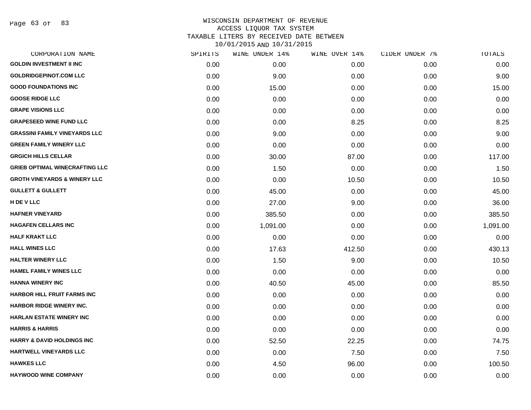Page 63 of 83

| CORPORATION NAME                        | SPIRITS | WINE UNDER 14% | WINE OVER 14% | CIDER UNDER 7% | TOTALS   |
|-----------------------------------------|---------|----------------|---------------|----------------|----------|
| <b>GOLDIN INVESTMENT II INC</b>         | 0.00    | 0.00           | 0.00          | 0.00           | 0.00     |
| <b>GOLDRIDGEPINOT.COM LLC</b>           | 0.00    | 9.00           | 0.00          | 0.00           | 9.00     |
| <b>GOOD FOUNDATIONS INC</b>             | 0.00    | 15.00          | 0.00          | 0.00           | 15.00    |
| <b>GOOSE RIDGE LLC</b>                  | 0.00    | 0.00           | 0.00          | 0.00           | 0.00     |
| <b>GRAPE VISIONS LLC</b>                | 0.00    | 0.00           | 0.00          | 0.00           | 0.00     |
| <b>GRAPESEED WINE FUND LLC</b>          | 0.00    | 0.00           | 8.25          | 0.00           | 8.25     |
| <b>GRASSINI FAMILY VINEYARDS LLC</b>    | 0.00    | 9.00           | 0.00          | 0.00           | 9.00     |
| <b>GREEN FAMILY WINERY LLC</b>          | 0.00    | 0.00           | 0.00          | 0.00           | 0.00     |
| <b>GRGICH HILLS CELLAR</b>              | 0.00    | 30.00          | 87.00         | 0.00           | 117.00   |
| <b>GRIEB OPTIMAL WINECRAFTING LLC</b>   | 0.00    | 1.50           | 0.00          | 0.00           | 1.50     |
| <b>GROTH VINEYARDS &amp; WINERY LLC</b> | 0.00    | 0.00           | 10.50         | 0.00           | 10.50    |
| <b>GULLETT &amp; GULLETT</b>            | 0.00    | 45.00          | 0.00          | 0.00           | 45.00    |
| H DE V LLC                              | 0.00    | 27.00          | 9.00          | 0.00           | 36.00    |
| <b>HAFNER VINEYARD</b>                  | 0.00    | 385.50         | 0.00          | 0.00           | 385.50   |
| <b>HAGAFEN CELLARS INC</b>              | 0.00    | 1,091.00       | 0.00          | 0.00           | 1,091.00 |
| <b>HALF KRAKT LLC</b>                   | 0.00    | 0.00           | 0.00          | 0.00           | 0.00     |
| <b>HALL WINES LLC</b>                   | 0.00    | 17.63          | 412.50        | 0.00           | 430.13   |
| <b>HALTER WINERY LLC</b>                | 0.00    | 1.50           | 9.00          | 0.00           | 10.50    |
| <b>HAMEL FAMILY WINES LLC</b>           | 0.00    | 0.00           | 0.00          | 0.00           | 0.00     |
| <b>HANNA WINERY INC</b>                 | 0.00    | 40.50          | 45.00         | 0.00           | 85.50    |
| <b>HARBOR HILL FRUIT FARMS INC</b>      | 0.00    | 0.00           | 0.00          | 0.00           | 0.00     |
| <b>HARBOR RIDGE WINERY INC.</b>         | 0.00    | 0.00           | 0.00          | 0.00           | 0.00     |
| <b>HARLAN ESTATE WINERY INC</b>         | 0.00    | 0.00           | 0.00          | 0.00           | 0.00     |
| <b>HARRIS &amp; HARRIS</b>              | 0.00    | 0.00           | 0.00          | 0.00           | 0.00     |
| <b>HARRY &amp; DAVID HOLDINGS INC</b>   | 0.00    | 52.50          | 22.25         | 0.00           | 74.75    |
| <b>HARTWELL VINEYARDS LLC</b>           | 0.00    | 0.00           | 7.50          | 0.00           | 7.50     |
| <b>HAWKES LLC</b>                       | 0.00    | 4.50           | 96.00         | 0.00           | 100.50   |
| <b>HAYWOOD WINE COMPANY</b>             | 0.00    | 0.00           | 0.00          | 0.00           | 0.00     |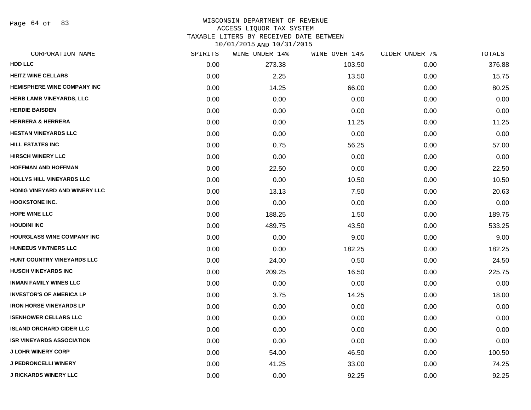Page 64 of 83

### WISCONSIN DEPARTMENT OF REVENUE ACCESS LIQUOR TAX SYSTEM TAXABLE LITERS BY RECEIVED DATE BETWEEN

| CORPORATION NAME                   | SPIRITS | WINE UNDER 14% | WINE OVER 14% | CIDER UNDER 7% | TOTALS |
|------------------------------------|---------|----------------|---------------|----------------|--------|
| <b>HDD LLC</b>                     | 0.00    | 273.38         | 103.50        | 0.00           | 376.88 |
| <b>HEITZ WINE CELLARS</b>          | 0.00    | 2.25           | 13.50         | 0.00           | 15.75  |
| <b>HEMISPHERE WINE COMPANY INC</b> | 0.00    | 14.25          | 66.00         | 0.00           | 80.25  |
| <b>HERB LAMB VINEYARDS, LLC</b>    | 0.00    | 0.00           | 0.00          | 0.00           | 0.00   |
| <b>HERDIE BAISDEN</b>              | 0.00    | 0.00           | 0.00          | 0.00           | 0.00   |
| <b>HERRERA &amp; HERRERA</b>       | 0.00    | 0.00           | 11.25         | 0.00           | 11.25  |
| <b>HESTAN VINEYARDS LLC</b>        | 0.00    | 0.00           | 0.00          | 0.00           | 0.00   |
| <b>HILL ESTATES INC</b>            | 0.00    | 0.75           | 56.25         | 0.00           | 57.00  |
| <b>HIRSCH WINERY LLC</b>           | 0.00    | 0.00           | 0.00          | 0.00           | 0.00   |
| <b>HOFFMAN AND HOFFMAN</b>         | 0.00    | 22.50          | 0.00          | 0.00           | 22.50  |
| HOLLYS HILL VINEYARDS LLC          | 0.00    | 0.00           | 10.50         | 0.00           | 10.50  |
| HONIG VINEYARD AND WINERY LLC      | 0.00    | 13.13          | 7.50          | 0.00           | 20.63  |
| <b>HOOKSTONE INC.</b>              | 0.00    | 0.00           | 0.00          | 0.00           | 0.00   |
| <b>HOPE WINE LLC</b>               | 0.00    | 188.25         | 1.50          | 0.00           | 189.75 |
| <b>HOUDINI INC</b>                 | 0.00    | 489.75         | 43.50         | 0.00           | 533.25 |
| HOURGLASS WINE COMPANY INC         | 0.00    | 0.00           | 9.00          | 0.00           | 9.00   |
| <b>HUNEEUS VINTNERS LLC</b>        | 0.00    | 0.00           | 182.25        | 0.00           | 182.25 |
| HUNT COUNTRY VINEYARDS LLC         | 0.00    | 24.00          | 0.50          | 0.00           | 24.50  |
| <b>HUSCH VINEYARDS INC</b>         | 0.00    | 209.25         | 16.50         | 0.00           | 225.75 |
| <b>INMAN FAMILY WINES LLC</b>      | 0.00    | 0.00           | 0.00          | 0.00           | 0.00   |
| <b>INVESTOR'S OF AMERICA LP</b>    | 0.00    | 3.75           | 14.25         | 0.00           | 18.00  |
| <b>IRON HORSE VINEYARDS LP</b>     | 0.00    | 0.00           | 0.00          | 0.00           | 0.00   |
| <b>ISENHOWER CELLARS LLC</b>       | 0.00    | 0.00           | 0.00          | 0.00           | 0.00   |
| <b>ISLAND ORCHARD CIDER LLC</b>    | 0.00    | 0.00           | 0.00          | 0.00           | 0.00   |
| <b>ISR VINEYARDS ASSOCIATION</b>   | 0.00    | 0.00           | 0.00          | 0.00           | 0.00   |
| <b>J LOHR WINERY CORP</b>          | 0.00    | 54.00          | 46.50         | 0.00           | 100.50 |
| <b>J PEDRONCELLI WINERY</b>        | 0.00    | 41.25          | 33.00         | 0.00           | 74.25  |
| <b>J RICKARDS WINERY LLC</b>       | 0.00    | 0.00           | 92.25         | 0.00           | 92.25  |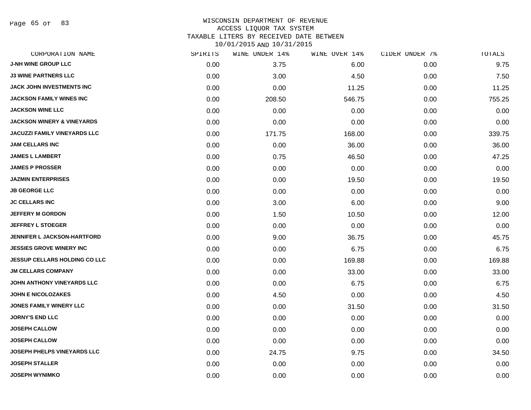Page 65 of 83

## WISCONSIN DEPARTMENT OF REVENUE ACCESS LIQUOR TAX SYSTEM TAXABLE LITERS BY RECEIVED DATE BETWEEN

| CORPORATION NAME                      | SPIRITS | WINE UNDER 14% | WINE OVER 14% | CIDER UNDER 7% | TOTALS |
|---------------------------------------|---------|----------------|---------------|----------------|--------|
| <b>J-NH WINE GROUP LLC</b>            | 0.00    | 3.75           | 6.00          | 0.00           | 9.75   |
| <b>J3 WINE PARTNERS LLC</b>           | 0.00    | 3.00           | 4.50          | 0.00           | 7.50   |
| JACK JOHN INVESTMENTS INC             | 0.00    | 0.00           | 11.25         | 0.00           | 11.25  |
| <b>JACKSON FAMILY WINES INC</b>       | 0.00    | 208.50         | 546.75        | 0.00           | 755.25 |
| <b>JACKSON WINE LLC</b>               | 0.00    | 0.00           | 0.00          | 0.00           | 0.00   |
| <b>JACKSON WINERY &amp; VINEYARDS</b> | 0.00    | 0.00           | 0.00          | 0.00           | 0.00   |
| <b>JACUZZI FAMILY VINEYARDS LLC</b>   | 0.00    | 171.75         | 168.00        | 0.00           | 339.75 |
| <b>JAM CELLARS INC</b>                | 0.00    | 0.00           | 36.00         | 0.00           | 36.00  |
| <b>JAMES L LAMBERT</b>                | 0.00    | 0.75           | 46.50         | 0.00           | 47.25  |
| <b>JAMES P PROSSER</b>                | 0.00    | 0.00           | 0.00          | 0.00           | 0.00   |
| <b>JAZMIN ENTERPRISES</b>             | 0.00    | 0.00           | 19.50         | 0.00           | 19.50  |
| <b>JB GEORGE LLC</b>                  | 0.00    | 0.00           | 0.00          | 0.00           | 0.00   |
| <b>JC CELLARS INC</b>                 | 0.00    | 3.00           | 6.00          | 0.00           | 9.00   |
| <b>JEFFERY M GORDON</b>               | 0.00    | 1.50           | 10.50         | 0.00           | 12.00  |
| <b>JEFFREY L STOEGER</b>              | 0.00    | 0.00           | 0.00          | 0.00           | 0.00   |
| <b>JENNIFER L JACKSON-HARTFORD</b>    | 0.00    | 9.00           | 36.75         | 0.00           | 45.75  |
| <b>JESSIES GROVE WINERY INC</b>       | 0.00    | 0.00           | 6.75          | 0.00           | 6.75   |
| <b>JESSUP CELLARS HOLDING CO LLC</b>  | 0.00    | 0.00           | 169.88        | 0.00           | 169.88 |
| <b>JM CELLARS COMPANY</b>             | 0.00    | 0.00           | 33.00         | 0.00           | 33.00  |
| JOHN ANTHONY VINEYARDS LLC            | 0.00    | 0.00           | 6.75          | 0.00           | 6.75   |
| <b>JOHN E NICOLOZAKES</b>             | 0.00    | 4.50           | 0.00          | 0.00           | 4.50   |
| <b>JONES FAMILY WINERY LLC</b>        | 0.00    | 0.00           | 31.50         | 0.00           | 31.50  |
| <b>JORNY'S END LLC</b>                | 0.00    | 0.00           | 0.00          | 0.00           | 0.00   |
| <b>JOSEPH CALLOW</b>                  | 0.00    | 0.00           | 0.00          | 0.00           | 0.00   |
| <b>JOSEPH CALLOW</b>                  | 0.00    | 0.00           | 0.00          | 0.00           | 0.00   |
| <b>JOSEPH PHELPS VINEYARDS LLC</b>    | 0.00    | 24.75          | 9.75          | 0.00           | 34.50  |
| <b>JOSEPH STALLER</b>                 | 0.00    | 0.00           | 0.00          | 0.00           | 0.00   |
| <b>JOSEPH WYNIMKO</b>                 | 0.00    | 0.00           | 0.00          | 0.00           | 0.00   |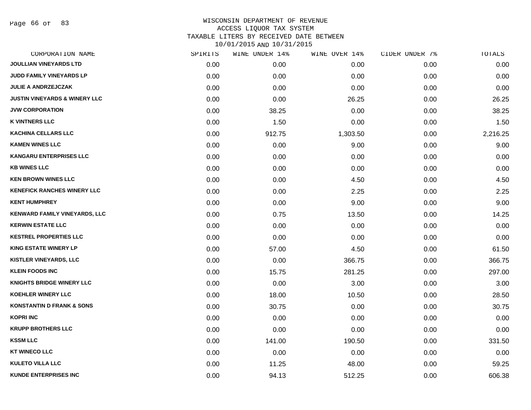Page 66 of 83

| CORPORATION NAME                         | SPIRITS | WINE UNDER 14% | WINE OVER 14% | CIDER UNDER 7% | TOTALS   |
|------------------------------------------|---------|----------------|---------------|----------------|----------|
| <b>JOULLIAN VINEYARDS LTD</b>            | 0.00    | 0.00           | 0.00          | 0.00           | 0.00     |
| JUDD FAMILY VINEYARDS LP                 | 0.00    | 0.00           | 0.00          | 0.00           | 0.00     |
| <b>JULIE A ANDRZEJCZAK</b>               | 0.00    | 0.00           | 0.00          | 0.00           | 0.00     |
| <b>JUSTIN VINEYARDS &amp; WINERY LLC</b> | 0.00    | 0.00           | 26.25         | 0.00           | 26.25    |
| <b>JVW CORPORATION</b>                   | 0.00    | 38.25          | 0.00          | 0.00           | 38.25    |
| <b>K VINTNERS LLC</b>                    | 0.00    | 1.50           | 0.00          | 0.00           | 1.50     |
| <b>KACHINA CELLARS LLC</b>               | 0.00    | 912.75         | 1,303.50      | 0.00           | 2,216.25 |
| <b>KAMEN WINES LLC</b>                   | 0.00    | 0.00           | 9.00          | 0.00           | 9.00     |
| <b>KANGARU ENTERPRISES LLC</b>           | 0.00    | 0.00           | 0.00          | 0.00           | 0.00     |
| <b>KB WINES LLC</b>                      | 0.00    | 0.00           | 0.00          | 0.00           | 0.00     |
| <b>KEN BROWN WINES LLC</b>               | 0.00    | 0.00           | 4.50          | 0.00           | 4.50     |
| <b>KENEFICK RANCHES WINERY LLC</b>       | 0.00    | 0.00           | 2.25          | 0.00           | 2.25     |
| <b>KENT HUMPHREY</b>                     | 0.00    | 0.00           | 9.00          | 0.00           | 9.00     |
| <b>KENWARD FAMILY VINEYARDS, LLC</b>     | 0.00    | 0.75           | 13.50         | 0.00           | 14.25    |
| <b>KERWIN ESTATE LLC</b>                 | 0.00    | 0.00           | 0.00          | 0.00           | 0.00     |
| <b>KESTREL PROPERTIES LLC</b>            | 0.00    | 0.00           | 0.00          | 0.00           | 0.00     |
| <b>KING ESTATE WINERY LP</b>             | 0.00    | 57.00          | 4.50          | 0.00           | 61.50    |
| <b>KISTLER VINEYARDS, LLC</b>            | 0.00    | 0.00           | 366.75        | 0.00           | 366.75   |
| <b>KLEIN FOODS INC</b>                   | 0.00    | 15.75          | 281.25        | 0.00           | 297.00   |
| <b>KNIGHTS BRIDGE WINERY LLC</b>         | 0.00    | 0.00           | 3.00          | 0.00           | 3.00     |
| <b>KOEHLER WINERY LLC</b>                | 0.00    | 18.00          | 10.50         | 0.00           | 28.50    |
| <b>KONSTANTIN D FRANK &amp; SONS</b>     | 0.00    | 30.75          | 0.00          | 0.00           | 30.75    |
| <b>KOPRI INC</b>                         | 0.00    | 0.00           | 0.00          | 0.00           | 0.00     |
| <b>KRUPP BROTHERS LLC</b>                | 0.00    | 0.00           | 0.00          | 0.00           | 0.00     |
| <b>KSSM LLC</b>                          | 0.00    | 141.00         | 190.50        | 0.00           | 331.50   |
| <b>KT WINECO LLC</b>                     | 0.00    | 0.00           | 0.00          | 0.00           | 0.00     |
| <b>KULETO VILLA LLC</b>                  | 0.00    | 11.25          | 48.00         | 0.00           | 59.25    |
| <b>KUNDE ENTERPRISES INC</b>             | 0.00    | 94.13          | 512.25        | 0.00           | 606.38   |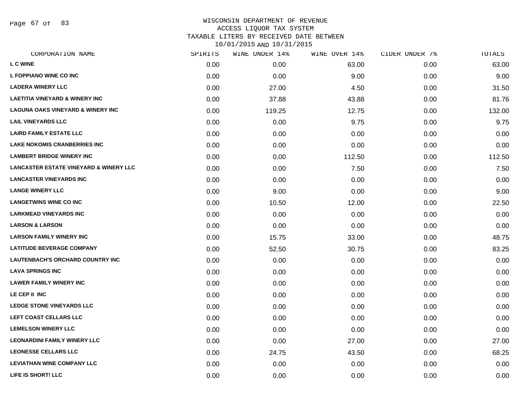Page 67 of 83

| CORPORATION NAME                                  | SPIRITS | WINE UNDER 14% | WINE OVER 14% | CIDER UNDER 7% | TOTALS |
|---------------------------------------------------|---------|----------------|---------------|----------------|--------|
| <b>L C WINE</b>                                   | 0.00    | 0.00           | 63.00         | 0.00           | 63.00  |
| L FOPPIANO WINE CO INC                            | 0.00    | 0.00           | 9.00          | 0.00           | 9.00   |
| <b>LADERA WINERY LLC</b>                          | 0.00    | 27.00          | 4.50          | 0.00           | 31.50  |
| <b>LAETITIA VINEYARD &amp; WINERY INC</b>         | 0.00    | 37.88          | 43.88         | 0.00           | 81.76  |
| LAGUNA OAKS VINEYARD & WINERY INC                 | 0.00    | 119.25         | 12.75         | 0.00           | 132.00 |
| <b>LAIL VINEYARDS LLC</b>                         | 0.00    | 0.00           | 9.75          | 0.00           | 9.75   |
| <b>LAIRD FAMILY ESTATE LLC</b>                    | 0.00    | 0.00           | 0.00          | 0.00           | 0.00   |
| <b>LAKE NOKOMIS CRANBERRIES INC</b>               | 0.00    | 0.00           | 0.00          | 0.00           | 0.00   |
| <b>LAMBERT BRIDGE WINERY INC</b>                  | 0.00    | 0.00           | 112.50        | 0.00           | 112.50 |
| <b>LANCASTER ESTATE VINEYARD &amp; WINERY LLC</b> | 0.00    | 0.00           | 7.50          | 0.00           | 7.50   |
| <b>LANCASTER VINEYARDS INC</b>                    | 0.00    | 0.00           | 0.00          | 0.00           | 0.00   |
| <b>LANGE WINERY LLC</b>                           | 0.00    | 9.00           | 0.00          | 0.00           | 9.00   |
| <b>LANGETWINS WINE CO INC</b>                     | 0.00    | 10.50          | 12.00         | 0.00           | 22.50  |
| <b>LARKMEAD VINEYARDS INC</b>                     | 0.00    | 0.00           | 0.00          | 0.00           | 0.00   |
| <b>LARSON &amp; LARSON</b>                        | 0.00    | 0.00           | 0.00          | 0.00           | 0.00   |
| <b>LARSON FAMILY WINERY INC</b>                   | 0.00    | 15.75          | 33.00         | 0.00           | 48.75  |
| <b>LATITUDE BEVERAGE COMPANY</b>                  | 0.00    | 52.50          | 30.75         | 0.00           | 83.25  |
| LAUTENBACH'S ORCHARD COUNTRY INC                  | 0.00    | 0.00           | 0.00          | 0.00           | 0.00   |
| <b>LAVA SPRINGS INC</b>                           | 0.00    | 0.00           | 0.00          | 0.00           | 0.00   |
| <b>LAWER FAMILY WINERY INC</b>                    | 0.00    | 0.00           | 0.00          | 0.00           | 0.00   |
| LE CEP II INC                                     | 0.00    | 0.00           | 0.00          | 0.00           | 0.00   |
| <b>LEDGE STONE VINEYARDS LLC</b>                  | 0.00    | 0.00           | 0.00          | 0.00           | 0.00   |
| LEFT COAST CELLARS LLC                            | 0.00    | 0.00           | 0.00          | 0.00           | 0.00   |
| <b>LEMELSON WINERY LLC</b>                        | 0.00    | 0.00           | 0.00          | 0.00           | 0.00   |
| <b>LEONARDINI FAMILY WINERY LLC</b>               | 0.00    | 0.00           | 27.00         | 0.00           | 27.00  |
| <b>LEONESSE CELLARS LLC</b>                       | 0.00    | 24.75          | 43.50         | 0.00           | 68.25  |
| <b>LEVIATHAN WINE COMPANY LLC</b>                 | 0.00    | 0.00           | 0.00          | 0.00           | 0.00   |
| <b>LIFE IS SHORT! LLC</b>                         | 0.00    | 0.00           | 0.00          | 0.00           | 0.00   |
|                                                   |         |                |               |                |        |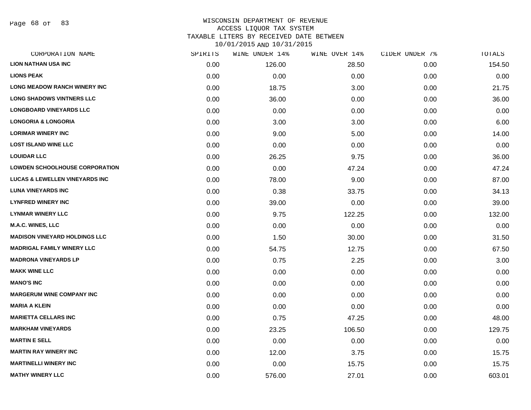Page 68 of 83

| CORPORATION NAME                          | SPIRITS | WINE UNDER 14% | WINE OVER 14% | CIDER UNDER 7% | TOTALS |
|-------------------------------------------|---------|----------------|---------------|----------------|--------|
| <b>LION NATHAN USA INC</b>                | 0.00    | 126.00         | 28.50         | 0.00           | 154.50 |
| <b>LIONS PEAK</b>                         | 0.00    | 0.00           | 0.00          | 0.00           | 0.00   |
| <b>LONG MEADOW RANCH WINERY INC</b>       | 0.00    | 18.75          | 3.00          | 0.00           | 21.75  |
| <b>LONG SHADOWS VINTNERS LLC</b>          | 0.00    | 36.00          | 0.00          | 0.00           | 36.00  |
| <b>LONGBOARD VINEYARDS LLC</b>            | 0.00    | 0.00           | 0.00          | 0.00           | 0.00   |
| <b>LONGORIA &amp; LONGORIA</b>            | 0.00    | 3.00           | 3.00          | 0.00           | 6.00   |
| <b>LORIMAR WINERY INC</b>                 | 0.00    | 9.00           | 5.00          | 0.00           | 14.00  |
| <b>LOST ISLAND WINE LLC</b>               | 0.00    | 0.00           | 0.00          | 0.00           | 0.00   |
| <b>LOUIDAR LLC</b>                        | 0.00    | 26.25          | 9.75          | 0.00           | 36.00  |
| <b>LOWDEN SCHOOLHOUSE CORPORATION</b>     | 0.00    | 0.00           | 47.24         | 0.00           | 47.24  |
| <b>LUCAS &amp; LEWELLEN VINEYARDS INC</b> | 0.00    | 78.00          | 9.00          | 0.00           | 87.00  |
| <b>LUNA VINEYARDS INC</b>                 | 0.00    | 0.38           | 33.75         | 0.00           | 34.13  |
| <b>LYNFRED WINERY INC</b>                 | 0.00    | 39.00          | 0.00          | 0.00           | 39.00  |
| <b>LYNMAR WINERY LLC</b>                  | 0.00    | 9.75           | 122.25        | 0.00           | 132.00 |
| M.A.C. WINES, LLC                         | 0.00    | 0.00           | 0.00          | 0.00           | 0.00   |
| <b>MADISON VINEYARD HOLDINGS LLC</b>      | 0.00    | 1.50           | 30.00         | 0.00           | 31.50  |
| <b>MADRIGAL FAMILY WINERY LLC</b>         | 0.00    | 54.75          | 12.75         | 0.00           | 67.50  |
| <b>MADRONA VINEYARDS LP</b>               | 0.00    | 0.75           | 2.25          | 0.00           | 3.00   |
| <b>MAKK WINE LLC</b>                      | 0.00    | 0.00           | 0.00          | 0.00           | 0.00   |
| <b>MANO'S INC</b>                         | 0.00    | 0.00           | 0.00          | 0.00           | 0.00   |
| <b>MARGERUM WINE COMPANY INC</b>          | 0.00    | 0.00           | 0.00          | 0.00           | 0.00   |
| <b>MARIA A KLEIN</b>                      | 0.00    | 0.00           | 0.00          | 0.00           | 0.00   |
| <b>MARIETTA CELLARS INC</b>               | 0.00    | 0.75           | 47.25         | 0.00           | 48.00  |
| <b>MARKHAM VINEYARDS</b>                  | 0.00    | 23.25          | 106.50        | 0.00           | 129.75 |
| <b>MARTIN E SELL</b>                      | 0.00    | 0.00           | 0.00          | 0.00           | 0.00   |
| <b>MARTIN RAY WINERY INC</b>              | 0.00    | 12.00          | 3.75          | 0.00           | 15.75  |
| <b>MARTINELLI WINERY INC</b>              | 0.00    | 0.00           | 15.75         | 0.00           | 15.75  |
| <b>MATHY WINERY LLC</b>                   | 0.00    | 576.00         | 27.01         | 0.00           | 603.01 |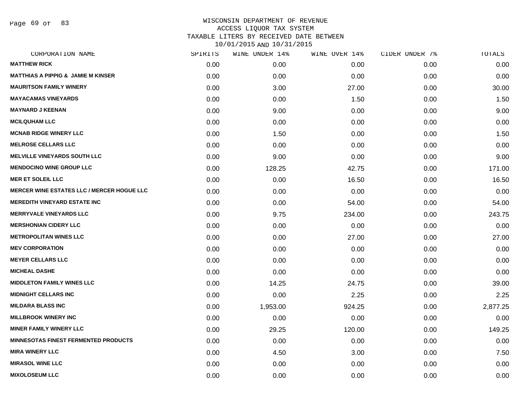Page 69 of 83

| SPIRITS | WINE UNDER 14% | WINE OVER 14% | CIDER UNDER 7% | TOTALS   |
|---------|----------------|---------------|----------------|----------|
| 0.00    | 0.00           | 0.00          | 0.00           | 0.00     |
| 0.00    | 0.00           | 0.00          | 0.00           | 0.00     |
| 0.00    | 3.00           | 27.00         | 0.00           | 30.00    |
| 0.00    | 0.00           | 1.50          | 0.00           | 1.50     |
| 0.00    | 9.00           | 0.00          | 0.00           | 9.00     |
| 0.00    | 0.00           | 0.00          | 0.00           | 0.00     |
| 0.00    | 1.50           | 0.00          | 0.00           | 1.50     |
| 0.00    | 0.00           | 0.00          | 0.00           | 0.00     |
| 0.00    | 9.00           | 0.00          | 0.00           | 9.00     |
| 0.00    | 128.25         | 42.75         | 0.00           | 171.00   |
| 0.00    | 0.00           | 16.50         | 0.00           | 16.50    |
| 0.00    | 0.00           | 0.00          | 0.00           | 0.00     |
| 0.00    | 0.00           | 54.00         | 0.00           | 54.00    |
| 0.00    | 9.75           | 234.00        | 0.00           | 243.75   |
| 0.00    | 0.00           | 0.00          | 0.00           | 0.00     |
| 0.00    | 0.00           | 27.00         | 0.00           | 27.00    |
| 0.00    | 0.00           | 0.00          | 0.00           | 0.00     |
| 0.00    | 0.00           | 0.00          | 0.00           | 0.00     |
| 0.00    | 0.00           | 0.00          | 0.00           | 0.00     |
| 0.00    | 14.25          | 24.75         | 0.00           | 39.00    |
| 0.00    | 0.00           | 2.25          | 0.00           | 2.25     |
| 0.00    | 1,953.00       | 924.25        | 0.00           | 2,877.25 |
| 0.00    | 0.00           | 0.00          | 0.00           | 0.00     |
| 0.00    | 29.25          | 120.00        | 0.00           | 149.25   |
| 0.00    | 0.00           | 0.00          | 0.00           | 0.00     |
| 0.00    | 4.50           | 3.00          | 0.00           | 7.50     |
| 0.00    | 0.00           | 0.00          | 0.00           | 0.00     |
| 0.00    | 0.00           | 0.00          | 0.00           | 0.00     |
|         |                |               |                |          |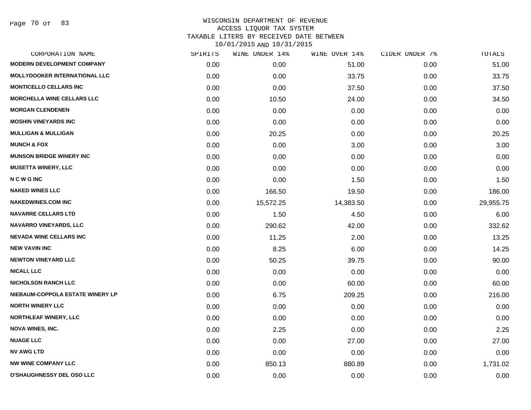Page 70 of 83

|      |           |                | CIDER UNDER 7% | TOTALS    |
|------|-----------|----------------|----------------|-----------|
| 0.00 | 0.00      | 51.00          | 0.00           | 51.00     |
| 0.00 | 0.00      | 33.75          | 0.00           | 33.75     |
| 0.00 | 0.00      | 37.50          | 0.00           | 37.50     |
| 0.00 | 10.50     | 24.00          | 0.00           | 34.50     |
| 0.00 | 0.00      | 0.00           | 0.00           | 0.00      |
| 0.00 | 0.00      | 0.00           | 0.00           | 0.00      |
| 0.00 | 20.25     | 0.00           | 0.00           | 20.25     |
| 0.00 | 0.00      | 3.00           | 0.00           | 3.00      |
| 0.00 | 0.00      | 0.00           | 0.00           | 0.00      |
| 0.00 | 0.00      | 0.00           | 0.00           | 0.00      |
| 0.00 | 0.00      | 1.50           | 0.00           | 1.50      |
| 0.00 | 166.50    | 19.50          | 0.00           | 186.00    |
| 0.00 | 15,572.25 | 14,383.50      | 0.00           | 29,955.75 |
| 0.00 | 1.50      | 4.50           | 0.00           | 6.00      |
| 0.00 | 290.62    | 42.00          | 0.00           | 332.62    |
| 0.00 | 11.25     | 2.00           | 0.00           | 13.25     |
| 0.00 | 8.25      | 6.00           | 0.00           | 14.25     |
| 0.00 | 50.25     | 39.75          | 0.00           | 90.00     |
| 0.00 | 0.00      | 0.00           | 0.00           | 0.00      |
| 0.00 | 0.00      | 60.00          | 0.00           | 60.00     |
| 0.00 | 6.75      | 209.25         | 0.00           | 216.00    |
| 0.00 | 0.00      | 0.00           | 0.00           | 0.00      |
| 0.00 | 0.00      | 0.00           | 0.00           | 0.00      |
| 0.00 | 2.25      | 0.00           | 0.00           | 2.25      |
| 0.00 | 0.00      | 27.00          | 0.00           | 27.00     |
| 0.00 | 0.00      | 0.00           | 0.00           | 0.00      |
| 0.00 | 850.13    | 880.89         | 0.00           | 1,731.02  |
| 0.00 | 0.00      | 0.00           | 0.00           | 0.00      |
|      | SPIRITS   | WINE UNDER 14% | WINE OVER 14%  |           |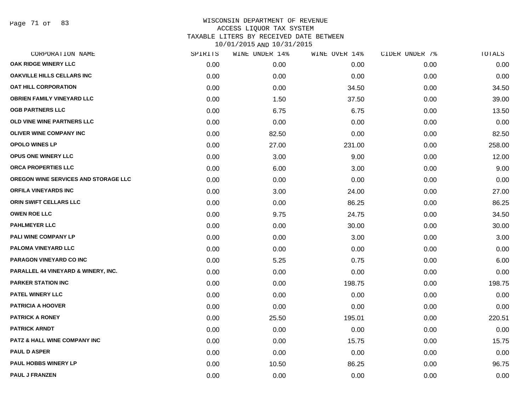Page 71 of 83

| CORPORATION NAME                        | SPIRITS | WINE UNDER 14% | WINE OVER 14% | CIDER UNDER 7% | TOTALS |
|-----------------------------------------|---------|----------------|---------------|----------------|--------|
| <b>OAK RIDGE WINERY LLC</b>             | 0.00    | 0.00           | 0.00          | 0.00           | 0.00   |
| OAKVILLE HILLS CELLARS INC              | 0.00    | 0.00           | 0.00          | 0.00           | 0.00   |
| <b>OAT HILL CORPORATION</b>             | 0.00    | 0.00           | 34.50         | 0.00           | 34.50  |
| <b>OBRIEN FAMILY VINEYARD LLC</b>       | 0.00    | 1.50           | 37.50         | 0.00           | 39.00  |
| <b>OGB PARTNERS LLC</b>                 | 0.00    | 6.75           | 6.75          | 0.00           | 13.50  |
| OLD VINE WINE PARTNERS LLC              | 0.00    | 0.00           | 0.00          | 0.00           | 0.00   |
| <b>OLIVER WINE COMPANY INC</b>          | 0.00    | 82.50          | 0.00          | 0.00           | 82.50  |
| <b>OPOLO WINES LP</b>                   | 0.00    | 27.00          | 231.00        | 0.00           | 258.00 |
| <b>OPUS ONE WINERY LLC</b>              | 0.00    | 3.00           | 9.00          | 0.00           | 12.00  |
| ORCA PROPERTIES LLC                     | 0.00    | 6.00           | 3.00          | 0.00           | 9.00   |
| OREGON WINE SERVICES AND STORAGE LLC    | 0.00    | 0.00           | 0.00          | 0.00           | 0.00   |
| <b>ORFILA VINEYARDS INC</b>             | 0.00    | 3.00           | 24.00         | 0.00           | 27.00  |
| ORIN SWIFT CELLARS LLC                  | 0.00    | 0.00           | 86.25         | 0.00           | 86.25  |
| <b>OWEN ROE LLC</b>                     | 0.00    | 9.75           | 24.75         | 0.00           | 34.50  |
| <b>PAHLMEYER LLC</b>                    | 0.00    | 0.00           | 30.00         | 0.00           | 30.00  |
| PALI WINE COMPANY LP                    | 0.00    | 0.00           | 3.00          | 0.00           | 3.00   |
| PALOMA VINEYARD LLC                     | 0.00    | 0.00           | 0.00          | 0.00           | 0.00   |
| PARAGON VINEYARD CO INC                 | 0.00    | 5.25           | 0.75          | 0.00           | 6.00   |
| PARALLEL 44 VINEYARD & WINERY, INC.     | 0.00    | 0.00           | 0.00          | 0.00           | 0.00   |
| <b>PARKER STATION INC</b>               | 0.00    | 0.00           | 198.75        | 0.00           | 198.75 |
| PATEL WINERY LLC                        | 0.00    | 0.00           | 0.00          | 0.00           | 0.00   |
| <b>PATRICIA A HOOVER</b>                | 0.00    | 0.00           | 0.00          | 0.00           | 0.00   |
| <b>PATRICK A RONEY</b>                  | 0.00    | 25.50          | 195.01        | 0.00           | 220.51 |
| <b>PATRICK ARNDT</b>                    | 0.00    | 0.00           | 0.00          | 0.00           | 0.00   |
| <b>PATZ &amp; HALL WINE COMPANY INC</b> | 0.00    | 0.00           | 15.75         | 0.00           | 15.75  |
| <b>PAUL D ASPER</b>                     | 0.00    | 0.00           | 0.00          | 0.00           | 0.00   |
| <b>PAUL HOBBS WINERY LP</b>             | 0.00    | 10.50          | 86.25         | 0.00           | 96.75  |
| <b>PAUL J FRANZEN</b>                   | 0.00    | 0.00           | 0.00          | 0.00           | 0.00   |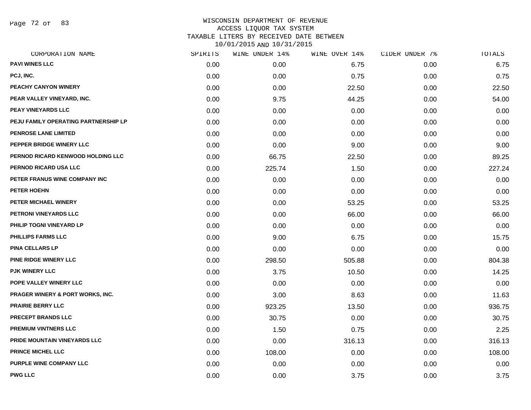Page 72 of 83

| SPIRITS | WINE UNDER 14% | WINE OVER 14% | CIDER UNDER 7% | TOTALS |
|---------|----------------|---------------|----------------|--------|
| 0.00    | 0.00           | 6.75          | 0.00           | 6.75   |
| 0.00    | 0.00           | 0.75          | 0.00           | 0.75   |
| 0.00    | 0.00           | 22.50         | 0.00           | 22.50  |
| 0.00    | 9.75           | 44.25         | 0.00           | 54.00  |
| 0.00    | 0.00           | 0.00          | 0.00           | 0.00   |
| 0.00    | 0.00           | 0.00          | 0.00           | 0.00   |
| 0.00    | 0.00           | 0.00          | 0.00           | 0.00   |
| 0.00    | 0.00           | 9.00          | 0.00           | 9.00   |
| 0.00    | 66.75          | 22.50         | 0.00           | 89.25  |
| 0.00    | 225.74         | 1.50          | 0.00           | 227.24 |
| 0.00    | 0.00           | 0.00          | 0.00           | 0.00   |
| 0.00    | 0.00           | 0.00          | 0.00           | 0.00   |
| 0.00    | 0.00           | 53.25         | 0.00           | 53.25  |
| 0.00    | 0.00           | 66.00         | 0.00           | 66.00  |
| 0.00    | 0.00           | 0.00          | 0.00           | 0.00   |
| 0.00    | 9.00           | 6.75          | 0.00           | 15.75  |
| 0.00    | 0.00           | 0.00          | 0.00           | 0.00   |
| 0.00    | 298.50         | 505.88        | 0.00           | 804.38 |
| 0.00    | 3.75           | 10.50         | 0.00           | 14.25  |
| 0.00    | 0.00           | 0.00          | 0.00           | 0.00   |
| 0.00    | 3.00           | 8.63          | 0.00           | 11.63  |
| 0.00    | 923.25         | 13.50         | 0.00           | 936.75 |
| 0.00    | 30.75          | 0.00          | 0.00           | 30.75  |
| 0.00    | 1.50           | 0.75          | 0.00           | 2.25   |
| 0.00    | 0.00           | 316.13        | 0.00           | 316.13 |
| 0.00    | 108.00         | 0.00          | 0.00           | 108.00 |
| 0.00    | 0.00           | 0.00          | 0.00           | 0.00   |
| 0.00    | 0.00           | 3.75          | 0.00           | 3.75   |
|         |                |               |                |        |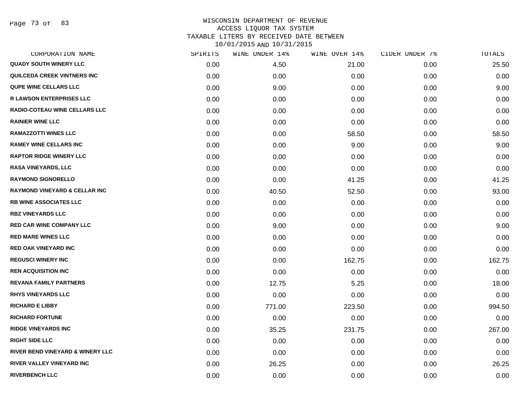Page 73 of 83

| CORPORATION NAME                         | SPIRITS | WINE UNDER 14% | WINE OVER 14% | CIDER UNDER 7% | TOTALS |
|------------------------------------------|---------|----------------|---------------|----------------|--------|
| <b>QUADY SOUTH WINERY LLC</b>            | 0.00    | 4.50           | 21.00         | 0.00           | 25.50  |
| QUILCEDA CREEK VINTNERS INC              | 0.00    | 0.00           | 0.00          | 0.00           | 0.00   |
| <b>QUPE WINE CELLARS LLC</b>             | 0.00    | 9.00           | 0.00          | 0.00           | 9.00   |
| <b>R LAWSON ENTERPRISES LLC</b>          | 0.00    | 0.00           | 0.00          | 0.00           | 0.00   |
| RADIO-COTEAU WINE CELLARS LLC            | 0.00    | 0.00           | 0.00          | 0.00           | 0.00   |
| <b>RAINIER WINE LLC</b>                  | 0.00    | 0.00           | 0.00          | 0.00           | 0.00   |
| <b>RAMAZZOTTI WINES LLC</b>              | 0.00    | 0.00           | 58.50         | 0.00           | 58.50  |
| <b>RAMEY WINE CELLARS INC</b>            | 0.00    | 0.00           | 9.00          | 0.00           | 9.00   |
| <b>RAPTOR RIDGE WINERY LLC</b>           | 0.00    | 0.00           | 0.00          | 0.00           | 0.00   |
| <b>RASA VINEYARDS, LLC</b>               | 0.00    | 0.00           | 0.00          | 0.00           | 0.00   |
| <b>RAYMOND SIGNORELLO</b>                | 0.00    | 0.00           | 41.25         | 0.00           | 41.25  |
| <b>RAYMOND VINEYARD &amp; CELLAR INC</b> | 0.00    | 40.50          | 52.50         | 0.00           | 93.00  |
| <b>RB WINE ASSOCIATES LLC</b>            | 0.00    | 0.00           | 0.00          | 0.00           | 0.00   |
| <b>RBZ VINEYARDS LLC</b>                 | 0.00    | 0.00           | 0.00          | 0.00           | 0.00   |
| <b>RED CAR WINE COMPANY LLC</b>          | 0.00    | 9.00           | 0.00          | 0.00           | 9.00   |
| <b>RED MARE WINES LLC</b>                | 0.00    | 0.00           | 0.00          | 0.00           | 0.00   |
| <b>RED OAK VINEYARD INC</b>              | 0.00    | 0.00           | 0.00          | 0.00           | 0.00   |
| <b>REGUSCI WINERY INC</b>                | 0.00    | 0.00           | 162.75        | 0.00           | 162.75 |
| <b>REN ACQUISITION INC</b>               | 0.00    | 0.00           | 0.00          | 0.00           | 0.00   |
| <b>REVANA FAMILY PARTNERS</b>            | 0.00    | 12.75          | 5.25          | 0.00           | 18.00  |
| <b>RHYS VINEYARDS LLC</b>                | 0.00    | 0.00           | 0.00          | 0.00           | 0.00   |
| <b>RICHARD E LIBBY</b>                   | 0.00    | 771.00         | 223.50        | 0.00           | 994.50 |
| <b>RICHARD FORTUNE</b>                   | 0.00    | 0.00           | 0.00          | 0.00           | 0.00   |
| <b>RIDGE VINEYARDS INC</b>               | 0.00    | 35.25          | 231.75        | 0.00           | 267.00 |
| <b>RIGHT SIDE LLC</b>                    | 0.00    | 0.00           | 0.00          | 0.00           | 0.00   |
| RIVER BEND VINEYARD & WINERY LLC         | 0.00    | 0.00           | 0.00          | 0.00           | 0.00   |
| RIVER VALLEY VINEYARD INC                | 0.00    | 26.25          | 0.00          | 0.00           | 26.25  |
| <b>RIVERBENCH LLC</b>                    | 0.00    | 0.00           | 0.00          | 0.00           | 0.00   |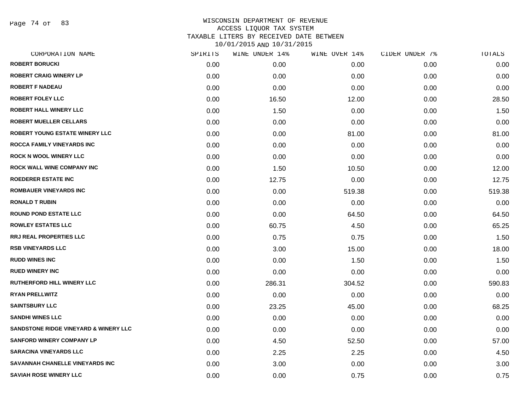Page 74 of 83

| CORPORATION NAME                      | SPIRITS | WINE UNDER 14% | WINE OVER 14% | CIDER UNDER 7% | TOTALS |
|---------------------------------------|---------|----------------|---------------|----------------|--------|
| <b>ROBERT BORUCKI</b>                 | 0.00    | 0.00           | 0.00          | 0.00           | 0.00   |
| <b>ROBERT CRAIG WINERY LP</b>         | 0.00    | 0.00           | 0.00          | 0.00           | 0.00   |
| <b>ROBERT F NADEAU</b>                | 0.00    | 0.00           | 0.00          | 0.00           | 0.00   |
| <b>ROBERT FOLEY LLC</b>               | 0.00    | 16.50          | 12.00         | 0.00           | 28.50  |
| <b>ROBERT HALL WINERY LLC</b>         | 0.00    | 1.50           | 0.00          | 0.00           | 1.50   |
| <b>ROBERT MUELLER CELLARS</b>         | 0.00    | 0.00           | 0.00          | 0.00           | 0.00   |
| <b>ROBERT YOUNG ESTATE WINERY LLC</b> | 0.00    | 0.00           | 81.00         | 0.00           | 81.00  |
| <b>ROCCA FAMILY VINEYARDS INC</b>     | 0.00    | 0.00           | 0.00          | 0.00           | 0.00   |
| <b>ROCK N WOOL WINERY LLC</b>         | 0.00    | 0.00           | 0.00          | 0.00           | 0.00   |
| <b>ROCK WALL WINE COMPANY INC</b>     | 0.00    | 1.50           | 10.50         | 0.00           | 12.00  |
| <b>ROEDERER ESTATE INC</b>            | 0.00    | 12.75          | 0.00          | 0.00           | 12.75  |
| <b>ROMBAUER VINEYARDS INC</b>         | 0.00    | 0.00           | 519.38        | 0.00           | 519.38 |
| <b>RONALD T RUBIN</b>                 | 0.00    | 0.00           | 0.00          | 0.00           | 0.00   |
| <b>ROUND POND ESTATE LLC</b>          | 0.00    | 0.00           | 64.50         | 0.00           | 64.50  |
| <b>ROWLEY ESTATES LLC</b>             | 0.00    | 60.75          | 4.50          | 0.00           | 65.25  |
| <b>RRJ REAL PROPERTIES LLC</b>        | 0.00    | 0.75           | 0.75          | 0.00           | 1.50   |
| <b>RSB VINEYARDS LLC</b>              | 0.00    | 3.00           | 15.00         | 0.00           | 18.00  |
| <b>RUDD WINES INC</b>                 | 0.00    | 0.00           | 1.50          | 0.00           | 1.50   |
| <b>RUED WINERY INC</b>                | 0.00    | 0.00           | 0.00          | 0.00           | 0.00   |
| RUTHERFORD HILL WINERY LLC            | 0.00    | 286.31         | 304.52        | 0.00           | 590.83 |
| <b>RYAN PRELLWITZ</b>                 | 0.00    | 0.00           | 0.00          | 0.00           | 0.00   |
| <b>SAINTSBURY LLC</b>                 | 0.00    | 23.25          | 45.00         | 0.00           | 68.25  |
| <b>SANDHI WINES LLC</b>               | 0.00    | 0.00           | 0.00          | 0.00           | 0.00   |
| SANDSTONE RIDGE VINEYARD & WINERY LLC | 0.00    | 0.00           | 0.00          | 0.00           | 0.00   |
| <b>SANFORD WINERY COMPANY LP</b>      | 0.00    | 4.50           | 52.50         | 0.00           | 57.00  |
| <b>SARACINA VINEYARDS LLC</b>         | 0.00    | 2.25           | 2.25          | 0.00           | 4.50   |
| SAVANNAH CHANELLE VINEYARDS INC       | 0.00    | 3.00           | 0.00          | 0.00           | 3.00   |
| <b>SAVIAH ROSE WINERY LLC</b>         | 0.00    | 0.00           | 0.75          | 0.00           | 0.75   |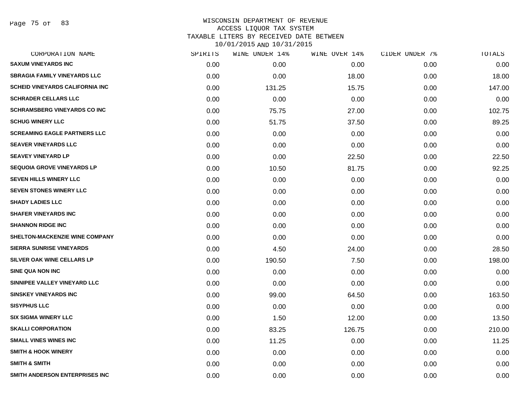Page 75 of 83

| CORPORATION NAME                       | SPIRITS | WINE UNDER 14% | WINE OVER 14% | CIDER UNDER 7% | TOTALS |
|----------------------------------------|---------|----------------|---------------|----------------|--------|
| <b>SAXUM VINEYARDS INC</b>             | 0.00    | 0.00           | 0.00          | 0.00           | 0.00   |
| <b>SBRAGIA FAMILY VINEYARDS LLC</b>    | 0.00    | 0.00           | 18.00         | 0.00           | 18.00  |
| <b>SCHEID VINEYARDS CALIFORNIA INC</b> | 0.00    | 131.25         | 15.75         | 0.00           | 147.00 |
| <b>SCHRADER CELLARS LLC</b>            | 0.00    | 0.00           | 0.00          | 0.00           | 0.00   |
| <b>SCHRAMSBERG VINEYARDS CO INC</b>    | 0.00    | 75.75          | 27.00         | 0.00           | 102.75 |
| <b>SCHUG WINERY LLC</b>                | 0.00    | 51.75          | 37.50         | 0.00           | 89.25  |
| <b>SCREAMING EAGLE PARTNERS LLC</b>    | 0.00    | 0.00           | 0.00          | 0.00           | 0.00   |
| <b>SEAVER VINEYARDS LLC</b>            | 0.00    | 0.00           | 0.00          | 0.00           | 0.00   |
| <b>SEAVEY VINEYARD LP</b>              | 0.00    | 0.00           | 22.50         | 0.00           | 22.50  |
| <b>SEQUOIA GROVE VINEYARDS LP</b>      | 0.00    | 10.50          | 81.75         | 0.00           | 92.25  |
| <b>SEVEN HILLS WINERY LLC</b>          | 0.00    | 0.00           | 0.00          | 0.00           | 0.00   |
| <b>SEVEN STONES WINERY LLC</b>         | 0.00    | 0.00           | 0.00          | 0.00           | 0.00   |
| <b>SHADY LADIES LLC</b>                | 0.00    | 0.00           | 0.00          | 0.00           | 0.00   |
| <b>SHAFER VINEYARDS INC</b>            | 0.00    | 0.00           | 0.00          | 0.00           | 0.00   |
| <b>SHANNON RIDGE INC</b>               | 0.00    | 0.00           | 0.00          | 0.00           | 0.00   |
| SHELTON-MACKENZIE WINE COMPANY         | 0.00    | 0.00           | 0.00          | 0.00           | 0.00   |
| <b>SIERRA SUNRISE VINEYARDS</b>        | 0.00    | 4.50           | 24.00         | 0.00           | 28.50  |
| SILVER OAK WINE CELLARS LP             | 0.00    | 190.50         | 7.50          | 0.00           | 198.00 |
| <b>SINE QUA NON INC</b>                | 0.00    | 0.00           | 0.00          | 0.00           | 0.00   |
| SINNIPEE VALLEY VINEYARD LLC           | 0.00    | 0.00           | 0.00          | 0.00           | 0.00   |
| <b>SINSKEY VINEYARDS INC</b>           | 0.00    | 99.00          | 64.50         | 0.00           | 163.50 |
| <b>SISYPHUS LLC</b>                    | 0.00    | 0.00           | 0.00          | 0.00           | 0.00   |
| <b>SIX SIGMA WINERY LLC</b>            | 0.00    | 1.50           | 12.00         | 0.00           | 13.50  |
| <b>SKALLI CORPORATION</b>              | 0.00    | 83.25          | 126.75        | 0.00           | 210.00 |
| <b>SMALL VINES WINES INC</b>           | 0.00    | 11.25          | 0.00          | 0.00           | 11.25  |
| <b>SMITH &amp; HOOK WINERY</b>         | 0.00    | 0.00           | 0.00          | 0.00           | 0.00   |
| <b>SMITH &amp; SMITH</b>               | 0.00    | 0.00           | 0.00          | 0.00           | 0.00   |
| SMITH ANDERSON ENTERPRISES INC         | 0.00    | 0.00           | 0.00          | 0.00           | 0.00   |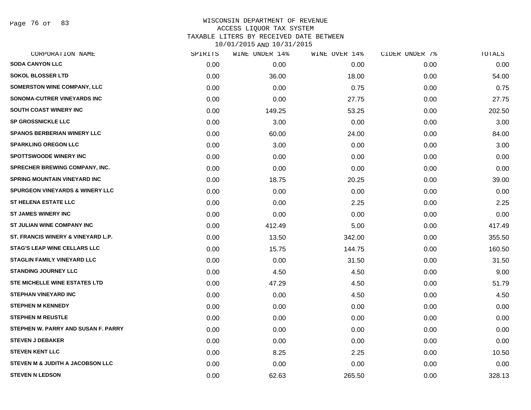Page 76 of 83

| CORPORATION NAME                           | SPIRITS | WINE UNDER 14% | WINE OVER 14% | CIDER UNDER 7% | TOTALS |
|--------------------------------------------|---------|----------------|---------------|----------------|--------|
| <b>SODA CANYON LLC</b>                     | 0.00    | 0.00           | 0.00          | 0.00           | 0.00   |
| <b>SOKOL BLOSSER LTD</b>                   | 0.00    | 36.00          | 18.00         | 0.00           | 54.00  |
| <b>SOMERSTON WINE COMPANY, LLC</b>         | 0.00    | 0.00           | 0.75          | 0.00           | 0.75   |
| SONOMA-CUTRER VINEYARDS INC                | 0.00    | 0.00           | 27.75         | 0.00           | 27.75  |
| SOUTH COAST WINERY INC                     | 0.00    | 149.25         | 53.25         | 0.00           | 202.50 |
| SP GROSSNICKLE LLC                         | 0.00    | 3.00           | 0.00          | 0.00           | 3.00   |
| <b>SPANOS BERBERIAN WINERY LLC</b>         | 0.00    | 60.00          | 24.00         | 0.00           | 84.00  |
| <b>SPARKLING OREGON LLC</b>                | 0.00    | 3.00           | 0.00          | 0.00           | 3.00   |
| <b>SPOTTSWOODE WINERY INC</b>              | 0.00    | 0.00           | 0.00          | 0.00           | 0.00   |
| SPRECHER BREWING COMPANY, INC.             | 0.00    | 0.00           | 0.00          | 0.00           | 0.00   |
| <b>SPRING MOUNTAIN VINEYARD INC</b>        | 0.00    | 18.75          | 20.25         | 0.00           | 39.00  |
| <b>SPURGEON VINEYARDS &amp; WINERY LLC</b> | 0.00    | 0.00           | 0.00          | 0.00           | 0.00   |
| <b>ST HELENA ESTATE LLC</b>                | 0.00    | 0.00           | 2.25          | 0.00           | 2.25   |
| <b>ST JAMES WINERY INC</b>                 | 0.00    | 0.00           | 0.00          | 0.00           | 0.00   |
| ST JULIAN WINE COMPANY INC                 | 0.00    | 412.49         | 5.00          | 0.00           | 417.49 |
| ST. FRANCIS WINERY & VINEYARD L.P.         | 0.00    | 13.50          | 342.00        | 0.00           | 355.50 |
| <b>STAG'S LEAP WINE CELLARS LLC</b>        | 0.00    | 15.75          | 144.75        | 0.00           | 160.50 |
| <b>STAGLIN FAMILY VINEYARD LLC</b>         | 0.00    | 0.00           | 31.50         | 0.00           | 31.50  |
| <b>STANDING JOURNEY LLC</b>                | 0.00    | 4.50           | 4.50          | 0.00           | 9.00   |
| STE MICHELLE WINE ESTATES LTD              | 0.00    | 47.29          | 4.50          | 0.00           | 51.79  |
| <b>STEPHAN VINEYARD INC</b>                | 0.00    | 0.00           | 4.50          | 0.00           | 4.50   |
| <b>STEPHEN M KENNEDY</b>                   | 0.00    | 0.00           | 0.00          | 0.00           | 0.00   |
| <b>STEPHEN M REUSTLE</b>                   | 0.00    | 0.00           | 0.00          | 0.00           | 0.00   |
| STEPHEN W. PARRY AND SUSAN F. PARRY        | 0.00    | 0.00           | 0.00          | 0.00           | 0.00   |
| <b>STEVEN J DEBAKER</b>                    | 0.00    | 0.00           | 0.00          | 0.00           | 0.00   |
| <b>STEVEN KENT LLC</b>                     | 0.00    | 8.25           | 2.25          | 0.00           | 10.50  |
| STEVEN M & JUDITH A JACOBSON LLC           | 0.00    | 0.00           | 0.00          | 0.00           | 0.00   |
| <b>STEVEN N LEDSON</b>                     | 0.00    | 62.63          | 265.50        | 0.00           | 328.13 |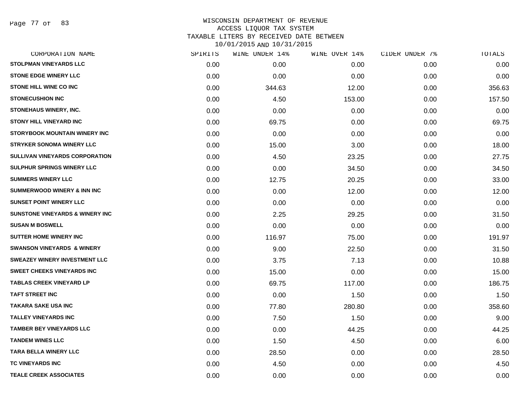Page 77 of 83

| CORPORATION NAME                           | SPIRITS | WINE UNDER 14% | WINE OVER 14% | CIDER UNDER 7% | TOTALS |
|--------------------------------------------|---------|----------------|---------------|----------------|--------|
| <b>STOLPMAN VINEYARDS LLC</b>              | 0.00    | 0.00           | 0.00          | 0.00           | 0.00   |
| <b>STONE EDGE WINERY LLC</b>               | 0.00    | 0.00           | 0.00          | 0.00           | 0.00   |
| STONE HILL WINE CO INC                     | 0.00    | 344.63         | 12.00         | 0.00           | 356.63 |
| <b>STONECUSHION INC</b>                    | 0.00    | 4.50           | 153.00        | 0.00           | 157.50 |
| STONEHAUS WINERY, INC.                     | 0.00    | 0.00           | 0.00          | 0.00           | 0.00   |
| <b>STONY HILL VINEYARD INC</b>             | 0.00    | 69.75          | 0.00          | 0.00           | 69.75  |
| <b>STORYBOOK MOUNTAIN WINERY INC</b>       | 0.00    | 0.00           | 0.00          | 0.00           | 0.00   |
| <b>STRYKER SONOMA WINERY LLC</b>           | 0.00    | 15.00          | 3.00          | 0.00           | 18.00  |
| SULLIVAN VINEYARDS CORPORATION             | 0.00    | 4.50           | 23.25         | 0.00           | 27.75  |
| SULPHUR SPRINGS WINERY LLC                 | 0.00    | 0.00           | 34.50         | 0.00           | 34.50  |
| <b>SUMMERS WINERY LLC</b>                  | 0.00    | 12.75          | 20.25         | 0.00           | 33.00  |
| <b>SUMMERWOOD WINERY &amp; INN INC</b>     | 0.00    | 0.00           | 12.00         | 0.00           | 12.00  |
| <b>SUNSET POINT WINERY LLC</b>             | 0.00    | 0.00           | 0.00          | 0.00           | 0.00   |
| <b>SUNSTONE VINEYARDS &amp; WINERY INC</b> | 0.00    | 2.25           | 29.25         | 0.00           | 31.50  |
| <b>SUSAN M BOSWELL</b>                     | 0.00    | 0.00           | 0.00          | 0.00           | 0.00   |
| <b>SUTTER HOME WINERY INC</b>              | 0.00    | 116.97         | 75.00         | 0.00           | 191.97 |
| <b>SWANSON VINEYARDS &amp; WINERY</b>      | 0.00    | 9.00           | 22.50         | 0.00           | 31.50  |
| <b>SWEAZEY WINERY INVESTMENT LLC</b>       | 0.00    | 3.75           | 7.13          | 0.00           | 10.88  |
| <b>SWEET CHEEKS VINEYARDS INC</b>          | 0.00    | 15.00          | 0.00          | 0.00           | 15.00  |
| <b>TABLAS CREEK VINEYARD LP</b>            | 0.00    | 69.75          | 117.00        | 0.00           | 186.75 |
| <b>TAFT STREET INC</b>                     | 0.00    | 0.00           | 1.50          | 0.00           | 1.50   |
| <b>TAKARA SAKE USA INC</b>                 | 0.00    | 77.80          | 280.80        | 0.00           | 358.60 |
| <b>TALLEY VINEYARDS INC</b>                | 0.00    | 7.50           | 1.50          | 0.00           | 9.00   |
| <b>TAMBER BEY VINEYARDS LLC</b>            | 0.00    | 0.00           | 44.25         | 0.00           | 44.25  |
| <b>TANDEM WINES LLC</b>                    | 0.00    | 1.50           | 4.50          | 0.00           | 6.00   |
| <b>TARA BELLA WINERY LLC</b>               | 0.00    | 28.50          | 0.00          | 0.00           | 28.50  |
| TC VINEYARDS INC                           | 0.00    | 4.50           | 0.00          | 0.00           | 4.50   |
| <b>TEALE CREEK ASSOCIATES</b>              | 0.00    | 0.00           | 0.00          | 0.00           | 0.00   |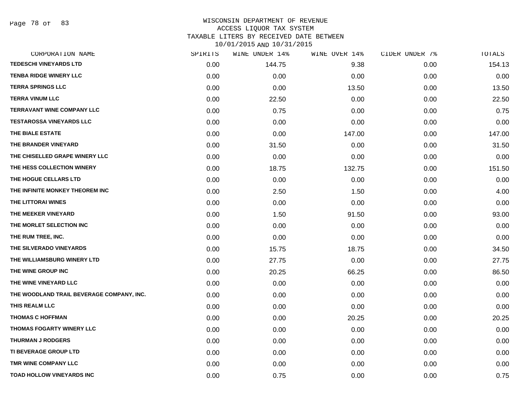Page 78 of 83

| CORPORATION NAME                          | SPIRITS | WINE UNDER 14% | WINE OVER 14% | CIDER UNDER 7% | TOTALS |
|-------------------------------------------|---------|----------------|---------------|----------------|--------|
| <b>TEDESCHI VINEYARDS LTD</b>             | 0.00    | 144.75         | 9.38          | 0.00           | 154.13 |
| <b>TENBA RIDGE WINERY LLC</b>             | 0.00    | 0.00           | 0.00          | 0.00           | 0.00   |
| <b>TERRA SPRINGS LLC</b>                  | 0.00    | 0.00           | 13.50         | 0.00           | 13.50  |
| <b>TERRA VINUM LLC</b>                    | 0.00    | 22.50          | 0.00          | 0.00           | 22.50  |
| <b>TERRAVANT WINE COMPANY LLC</b>         | 0.00    | 0.75           | 0.00          | 0.00           | 0.75   |
| <b>TESTAROSSA VINEYARDS LLC</b>           | 0.00    | 0.00           | 0.00          | 0.00           | 0.00   |
| THE BIALE ESTATE                          | 0.00    | 0.00           | 147.00        | 0.00           | 147.00 |
| THE BRANDER VINEYARD                      | 0.00    | 31.50          | 0.00          | 0.00           | 31.50  |
| THE CHISELLED GRAPE WINERY LLC            | 0.00    | 0.00           | 0.00          | 0.00           | 0.00   |
| THE HESS COLLECTION WINERY                | 0.00    | 18.75          | 132.75        | 0.00           | 151.50 |
| THE HOGUE CELLARS LTD                     | 0.00    | 0.00           | 0.00          | 0.00           | 0.00   |
| THE INFINITE MONKEY THEOREM INC           | 0.00    | 2.50           | 1.50          | 0.00           | 4.00   |
| THE LITTORAI WINES                        | 0.00    | 0.00           | 0.00          | 0.00           | 0.00   |
| THE MEEKER VINEYARD                       | 0.00    | 1.50           | 91.50         | 0.00           | 93.00  |
| THE MORLET SELECTION INC                  | 0.00    | 0.00           | 0.00          | 0.00           | 0.00   |
| THE RUM TREE, INC.                        | 0.00    | 0.00           | 0.00          | 0.00           | 0.00   |
| THE SILVERADO VINEYARDS                   | 0.00    | 15.75          | 18.75         | 0.00           | 34.50  |
| THE WILLIAMSBURG WINERY LTD               | 0.00    | 27.75          | 0.00          | 0.00           | 27.75  |
| THE WINE GROUP INC                        | 0.00    | 20.25          | 66.25         | 0.00           | 86.50  |
| THE WINE VINEYARD LLC                     | 0.00    | 0.00           | 0.00          | 0.00           | 0.00   |
| THE WOODLAND TRAIL BEVERAGE COMPANY, INC. | 0.00    | 0.00           | 0.00          | 0.00           | 0.00   |
| THIS REALM LLC                            | 0.00    | 0.00           | 0.00          | 0.00           | 0.00   |
| <b>THOMAS C HOFFMAN</b>                   | 0.00    | 0.00           | 20.25         | 0.00           | 20.25  |
| <b>THOMAS FOGARTY WINERY LLC</b>          | 0.00    | 0.00           | 0.00          | 0.00           | 0.00   |
| <b>THURMAN J RODGERS</b>                  | 0.00    | 0.00           | 0.00          | 0.00           | 0.00   |
| <b>TI BEVERAGE GROUP LTD</b>              | 0.00    | 0.00           | 0.00          | 0.00           | 0.00   |
| TMR WINE COMPANY LLC                      | 0.00    | 0.00           | 0.00          | 0.00           | 0.00   |
| <b>TOAD HOLLOW VINEYARDS INC</b>          | 0.00    | 0.75           | 0.00          | 0.00           | 0.75   |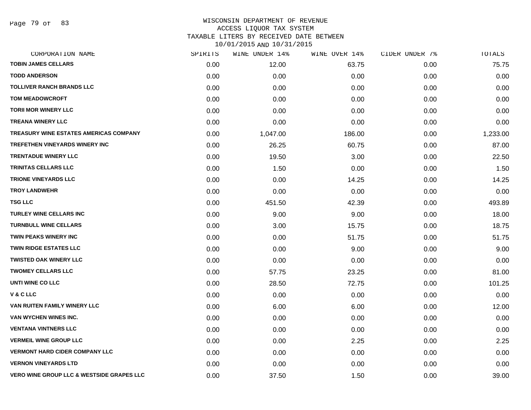Page 79 of 83

| CORPORATION NAME                                     | SPIRITS | WINE UNDER 14% | WINE OVER 14% | CIDER UNDER 7% | TOTALS   |
|------------------------------------------------------|---------|----------------|---------------|----------------|----------|
| <b>TOBIN JAMES CELLARS</b>                           | 0.00    | 12.00          | 63.75         | 0.00           | 75.75    |
| <b>TODD ANDERSON</b>                                 | 0.00    | 0.00           | 0.00          | 0.00           | 0.00     |
| <b>TOLLIVER RANCH BRANDS LLC</b>                     | 0.00    | 0.00           | 0.00          | 0.00           | 0.00     |
| <b>TOM MEADOWCROFT</b>                               | 0.00    | 0.00           | 0.00          | 0.00           | 0.00     |
| <b>TORII MOR WINERY LLC</b>                          | 0.00    | 0.00           | 0.00          | 0.00           | 0.00     |
| <b>TREANA WINERY LLC</b>                             | 0.00    | 0.00           | 0.00          | 0.00           | 0.00     |
| TREASURY WINE ESTATES AMERICAS COMPANY               | 0.00    | 1,047.00       | 186.00        | 0.00           | 1,233.00 |
| <b>TREFETHEN VINEYARDS WINERY INC</b>                | 0.00    | 26.25          | 60.75         | 0.00           | 87.00    |
| <b>TRENTADUE WINERY LLC</b>                          | 0.00    | 19.50          | 3.00          | 0.00           | 22.50    |
| TRINITAS CELLARS LLC                                 | 0.00    | 1.50           | 0.00          | 0.00           | 1.50     |
| <b>TRIONE VINEYARDS LLC</b>                          | 0.00    | 0.00           | 14.25         | 0.00           | 14.25    |
| <b>TROY LANDWEHR</b>                                 | 0.00    | 0.00           | 0.00          | 0.00           | 0.00     |
| <b>TSG LLC</b>                                       | 0.00    | 451.50         | 42.39         | 0.00           | 493.89   |
| <b>TURLEY WINE CELLARS INC</b>                       | 0.00    | 9.00           | 9.00          | 0.00           | 18.00    |
| <b>TURNBULL WINE CELLARS</b>                         | 0.00    | 3.00           | 15.75         | 0.00           | 18.75    |
| <b>TWIN PEAKS WINERY INC</b>                         | 0.00    | 0.00           | 51.75         | 0.00           | 51.75    |
| <b>TWIN RIDGE ESTATES LLC</b>                        | 0.00    | 0.00           | 9.00          | 0.00           | 9.00     |
| <b>TWISTED OAK WINERY LLC</b>                        | 0.00    | 0.00           | 0.00          | 0.00           | 0.00     |
| <b>TWOMEY CELLARS LLC</b>                            | 0.00    | 57.75          | 23.25         | 0.00           | 81.00    |
| UNTI WINE CO LLC                                     | 0.00    | 28.50          | 72.75         | 0.00           | 101.25   |
| V & C LLC                                            | 0.00    | 0.00           | 0.00          | 0.00           | 0.00     |
| VAN RUITEN FAMILY WINERY LLC                         | 0.00    | 6.00           | 6.00          | 0.00           | 12.00    |
| VAN WYCHEN WINES INC.                                | 0.00    | 0.00           | 0.00          | 0.00           | 0.00     |
| <b>VENTANA VINTNERS LLC</b>                          | 0.00    | 0.00           | 0.00          | 0.00           | 0.00     |
| <b>VERMEIL WINE GROUP LLC</b>                        | 0.00    | 0.00           | 2.25          | 0.00           | 2.25     |
| <b>VERMONT HARD CIDER COMPANY LLC</b>                | 0.00    | 0.00           | 0.00          | 0.00           | 0.00     |
| <b>VERNON VINEYARDS LTD</b>                          | 0.00    | 0.00           | 0.00          | 0.00           | 0.00     |
| <b>VERO WINE GROUP LLC &amp; WESTSIDE GRAPES LLC</b> | 0.00    | 37.50          | 1.50          | 0.00           | 39.00    |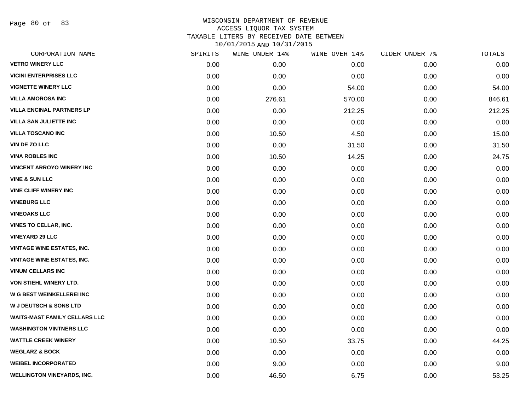Page 80 of 83

| CORPORATION NAME                     | SPIRITS | WINE UNDER 14% | WINE OVER 14% | CIDER UNDER 7% | TOTALS |
|--------------------------------------|---------|----------------|---------------|----------------|--------|
| <b>VETRO WINERY LLC</b>              | 0.00    | 0.00           | 0.00          | 0.00           | 0.00   |
| <b>VICINI ENTERPRISES LLC</b>        | 0.00    | 0.00           | 0.00          | 0.00           | 0.00   |
| <b>VIGNETTE WINERY LLC</b>           | 0.00    | 0.00           | 54.00         | 0.00           | 54.00  |
| <b>VILLA AMOROSA INC</b>             | 0.00    | 276.61         | 570.00        | 0.00           | 846.61 |
| <b>VILLA ENCINAL PARTNERS LP</b>     | 0.00    | 0.00           | 212.25        | 0.00           | 212.25 |
| <b>VILLA SAN JULIETTE INC</b>        | 0.00    | 0.00           | 0.00          | 0.00           | 0.00   |
| <b>VILLA TOSCANO INC</b>             | 0.00    | 10.50          | 4.50          | 0.00           | 15.00  |
| <b>VIN DE ZO LLC</b>                 | 0.00    | 0.00           | 31.50         | 0.00           | 31.50  |
| <b>VINA ROBLES INC</b>               | 0.00    | 10.50          | 14.25         | 0.00           | 24.75  |
| <b>VINCENT ARROYO WINERY INC</b>     | 0.00    | 0.00           | 0.00          | 0.00           | 0.00   |
| <b>VINE &amp; SUN LLC</b>            | 0.00    | 0.00           | 0.00          | 0.00           | 0.00   |
| <b>VINE CLIFF WINERY INC</b>         | 0.00    | 0.00           | 0.00          | 0.00           | 0.00   |
| <b>VINEBURG LLC</b>                  | 0.00    | 0.00           | 0.00          | 0.00           | 0.00   |
| <b>VINEOAKS LLC</b>                  | 0.00    | 0.00           | 0.00          | 0.00           | 0.00   |
| <b>VINES TO CELLAR, INC.</b>         | 0.00    | 0.00           | 0.00          | 0.00           | 0.00   |
| <b>VINEYARD 29 LLC</b>               | 0.00    | 0.00           | 0.00          | 0.00           | 0.00   |
| <b>VINTAGE WINE ESTATES, INC.</b>    | 0.00    | 0.00           | 0.00          | 0.00           | 0.00   |
| <b>VINTAGE WINE ESTATES, INC.</b>    | 0.00    | 0.00           | 0.00          | 0.00           | 0.00   |
| <b>VINUM CELLARS INC</b>             | 0.00    | 0.00           | 0.00          | 0.00           | 0.00   |
| VON STIEHL WINERY LTD.               | 0.00    | 0.00           | 0.00          | 0.00           | 0.00   |
| <b>W G BEST WEINKELLEREI INC</b>     | 0.00    | 0.00           | 0.00          | 0.00           | 0.00   |
| W J DEUTSCH & SONS LTD               | 0.00    | 0.00           | 0.00          | 0.00           | 0.00   |
| <b>WAITS-MAST FAMILY CELLARS LLC</b> | 0.00    | 0.00           | 0.00          | 0.00           | 0.00   |
| <b>WASHINGTON VINTNERS LLC</b>       | 0.00    | 0.00           | 0.00          | 0.00           | 0.00   |
| <b>WATTLE CREEK WINERY</b>           | 0.00    | 10.50          | 33.75         | 0.00           | 44.25  |
| <b>WEGLARZ &amp; BOCK</b>            | 0.00    | 0.00           | 0.00          | 0.00           | 0.00   |
| <b>WEIBEL INCORPORATED</b>           | 0.00    | 9.00           | 0.00          | 0.00           | 9.00   |
| <b>WELLINGTON VINEYARDS, INC.</b>    | 0.00    | 46.50          | 6.75          | 0.00           | 53.25  |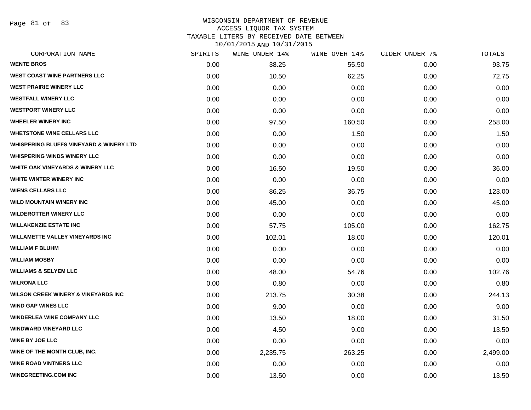Page 81 of 83

#### WISCONSIN DEPARTMENT OF REVENUE ACCESS LIQUOR TAX SYSTEM TAXABLE LITERS BY RECEIVED DATE BETWEEN

10/01/2015 AND 10/31/2015

| CORPORATION NAME                                   | SPIRITS | WINE UNDER 14% | WINE OVER 14% | CIDER UNDER 7% | TOTALS   |
|----------------------------------------------------|---------|----------------|---------------|----------------|----------|
| <b>WENTE BROS</b>                                  | 0.00    | 38.25          | 55.50         | 0.00           | 93.75    |
| <b>WEST COAST WINE PARTNERS LLC</b>                | 0.00    | 10.50          | 62.25         | 0.00           | 72.75    |
| <b>WEST PRAIRIE WINERY LLC</b>                     | 0.00    | 0.00           | 0.00          | 0.00           | 0.00     |
| <b>WESTFALL WINERY LLC</b>                         | 0.00    | 0.00           | 0.00          | 0.00           | 0.00     |
| <b>WESTPORT WINERY LLC</b>                         | 0.00    | 0.00           | 0.00          | 0.00           | 0.00     |
| <b>WHEELER WINERY INC</b>                          | 0.00    | 97.50          | 160.50        | 0.00           | 258.00   |
| <b>WHETSTONE WINE CELLARS LLC</b>                  | 0.00    | 0.00           | 1.50          | 0.00           | 1.50     |
| <b>WHISPERING BLUFFS VINEYARD &amp; WINERY LTD</b> | 0.00    | 0.00           | 0.00          | 0.00           | 0.00     |
| <b>WHISPERING WINDS WINERY LLC</b>                 | 0.00    | 0.00           | 0.00          | 0.00           | 0.00     |
| <b>WHITE OAK VINEYARDS &amp; WINERY LLC</b>        | 0.00    | 16.50          | 19.50         | 0.00           | 36.00    |
| WHITE WINTER WINERY INC                            | 0.00    | 0.00           | 0.00          | 0.00           | 0.00     |
| <b>WIENS CELLARS LLC</b>                           | 0.00    | 86.25          | 36.75         | 0.00           | 123.00   |
| <b>WILD MOUNTAIN WINERY INC</b>                    | 0.00    | 45.00          | 0.00          | 0.00           | 45.00    |
| <b>WILDEROTTER WINERY LLC</b>                      | 0.00    | 0.00           | 0.00          | 0.00           | 0.00     |
| <b>WILLAKENZIE ESTATE INC</b>                      | 0.00    | 57.75          | 105.00        | 0.00           | 162.75   |
| <b>WILLAMETTE VALLEY VINEYARDS INC</b>             | 0.00    | 102.01         | 18.00         | 0.00           | 120.01   |
| <b>WILLIAM F BLUHM</b>                             | 0.00    | 0.00           | 0.00          | 0.00           | 0.00     |
| <b>WILLIAM MOSBY</b>                               | 0.00    | 0.00           | 0.00          | 0.00           | 0.00     |
| <b>WILLIAMS &amp; SELYEM LLC</b>                   | 0.00    | 48.00          | 54.76         | 0.00           | 102.76   |
| <b>WILRONA LLC</b>                                 | 0.00    | 0.80           | 0.00          | 0.00           | 0.80     |
| <b>WILSON CREEK WINERY &amp; VINEYARDS INC</b>     | 0.00    | 213.75         | 30.38         | 0.00           | 244.13   |
| <b>WIND GAP WINES LLC</b>                          | 0.00    | 9.00           | 0.00          | 0.00           | 9.00     |
| <b>WINDERLEA WINE COMPANY LLC</b>                  | 0.00    | 13.50          | 18.00         | 0.00           | 31.50    |
| <b>WINDWARD VINEYARD LLC</b>                       | 0.00    | 4.50           | 9.00          | 0.00           | 13.50    |
| <b>WINE BY JOE LLC</b>                             | 0.00    | 0.00           | 0.00          | 0.00           | 0.00     |
| WINE OF THE MONTH CLUB, INC.                       | 0.00    | 2,235.75       | 263.25        | 0.00           | 2,499.00 |
| <b>WINE ROAD VINTNERS LLC</b>                      | 0.00    | 0.00           | 0.00          | 0.00           | 0.00     |
| <b>WINEGREETING.COM INC</b>                        | 0.00    | 13.50          | 0.00          | 0.00           | 13.50    |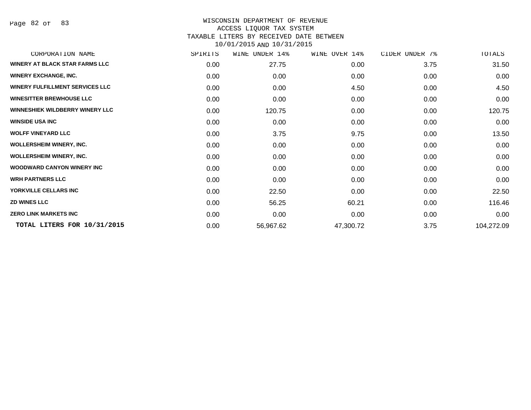Page 82 of 83

| CORPORATION NAME                       | SPIRITS | WINE<br>UNDER 14% | WINE OVER 14% | CIDER UNDER 7% | TOTALS     |
|----------------------------------------|---------|-------------------|---------------|----------------|------------|
| <b>WINERY AT BLACK STAR FARMS LLC</b>  | 0.00    | 27.75             | 0.00          | 3.75           | 31.50      |
| <b>WINERY EXCHANGE, INC.</b>           | 0.00    | 0.00              | 0.00          | 0.00           | 0.00       |
| <b>WINERY FULFILLMENT SERVICES LLC</b> | 0.00    | 0.00              | 4.50          | 0.00           | 4.50       |
| <b>WINESITTER BREWHOUSE LLC</b>        | 0.00    | 0.00              | 0.00          | 0.00           | 0.00       |
| <b>WINNESHIEK WILDBERRY WINERY LLC</b> | 0.00    | 120.75            | 0.00          | 0.00           | 120.75     |
| <b>WINSIDE USA INC</b>                 | 0.00    | 0.00              | 0.00          | 0.00           | 0.00       |
| <b>WOLFF VINEYARD LLC</b>              | 0.00    | 3.75              | 9.75          | 0.00           | 13.50      |
| <b>WOLLERSHEIM WINERY, INC.</b>        | 0.00    | 0.00              | 0.00          | 0.00           | 0.00       |
| <b>WOLLERSHEIM WINERY, INC.</b>        | 0.00    | 0.00              | 0.00          | 0.00           | 0.00       |
| <b>WOODWARD CANYON WINERY INC.</b>     | 0.00    | 0.00              | 0.00          | 0.00           | 0.00       |
| <b>WRH PARTNERS LLC</b>                | 0.00    | 0.00              | 0.00          | 0.00           | 0.00       |
| YORKVILLE CELLARS INC                  | 0.00    | 22.50             | 0.00          | 0.00           | 22.50      |
| <b>ZD WINES LLC</b>                    | 0.00    | 56.25             | 60.21         | 0.00           | 116.46     |
| <b>ZERO LINK MARKETS INC</b>           | 0.00    | 0.00              | 0.00          | 0.00           | 0.00       |
| TOTAL LITERS FOR 10/31/2015            | 0.00    | 56,967.62         | 47,300.72     | 3.75           | 104,272.09 |